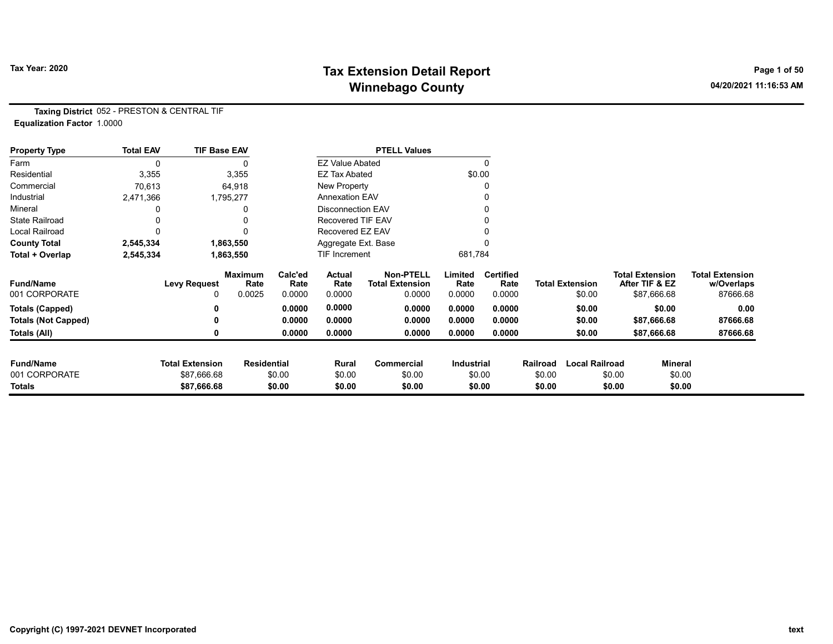# Tax Year: 2020 Page 1 of 50 Winnebago County and the County of the County of the County of the County of the County of the County of the County of the County of the County of the County of the County of the County of the County of the County of the C

Taxing District 052 - PRESTON & CENTRAL TIF Equalization Factor 1.0000

| <b>Property Type</b>       | <b>Total EAV</b> | <b>TIF Base EAV</b>    |                        |                 |                          | <b>PTELL Values</b>                        |                   |                          |          |                        |        |                                          |                                      |
|----------------------------|------------------|------------------------|------------------------|-----------------|--------------------------|--------------------------------------------|-------------------|--------------------------|----------|------------------------|--------|------------------------------------------|--------------------------------------|
| Farm                       | 0                |                        |                        |                 | <b>EZ Value Abated</b>   |                                            |                   | 0                        |          |                        |        |                                          |                                      |
| Residential                | 3,355            |                        | 3,355                  |                 | <b>EZ Tax Abated</b>     |                                            | \$0.00            |                          |          |                        |        |                                          |                                      |
| Commercial                 | 70,613           |                        | 64,918                 |                 | New Property             |                                            |                   | 0                        |          |                        |        |                                          |                                      |
| Industrial                 | 2,471,366        |                        | 1,795,277              |                 | <b>Annexation EAV</b>    |                                            |                   |                          |          |                        |        |                                          |                                      |
| Mineral                    |                  |                        |                        |                 | Disconnection EAV        |                                            |                   | 0                        |          |                        |        |                                          |                                      |
| <b>State Railroad</b>      |                  |                        |                        |                 | <b>Recovered TIF EAV</b> |                                            |                   |                          |          |                        |        |                                          |                                      |
| <b>Local Railroad</b>      |                  |                        |                        |                 | Recovered EZ EAV         |                                            |                   |                          |          |                        |        |                                          |                                      |
| <b>County Total</b>        | 2,545,334        |                        | 1,863,550              |                 | Aggregate Ext. Base      |                                            |                   |                          |          |                        |        |                                          |                                      |
| Total + Overlap            | 2,545,334        |                        | 1,863,550              |                 | TIF Increment            |                                            | 681,784           |                          |          |                        |        |                                          |                                      |
| <b>Fund/Name</b>           |                  | <b>Levy Request</b>    | <b>Maximum</b><br>Rate | Calc'ed<br>Rate | <b>Actual</b><br>Rate    | <b>Non-PTELL</b><br><b>Total Extension</b> | Limited<br>Rate   | <b>Certified</b><br>Rate |          | <b>Total Extension</b> |        | <b>Total Extension</b><br>After TIF & EZ | <b>Total Extension</b><br>w/Overlaps |
| 001 CORPORATE              |                  | 0                      | 0.0025                 | 0.0000          | 0.0000                   | 0.0000                                     | 0.0000            | 0.0000                   |          | \$0.00                 |        | \$87,666.68                              | 87666.68                             |
| <b>Totals (Capped)</b>     |                  |                        |                        | 0.0000          | 0.0000                   | 0.0000                                     | 0.0000            | 0.0000                   |          | \$0.00                 |        | \$0.00                                   | 0.00                                 |
| <b>Totals (Not Capped)</b> |                  |                        |                        | 0.0000          | 0.0000                   | 0.0000                                     | 0.0000            | 0.0000                   |          | \$0.00                 |        | \$87,666.68                              | 87666.68                             |
| Totals (All)               |                  |                        |                        | 0.0000          | 0.0000                   | 0.0000                                     | 0.0000            | 0.0000                   |          | \$0.00                 |        | \$87,666.68                              | 87666.68                             |
|                            |                  |                        |                        |                 |                          |                                            |                   |                          |          |                        |        |                                          |                                      |
| <b>Fund/Name</b>           |                  | <b>Total Extension</b> | <b>Residential</b>     |                 | Rural                    | Commercial                                 | <b>Industrial</b> |                          | Railroad | <b>Local Railroad</b>  |        | Mineral                                  |                                      |
| 001 CORPORATE              |                  | \$87,666.68            |                        | \$0.00          | \$0.00                   | \$0.00                                     |                   | \$0.00                   | \$0.00   |                        | \$0.00 | \$0.00                                   |                                      |
| Totals                     |                  | \$87,666.68            |                        | \$0.00          | \$0.00                   | \$0.00                                     |                   | \$0.00                   | \$0.00   |                        | \$0.00 | \$0.00                                   |                                      |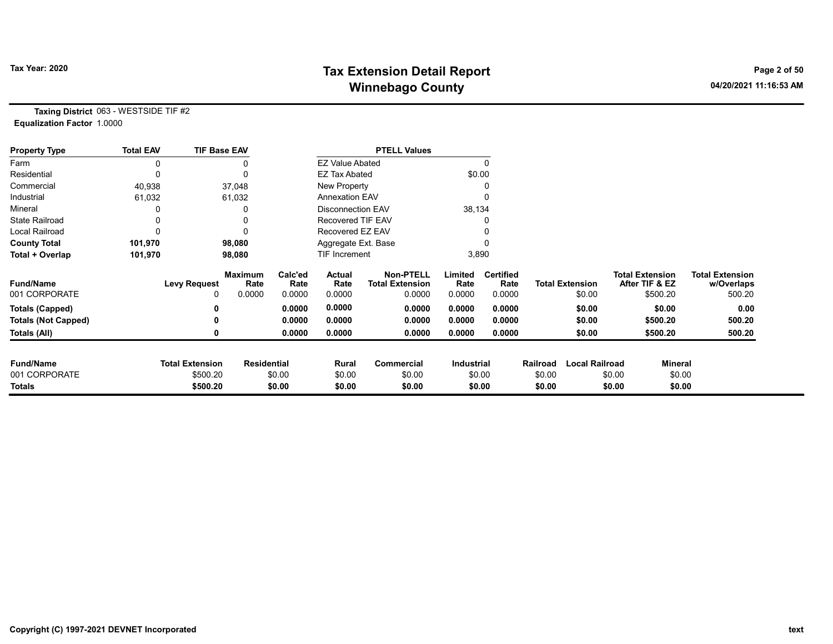# Tax Year: 2020 Page 2 of 50 Winnebago County and the County of the County of the County of the County of the County of the County of the County of the County of the County of the County of the County of the County of the County of the County of the C

Taxing District 063 - WESTSIDE TIF #2 Equalization Factor 1.0000

| <b>Property Type</b>       | <b>Total EAV</b> | <b>TIF Base EAV</b>    |                        |                 |                          | <b>PTELL Values</b>                        |                 |                          |          |                        |                                          |                                      |
|----------------------------|------------------|------------------------|------------------------|-----------------|--------------------------|--------------------------------------------|-----------------|--------------------------|----------|------------------------|------------------------------------------|--------------------------------------|
| Farm                       | 0                |                        |                        |                 | <b>EZ Value Abated</b>   |                                            |                 |                          |          |                        |                                          |                                      |
| Residential                | 0                |                        | $\Omega$               |                 | <b>EZ Tax Abated</b>     |                                            | \$0.00          |                          |          |                        |                                          |                                      |
| Commercial                 | 40,938           |                        | 37,048                 |                 | New Property             |                                            |                 |                          |          |                        |                                          |                                      |
| Industrial                 | 61,032           |                        | 61,032                 |                 | <b>Annexation EAV</b>    |                                            |                 |                          |          |                        |                                          |                                      |
| Mineral                    |                  |                        |                        |                 | <b>Disconnection EAV</b> |                                            | 38,134          |                          |          |                        |                                          |                                      |
| <b>State Railroad</b>      | 0                |                        | 0                      |                 | Recovered TIF EAV        |                                            |                 |                          |          |                        |                                          |                                      |
| <b>Local Railroad</b>      | 0                |                        | $\Omega$               |                 | Recovered EZ EAV         |                                            |                 |                          |          |                        |                                          |                                      |
| <b>County Total</b>        | 101,970          |                        | 98,080                 |                 | Aggregate Ext. Base      |                                            |                 |                          |          |                        |                                          |                                      |
| Total + Overlap            | 101,970          |                        | 98,080                 |                 | TIF Increment            |                                            | 3,890           |                          |          |                        |                                          |                                      |
| <b>Fund/Name</b>           |                  | <b>Levy Request</b>    | <b>Maximum</b><br>Rate | Calc'ed<br>Rate | Actual<br>Rate           | <b>Non-PTELL</b><br><b>Total Extension</b> | Limited<br>Rate | <b>Certified</b><br>Rate |          | <b>Total Extension</b> | <b>Total Extension</b><br>After TIF & EZ | <b>Total Extension</b><br>w/Overlaps |
| 001 CORPORATE              |                  | 0                      | 0.0000                 | 0.0000          | 0.0000                   | 0.0000                                     | 0.0000          | 0.0000                   |          | \$0.00                 | \$500.20                                 | 500.20                               |
| <b>Totals (Capped)</b>     |                  | 0                      |                        | 0.0000          | 0.0000                   | 0.0000                                     | 0.0000          | 0.0000                   |          | \$0.00                 | \$0.00                                   | 0.00                                 |
| <b>Totals (Not Capped)</b> |                  | 0                      |                        | 0.0000          | 0.0000                   | 0.0000                                     | 0.0000          | 0.0000                   |          | \$0.00                 | \$500.20                                 | 500.20                               |
| Totals (All)               |                  | 0                      |                        | 0.0000          | 0.0000                   | 0.0000                                     | 0.0000          | 0.0000                   |          | \$0.00                 | \$500.20                                 | 500.20                               |
| <b>Fund/Name</b>           |                  | <b>Total Extension</b> | <b>Residential</b>     |                 | Rural                    | <b>Commercial</b>                          | Industrial      |                          | Railroad | <b>Local Railroad</b>  |                                          | <b>Mineral</b>                       |
| 001 CORPORATE              |                  | \$500.20               |                        | \$0.00          | \$0.00                   | \$0.00                                     | \$0.00          |                          | \$0.00   |                        | \$0.00                                   | \$0.00                               |
| Totals                     |                  | \$500.20               |                        | \$0.00          | \$0.00                   | \$0.00                                     |                 | \$0.00                   | \$0.00   |                        | \$0.00                                   | \$0.00                               |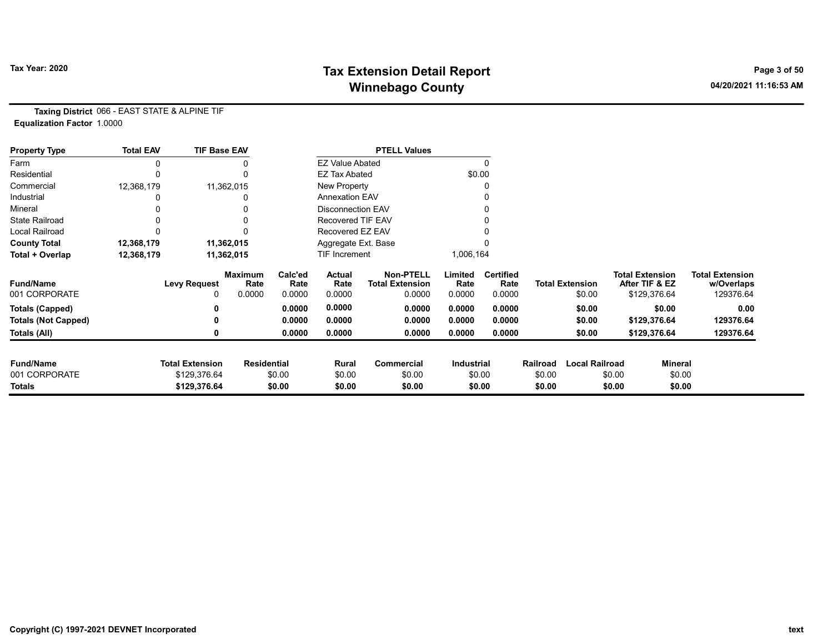# Tax Year: 2020 Page 3 of 50 Winnebago County and the County of the County of the County of the County of the County of the County of the County of the County of the County of the County of the County of the County of the County of the County of the C

Taxing District 066 - EAST STATE & ALPINE TIF Equalization Factor 1.0000

| <b>Property Type</b>       | <b>Total EAV</b> | <b>TIF Base EAV</b>    |                        |                 |                          | <b>PTELL Values</b>                        |                 |                          |          |                        |                                          |              |                                      |
|----------------------------|------------------|------------------------|------------------------|-----------------|--------------------------|--------------------------------------------|-----------------|--------------------------|----------|------------------------|------------------------------------------|--------------|--------------------------------------|
| Farm                       | O                |                        |                        |                 | <b>EZ Value Abated</b>   |                                            |                 |                          |          |                        |                                          |              |                                      |
| Residential                | 0                |                        |                        |                 | <b>EZ Tax Abated</b>     |                                            | \$0.00          |                          |          |                        |                                          |              |                                      |
| Commercial                 | 12,368,179       |                        | 11,362,015             |                 | New Property             |                                            |                 |                          |          |                        |                                          |              |                                      |
| Industrial                 |                  |                        |                        |                 | <b>Annexation EAV</b>    |                                            |                 |                          |          |                        |                                          |              |                                      |
| Mineral                    |                  |                        |                        |                 | <b>Disconnection EAV</b> |                                            |                 |                          |          |                        |                                          |              |                                      |
| <b>State Railroad</b>      |                  |                        |                        |                 | <b>Recovered TIF EAV</b> |                                            |                 |                          |          |                        |                                          |              |                                      |
| Local Railroad             |                  |                        |                        |                 | Recovered EZ EAV         |                                            |                 |                          |          |                        |                                          |              |                                      |
| <b>County Total</b>        | 12,368,179       |                        | 11,362,015             |                 | Aggregate Ext. Base      |                                            |                 |                          |          |                        |                                          |              |                                      |
| Total + Overlap            | 12,368,179       |                        | 11,362,015             |                 | TIF Increment            |                                            | 1,006,164       |                          |          |                        |                                          |              |                                      |
| <b>Fund/Name</b>           |                  | <b>Levy Request</b>    | <b>Maximum</b><br>Rate | Calc'ed<br>Rate | Actual<br>Rate           | <b>Non-PTELL</b><br><b>Total Extension</b> | Limited<br>Rate | <b>Certified</b><br>Rate |          | <b>Total Extension</b> | <b>Total Extension</b><br>After TIF & EZ |              | <b>Total Extension</b><br>w/Overlaps |
| 001 CORPORATE              |                  | 0                      | 0.0000                 | 0.0000          | 0.0000                   | 0.0000                                     | 0.0000          | 0.0000                   |          | \$0.00                 |                                          | \$129,376.64 | 129376.64                            |
| <b>Totals (Capped)</b>     |                  | 0                      |                        | 0.0000          | 0.0000                   | 0.0000                                     | 0.0000          | 0.0000                   |          | \$0.00                 |                                          | \$0.00       | 0.00                                 |
| <b>Totals (Not Capped)</b> |                  | 0                      |                        | 0.0000          | 0.0000                   | 0.0000                                     | 0.0000          | 0.0000                   |          | \$0.00                 |                                          | \$129,376.64 | 129376.64                            |
| Totals (All)               |                  | 0                      |                        | 0.0000          | 0.0000                   | 0.0000                                     | 0.0000          | 0.0000                   |          | \$0.00                 |                                          | \$129,376.64 | 129376.64                            |
| <b>Fund/Name</b>           |                  | <b>Total Extension</b> | <b>Residential</b>     |                 | Rural                    | <b>Commercial</b>                          | Industrial      |                          | Railroad | <b>Local Railroad</b>  |                                          | Mineral      |                                      |
| 001 CORPORATE              |                  | \$129,376.64           |                        | \$0.00          | \$0.00                   | \$0.00                                     |                 | \$0.00                   | \$0.00   |                        | \$0.00                                   | \$0.00       |                                      |
| Totals                     |                  | \$129,376.64           |                        | \$0.00          | \$0.00                   | \$0.00                                     |                 | \$0.00                   | \$0.00   |                        | \$0.00                                   | \$0.00       |                                      |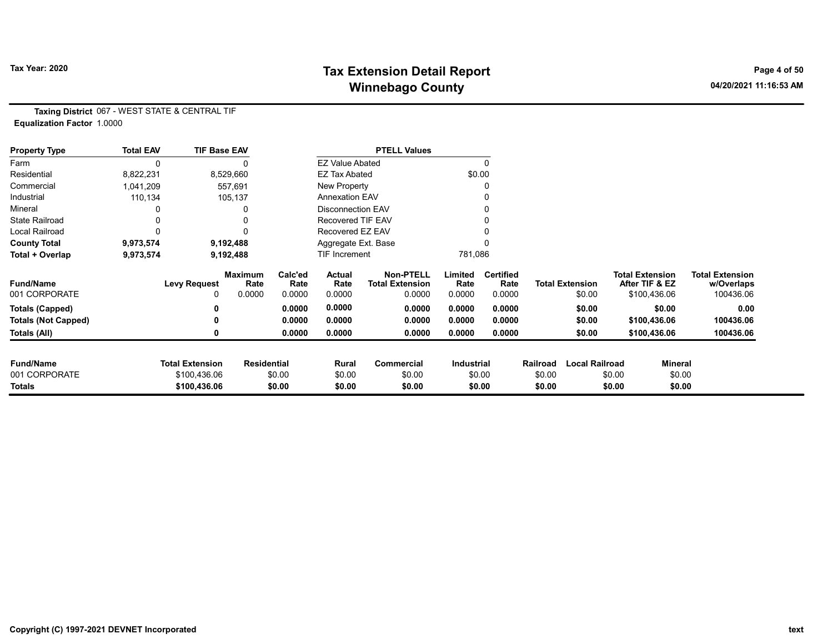# Tax Year: 2020 Page 4 of 50 Winnebago County and the County of the County of the County of the County of the County of the County of the County of the County of the County of the County of the County of the County of the County of the County of the C

Taxing District 067 - WEST STATE & CENTRAL TIF Equalization Factor 1.0000

| <b>Property Type</b>       | <b>Total EAV</b> | <b>TIF Base EAV</b>    |                        |                 |                          | <b>PTELL Values</b>                        |                 |                          |          |                        |                                          |              |                                      |
|----------------------------|------------------|------------------------|------------------------|-----------------|--------------------------|--------------------------------------------|-----------------|--------------------------|----------|------------------------|------------------------------------------|--------------|--------------------------------------|
| Farm                       | 0                |                        |                        |                 | <b>EZ Value Abated</b>   |                                            |                 |                          |          |                        |                                          |              |                                      |
| Residential                | 8,822,231        |                        | 8,529,660              |                 | <b>EZ Tax Abated</b>     |                                            | \$0.00          |                          |          |                        |                                          |              |                                      |
| Commercial                 | 1,041,209        |                        | 557,691                |                 | New Property             |                                            |                 |                          |          |                        |                                          |              |                                      |
| Industrial                 | 110,134          |                        | 105,137                |                 | <b>Annexation EAV</b>    |                                            |                 |                          |          |                        |                                          |              |                                      |
| Mineral                    |                  |                        |                        |                 | <b>Disconnection EAV</b> |                                            |                 |                          |          |                        |                                          |              |                                      |
| State Railroad             | 0                |                        |                        |                 | Recovered TIF EAV        |                                            |                 |                          |          |                        |                                          |              |                                      |
| Local Railroad             | 0                |                        |                        |                 | Recovered EZ EAV         |                                            |                 |                          |          |                        |                                          |              |                                      |
| <b>County Total</b>        | 9,973,574        |                        | 9,192,488              |                 | Aggregate Ext. Base      |                                            |                 |                          |          |                        |                                          |              |                                      |
| Total + Overlap            | 9,973,574        |                        | 9,192,488              |                 | TIF Increment            |                                            | 781,086         |                          |          |                        |                                          |              |                                      |
| <b>Fund/Name</b>           |                  | <b>Levy Request</b>    | <b>Maximum</b><br>Rate | Calc'ed<br>Rate | Actual<br>Rate           | <b>Non-PTELL</b><br><b>Total Extension</b> | Limited<br>Rate | <b>Certified</b><br>Rate |          | <b>Total Extension</b> | <b>Total Extension</b><br>After TIF & EZ |              | <b>Total Extension</b><br>w/Overlaps |
| 001 CORPORATE              |                  | 0                      | 0.0000                 | 0.0000          | 0.0000                   | 0.0000                                     | 0.0000          | 0.0000                   |          | \$0.00                 |                                          | \$100,436.06 | 100436.06                            |
| <b>Totals (Capped)</b>     |                  | 0                      |                        | 0.0000          | 0.0000                   | 0.0000                                     | 0.0000          | 0.0000                   |          | \$0.00                 |                                          | \$0.00       | 0.00                                 |
| <b>Totals (Not Capped)</b> |                  | 0                      |                        | 0.0000          | 0.0000                   | 0.0000                                     | 0.0000          | 0.0000                   |          | \$0.00                 |                                          | \$100,436.06 | 100436.06                            |
| Totals (All)               |                  | 0                      |                        | 0.0000          | 0.0000                   | 0.0000                                     | 0.0000          | 0.0000                   |          | \$0.00                 |                                          | \$100,436.06 | 100436.06                            |
| <b>Fund/Name</b>           |                  | <b>Total Extension</b> | <b>Residential</b>     |                 | Rural                    | <b>Commercial</b>                          | Industrial      |                          | Railroad | <b>Local Railroad</b>  |                                          | Mineral      |                                      |
| 001 CORPORATE              |                  | \$100,436.06           |                        | \$0.00          | \$0.00                   | \$0.00                                     |                 | \$0.00                   | \$0.00   |                        | \$0.00                                   | \$0.00       |                                      |
| <b>Totals</b>              |                  | \$100,436.06           |                        | \$0.00          | \$0.00                   | \$0.00                                     |                 | \$0.00                   | \$0.00   |                        | \$0.00                                   | \$0.00       |                                      |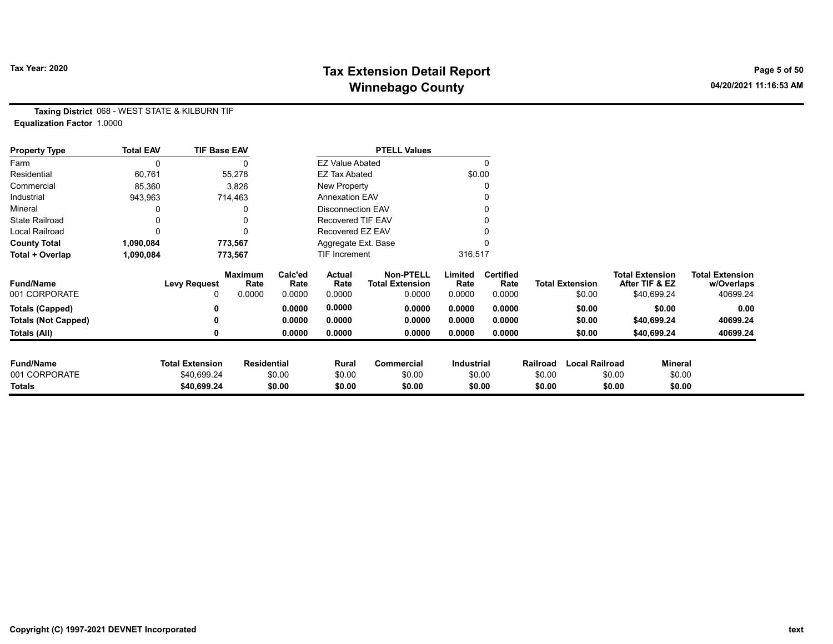# Tax Year: 2020 Page 5 of 50 Winnebago County and the County of the County of the County of the County of the County of the County of the County of the County of the County of the County of the County of the County of the County of the County of the C

Taxing District 068 - WEST STATE & KILBURN TIF Equalization Factor 1.0000

| <b>Property Type</b>       | <b>Total EAV</b> | <b>TIF Base EAV</b>    |                        |                 |                          | <b>PTELL Values</b>                        |                   |                          |          |                        |                        |                |                                      |
|----------------------------|------------------|------------------------|------------------------|-----------------|--------------------------|--------------------------------------------|-------------------|--------------------------|----------|------------------------|------------------------|----------------|--------------------------------------|
| Farm                       | $\Omega$         |                        |                        |                 | <b>EZ Value Abated</b>   |                                            |                   |                          |          |                        |                        |                |                                      |
| Residential                | 60,761           |                        | 55,278                 |                 | <b>EZ Tax Abated</b>     |                                            | \$0.00            |                          |          |                        |                        |                |                                      |
| Commercial                 | 85,360           |                        | 3,826                  |                 | New Property             |                                            |                   |                          |          |                        |                        |                |                                      |
| Industrial                 | 943,963          |                        | 714,463                |                 | <b>Annexation EAV</b>    |                                            |                   |                          |          |                        |                        |                |                                      |
| Mineral                    |                  |                        |                        |                 | <b>Disconnection EAV</b> |                                            |                   |                          |          |                        |                        |                |                                      |
| <b>State Railroad</b>      |                  |                        |                        |                 | <b>Recovered TIF EAV</b> |                                            |                   |                          |          |                        |                        |                |                                      |
| <b>Local Railroad</b>      |                  |                        |                        |                 | Recovered EZ EAV         |                                            |                   |                          |          |                        |                        |                |                                      |
| <b>County Total</b>        | 1,090,084        |                        | 773,567                |                 | Aggregate Ext. Base      |                                            |                   |                          |          |                        |                        |                |                                      |
| Total + Overlap            | 1,090,084        |                        | 773,567                |                 | <b>TIF Increment</b>     |                                            | 316,517           |                          |          |                        |                        |                |                                      |
| <b>Fund/Name</b>           |                  | <b>Levy Request</b>    | <b>Maximum</b><br>Rate | Calc'ed<br>Rate | Actual<br>Rate           | <b>Non-PTELL</b><br><b>Total Extension</b> | Limited<br>Rate   | <b>Certified</b><br>Rate |          | <b>Total Extension</b> | <b>Total Extension</b> | After TIF & EZ | <b>Total Extension</b><br>w/Overlaps |
| 001 CORPORATE              |                  | 0                      | 0.0000                 | 0.0000          | 0.0000                   | 0.0000                                     | 0.0000            | 0.0000                   |          | \$0.00                 |                        | \$40,699.24    | 40699.24                             |
| Totals (Capped)            |                  |                        |                        | 0.0000          | 0.0000                   | 0.0000                                     | 0.0000            | 0.0000                   |          | \$0.00                 |                        | \$0.00         | 0.00                                 |
| <b>Totals (Not Capped)</b> |                  |                        |                        | 0.0000          | 0.0000                   | 0.0000                                     | 0.0000            | 0.0000                   |          | \$0.00                 |                        | \$40,699.24    | 40699.24                             |
| Totals (All)               |                  |                        |                        | 0.0000          | 0.0000                   | 0.0000                                     | 0.0000            | 0.0000                   |          | \$0.00                 |                        | \$40,699.24    | 40699.24                             |
| <b>Fund/Name</b>           |                  | <b>Total Extension</b> | Residential            |                 | Rural                    | <b>Commercial</b>                          | <b>Industrial</b> |                          | Railroad | <b>Local Railroad</b>  |                        | Mineral        |                                      |
| 001 CORPORATE              |                  | \$40,699.24            |                        | \$0.00          | \$0.00                   | \$0.00                                     |                   | \$0.00                   | \$0.00   |                        | \$0.00                 | \$0.00         |                                      |
| Totals                     |                  | \$40,699.24            |                        | \$0.00          | \$0.00                   | \$0.00                                     |                   | \$0.00                   | \$0.00   |                        | \$0.00                 | \$0.00         |                                      |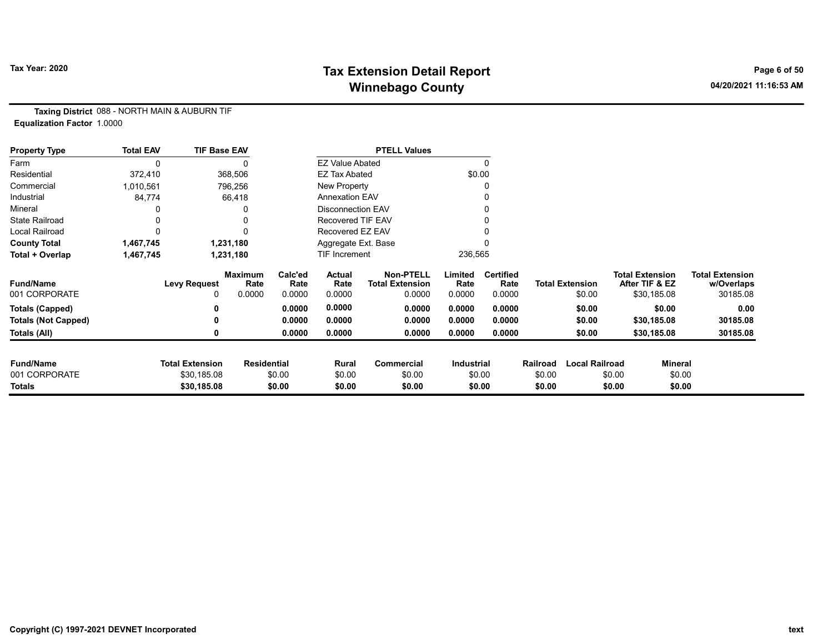# Tax Year: 2020 Page 6 of 50 Winnebago County and the County of the County of the County of the County of the County of the County of the County of the County of the County of the County of the County of the County of the County of the County of the C

Taxing District 088 - NORTH MAIN & AUBURN TIF Equalization Factor 1.0000

| <b>Property Type</b>       | <b>Total EAV</b> | <b>TIF Base EAV</b>    |                        |                 |                          | <b>PTELL Values</b>                        |                   |                          |          |                        |                                          |                |                                      |
|----------------------------|------------------|------------------------|------------------------|-----------------|--------------------------|--------------------------------------------|-------------------|--------------------------|----------|------------------------|------------------------------------------|----------------|--------------------------------------|
| Farm                       | 0                |                        |                        |                 | <b>EZ Value Abated</b>   |                                            |                   | 0                        |          |                        |                                          |                |                                      |
| Residential                | 372,410          |                        | 368,506                |                 | <b>EZ Tax Abated</b>     |                                            | \$0.00            |                          |          |                        |                                          |                |                                      |
| Commercial                 | 1,010,561        |                        | 796,256                |                 | New Property             |                                            |                   | 0                        |          |                        |                                          |                |                                      |
| Industrial                 | 84,774           |                        | 66,418                 |                 | <b>Annexation EAV</b>    |                                            |                   |                          |          |                        |                                          |                |                                      |
| Mineral                    |                  |                        |                        |                 | <b>Disconnection EAV</b> |                                            |                   |                          |          |                        |                                          |                |                                      |
| <b>State Railroad</b>      |                  |                        |                        |                 | Recovered TIF EAV        |                                            |                   |                          |          |                        |                                          |                |                                      |
| <b>Local Railroad</b>      |                  |                        |                        |                 | Recovered EZ EAV         |                                            |                   |                          |          |                        |                                          |                |                                      |
| <b>County Total</b>        | 1,467,745        |                        | 1,231,180              |                 | Aggregate Ext. Base      |                                            |                   |                          |          |                        |                                          |                |                                      |
| Total + Overlap            | 1,467,745        |                        | 1,231,180              |                 | TIF Increment            |                                            | 236,565           |                          |          |                        |                                          |                |                                      |
| <b>Fund/Name</b>           |                  | <b>Levy Request</b>    | <b>Maximum</b><br>Rate | Calc'ed<br>Rate | <b>Actual</b><br>Rate    | <b>Non-PTELL</b><br><b>Total Extension</b> | Limited<br>Rate   | <b>Certified</b><br>Rate |          | <b>Total Extension</b> | <b>Total Extension</b><br>After TIF & EZ |                | <b>Total Extension</b><br>w/Overlaps |
| 001 CORPORATE              |                  | 0                      | 0.0000                 | 0.0000          | 0.0000                   | 0.0000                                     | 0.0000            | 0.0000                   |          | \$0.00                 |                                          | \$30,185.08    | 30185.08                             |
| <b>Totals (Capped)</b>     |                  |                        |                        | 0.0000          | 0.0000                   | 0.0000                                     | 0.0000            | 0.0000                   |          | \$0.00                 |                                          | \$0.00         | 0.00                                 |
| <b>Totals (Not Capped)</b> |                  |                        |                        | 0.0000          | 0.0000                   | 0.0000                                     | 0.0000            | 0.0000                   |          | \$0.00                 |                                          | \$30,185.08    | 30185.08                             |
| Totals (All)               |                  |                        |                        | 0.0000          | 0.0000                   | 0.0000                                     | 0.0000            | 0.0000                   |          | \$0.00                 |                                          | \$30,185.08    | 30185.08                             |
| <b>Fund/Name</b>           |                  | <b>Total Extension</b> | <b>Residential</b>     |                 | Rural                    | Commercial                                 | <b>Industrial</b> |                          | Railroad | <b>Local Railroad</b>  |                                          | <b>Mineral</b> |                                      |
| 001 CORPORATE              |                  | \$30,185.08            |                        | \$0.00          | \$0.00                   | \$0.00                                     |                   | \$0.00                   | \$0.00   |                        | \$0.00                                   | \$0.00         |                                      |
| Totals                     |                  | \$30,185.08            |                        | \$0.00          | \$0.00                   | \$0.00                                     |                   | \$0.00                   | \$0.00   |                        | \$0.00                                   | \$0.00         |                                      |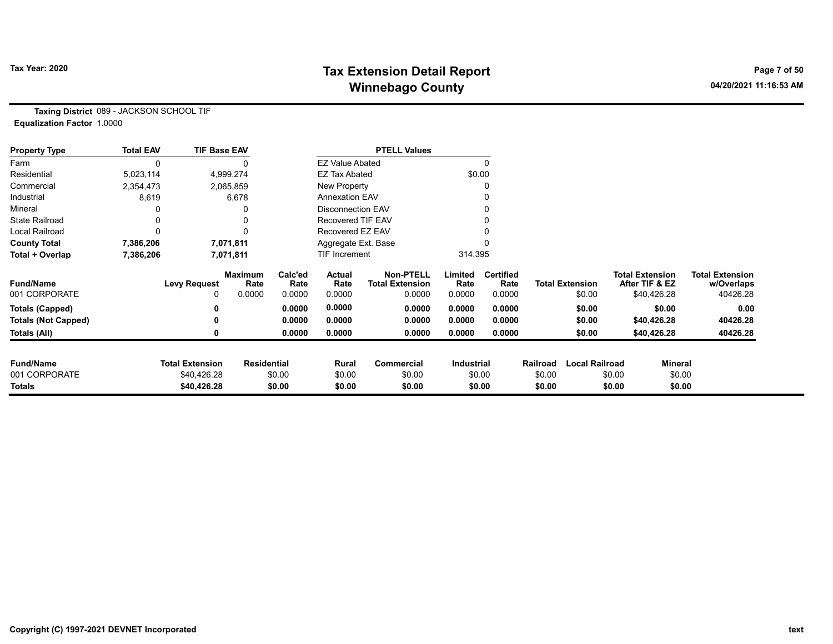# Tax Year: 2020 Page 7 of 50 Winnebago County and the County of the County of the County of the County of the County of the County of the County of the County of the County of the County of the County of the County of the County of the County of the C

Taxing District 089 - JACKSON SCHOOL TIF Equalization Factor 1.0000

| <b>Property Type</b>       | <b>Total EAV</b> | <b>TIF Base EAV</b>    |                        |                 |                          | <b>PTELL Values</b>                        |                   |                          |          |                        |        |                                          |                                      |
|----------------------------|------------------|------------------------|------------------------|-----------------|--------------------------|--------------------------------------------|-------------------|--------------------------|----------|------------------------|--------|------------------------------------------|--------------------------------------|
| Farm                       | $\Omega$         |                        |                        |                 | <b>EZ Value Abated</b>   |                                            |                   | $\mathbf{0}$             |          |                        |        |                                          |                                      |
| Residential                | 5,023,114        |                        | 4,999,274              |                 | <b>EZ Tax Abated</b>     |                                            |                   | \$0.00                   |          |                        |        |                                          |                                      |
| Commercial                 | 2,354,473        |                        | 2,065,859              |                 | New Property             |                                            |                   |                          |          |                        |        |                                          |                                      |
| Industrial                 | 8,619            |                        | 6,678                  |                 | <b>Annexation EAV</b>    |                                            |                   |                          |          |                        |        |                                          |                                      |
| Mineral                    |                  |                        |                        |                 | <b>Disconnection EAV</b> |                                            |                   | 0                        |          |                        |        |                                          |                                      |
| <b>State Railroad</b>      | 0                |                        |                        |                 | Recovered TIF EAV        |                                            |                   |                          |          |                        |        |                                          |                                      |
| Local Railroad             | 0                |                        | $\Omega$               |                 | Recovered EZ EAV         |                                            |                   |                          |          |                        |        |                                          |                                      |
| <b>County Total</b>        | 7,386,206        |                        | 7,071,811              |                 | Aggregate Ext. Base      |                                            |                   |                          |          |                        |        |                                          |                                      |
| Total + Overlap            | 7,386,206        |                        | 7,071,811              |                 | TIF Increment            |                                            | 314,395           |                          |          |                        |        |                                          |                                      |
| <b>Fund/Name</b>           |                  | <b>Levy Request</b>    | <b>Maximum</b><br>Rate | Calc'ed<br>Rate | Actual<br>Rate           | <b>Non-PTELL</b><br><b>Total Extension</b> | Limited<br>Rate   | <b>Certified</b><br>Rate |          | <b>Total Extension</b> |        | <b>Total Extension</b><br>After TIF & EZ | <b>Total Extension</b><br>w/Overlaps |
| 001 CORPORATE              |                  | 0                      | 0.0000                 | 0.0000          | 0.0000                   | 0.0000                                     | 0.0000            | 0.0000                   |          | \$0.00                 |        | \$40,426.28                              | 40426.28                             |
| <b>Totals (Capped)</b>     |                  | 0                      |                        | 0.0000          | 0.0000                   | 0.0000                                     | 0.0000            | 0.0000                   |          | \$0.00                 |        | \$0.00                                   | 0.00                                 |
| <b>Totals (Not Capped)</b> |                  | 0                      |                        | 0.0000          | 0.0000                   | 0.0000                                     | 0.0000            | 0.0000                   |          | \$0.00                 |        | \$40,426.28                              | 40426.28                             |
| Totals (All)               |                  | 0                      |                        | 0.0000          | 0.0000                   | 0.0000                                     | 0.0000            | 0.0000                   |          | \$0.00                 |        | \$40,426.28                              | 40426.28                             |
| <b>Fund/Name</b>           |                  | <b>Total Extension</b> | <b>Residential</b>     |                 |                          |                                            | <b>Industrial</b> |                          | Railroad | <b>Local Railroad</b>  |        | <b>Mineral</b>                           |                                      |
| 001 CORPORATE              |                  | \$40,426.28            |                        | \$0.00          | Rural<br>\$0.00          | Commercial<br>\$0.00                       |                   | \$0.00                   | \$0.00   |                        | \$0.00 | \$0.00                                   |                                      |
| <b>Totals</b>              |                  | \$40,426.28            |                        | \$0.00          | \$0.00                   | \$0.00                                     |                   | \$0.00                   | \$0.00   |                        | \$0.00 | \$0.00                                   |                                      |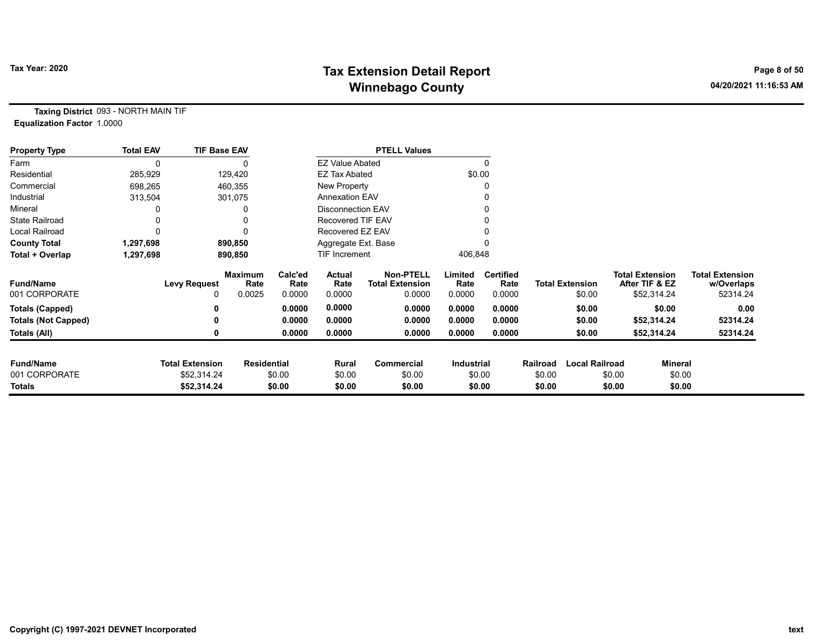# Tax Year: 2020 Page 8 of 50 Winnebago County and the County of the County of the County of the County of the County of the County of the County of the County of the County of the County of the County of the County of the County of the County of the C

Taxing District 093 - NORTH MAIN TIF Equalization Factor 1.0000

| <b>Property Type</b>       | <b>Total EAV</b> | <b>TIF Base EAV</b>    |                        |                 |                          | <b>PTELL Values</b>                        |                   |                          |          |                        |        |                                          |                                      |
|----------------------------|------------------|------------------------|------------------------|-----------------|--------------------------|--------------------------------------------|-------------------|--------------------------|----------|------------------------|--------|------------------------------------------|--------------------------------------|
| Farm                       | $\mathbf{0}$     |                        |                        |                 | <b>EZ Value Abated</b>   |                                            |                   |                          |          |                        |        |                                          |                                      |
| Residential                | 285,929          |                        | 129,420                |                 | <b>EZ Tax Abated</b>     |                                            | \$0.00            |                          |          |                        |        |                                          |                                      |
| Commercial                 | 698,265          |                        | 460,355                |                 | <b>New Property</b>      |                                            |                   |                          |          |                        |        |                                          |                                      |
| Industrial                 | 313,504          |                        | 301,075                |                 | <b>Annexation EAV</b>    |                                            |                   |                          |          |                        |        |                                          |                                      |
| Mineral                    |                  |                        |                        |                 | <b>Disconnection EAV</b> |                                            |                   |                          |          |                        |        |                                          |                                      |
| <b>State Railroad</b>      |                  |                        |                        |                 | Recovered TIF EAV        |                                            |                   |                          |          |                        |        |                                          |                                      |
| Local Railroad             |                  |                        | O                      |                 | Recovered EZ EAV         |                                            |                   |                          |          |                        |        |                                          |                                      |
| <b>County Total</b>        | 1,297,698        |                        | 890,850                |                 | Aggregate Ext. Base      |                                            |                   |                          |          |                        |        |                                          |                                      |
| Total + Overlap            | 1,297,698        |                        | 890,850                |                 | <b>TIF Increment</b>     |                                            | 406,848           |                          |          |                        |        |                                          |                                      |
| <b>Fund/Name</b>           |                  | <b>Levy Request</b>    | <b>Maximum</b><br>Rate | Calc'ed<br>Rate | Actual<br>Rate           | <b>Non-PTELL</b><br><b>Total Extension</b> | Limited<br>Rate   | <b>Certified</b><br>Rate |          | <b>Total Extension</b> |        | <b>Total Extension</b><br>After TIF & EZ | <b>Total Extension</b><br>w/Overlaps |
| 001 CORPORATE              |                  | 0                      | 0.0025                 | 0.0000          | 0.0000                   | 0.0000                                     | 0.0000            | 0.0000                   |          | \$0.00                 |        | \$52,314.24                              | 52314.24                             |
| <b>Totals (Capped)</b>     |                  |                        |                        | 0.0000          | 0.0000                   | 0.0000                                     | 0.0000            | 0.0000                   |          | \$0.00                 |        | \$0.00                                   | 0.00                                 |
| <b>Totals (Not Capped)</b> |                  | 0                      |                        | 0.0000          | 0.0000                   | 0.0000                                     | 0.0000            | 0.0000                   |          | \$0.00                 |        | \$52,314.24                              | 52314.24                             |
| Totals (All)               |                  | 0                      |                        | 0.0000          | 0.0000                   | 0.0000                                     | 0.0000            | 0.0000                   |          | \$0.00                 |        | \$52,314.24                              | 52314.24                             |
| <b>Fund/Name</b>           |                  | <b>Total Extension</b> | <b>Residential</b>     |                 | Rural                    | Commercial                                 | <b>Industrial</b> |                          | Railroad | <b>Local Railroad</b>  |        | <b>Mineral</b>                           |                                      |
| 001 CORPORATE              |                  | \$52,314.24            |                        | \$0.00          | \$0.00                   | \$0.00                                     |                   | \$0.00                   | \$0.00   |                        | \$0.00 | \$0.00                                   |                                      |
| <b>Totals</b>              |                  | \$52,314.24            |                        | \$0.00          | \$0.00                   | \$0.00                                     |                   | \$0.00                   | \$0.00   |                        | \$0.00 | \$0.00                                   |                                      |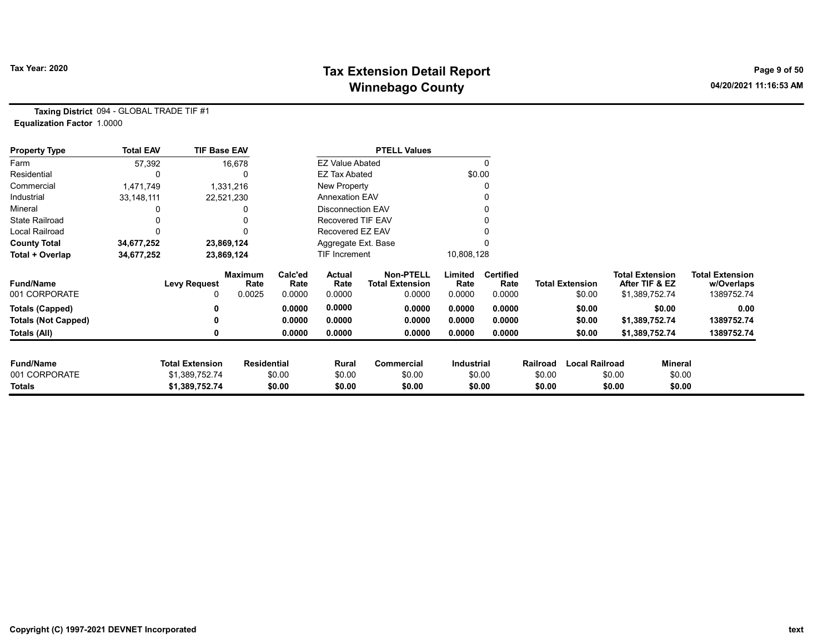# Tax Year: 2020 Page 9 of 50 Winnebago County and the County of the County of the County of the County of the County of the County of the County of the County of the County of the County of the County of the County of the County of the County of the C

Taxing District 094 - GLOBAL TRADE TIF #1 Equalization Factor 1.0000

| <b>Property Type</b>       | <b>Total EAV</b> | <b>TIF Base EAV</b>    |                        |                 |                          | <b>PTELL Values</b>                        |                   |                          |          |                        |                                          |                                      |
|----------------------------|------------------|------------------------|------------------------|-----------------|--------------------------|--------------------------------------------|-------------------|--------------------------|----------|------------------------|------------------------------------------|--------------------------------------|
| Farm                       | 57,392           |                        | 16,678                 |                 | <b>EZ Value Abated</b>   |                                            |                   | 0                        |          |                        |                                          |                                      |
| Residential                | 0                |                        |                        |                 | <b>EZ Tax Abated</b>     |                                            | \$0.00            |                          |          |                        |                                          |                                      |
| Commercial                 | 1,471,749        |                        | 1,331,216              |                 | New Property             |                                            |                   |                          |          |                        |                                          |                                      |
| Industrial                 | 33,148,111       |                        | 22,521,230             |                 | <b>Annexation EAV</b>    |                                            |                   |                          |          |                        |                                          |                                      |
| Mineral                    |                  |                        |                        |                 | <b>Disconnection EAV</b> |                                            |                   | ი                        |          |                        |                                          |                                      |
| <b>State Railroad</b>      |                  |                        |                        |                 | Recovered TIF EAV        |                                            |                   |                          |          |                        |                                          |                                      |
| <b>Local Railroad</b>      |                  |                        |                        |                 | Recovered EZ EAV         |                                            |                   |                          |          |                        |                                          |                                      |
| <b>County Total</b>        | 34,677,252       |                        | 23,869,124             |                 | Aggregate Ext. Base      |                                            |                   |                          |          |                        |                                          |                                      |
| Total + Overlap            | 34,677,252       |                        | 23,869,124             |                 | TIF Increment            |                                            | 10,808,128        |                          |          |                        |                                          |                                      |
| <b>Fund/Name</b>           |                  | <b>Levy Request</b>    | <b>Maximum</b><br>Rate | Calc'ed<br>Rate | <b>Actual</b><br>Rate    | <b>Non-PTELL</b><br><b>Total Extension</b> | Limited<br>Rate   | <b>Certified</b><br>Rate |          | <b>Total Extension</b> | <b>Total Extension</b><br>After TIF & EZ | <b>Total Extension</b><br>w/Overlaps |
| 001 CORPORATE              |                  | $\Omega$               | 0.0025                 | 0.0000          | 0.0000                   | 0.0000                                     | 0.0000            | 0.0000                   |          | \$0.00                 | \$1,389,752.74                           | 1389752.74                           |
| <b>Totals (Capped)</b>     |                  |                        |                        | 0.0000          | 0.0000                   | 0.0000                                     | 0.0000            | 0.0000                   |          | \$0.00                 | \$0.00                                   | 0.00                                 |
| <b>Totals (Not Capped)</b> |                  |                        |                        | 0.0000          | 0.0000                   | 0.0000                                     | 0.0000            | 0.0000                   |          | \$0.00                 | \$1,389,752.74                           | 1389752.74                           |
| Totals (All)               |                  |                        |                        | 0.0000          | 0.0000                   | 0.0000                                     | 0.0000            | 0.0000                   |          | \$0.00                 | \$1,389,752.74                           | 1389752.74                           |
| <b>Fund/Name</b>           |                  | <b>Total Extension</b> | <b>Residential</b>     |                 | Rural                    | <b>Commercial</b>                          | <b>Industrial</b> |                          | Railroad | <b>Local Railroad</b>  | <b>Mineral</b>                           |                                      |
| 001 CORPORATE              |                  | \$1,389,752.74         |                        | \$0.00          | \$0.00                   | \$0.00                                     |                   | \$0.00                   | \$0.00   |                        | \$0.00                                   | \$0.00                               |
| <b>Totals</b>              |                  | \$1,389,752.74         |                        | \$0.00          | \$0.00                   | \$0.00                                     |                   | \$0.00                   | \$0.00   |                        | \$0.00                                   | \$0.00                               |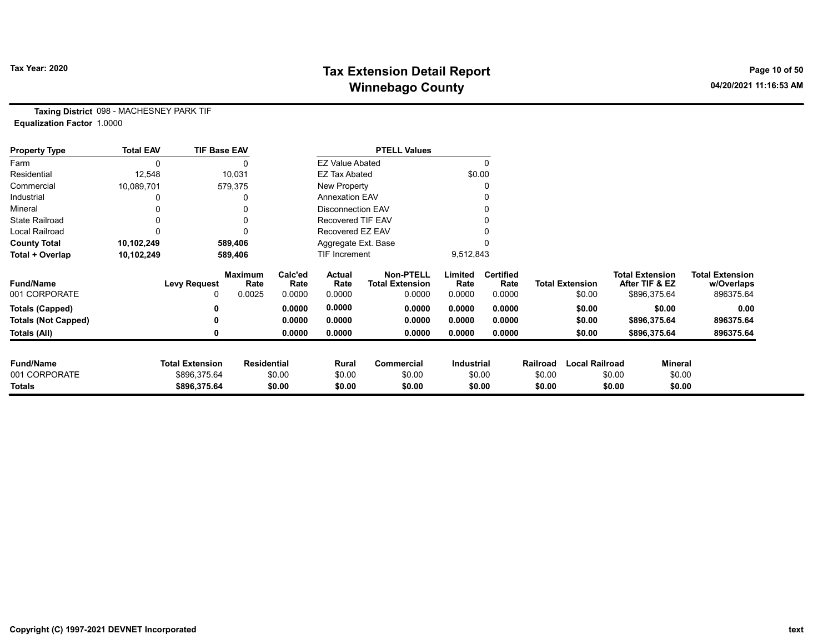# Tax Year: 2020 Page 10 of 50 Winnebago County and the County of the County of the County of the County of the County of the County of the County of the County of the County of the County of the County of the County of the County of the County of the C

Taxing District 098 - MACHESNEY PARK TIF Equalization Factor 1.0000

| <b>Property Type</b>       | <b>Total EAV</b> | <b>TIF Base EAV</b>    |                        |                 |                          | <b>PTELL Values</b>                        |                   |                          |                  |                        |                                          |              |                                      |
|----------------------------|------------------|------------------------|------------------------|-----------------|--------------------------|--------------------------------------------|-------------------|--------------------------|------------------|------------------------|------------------------------------------|--------------|--------------------------------------|
| Farm                       | 0                |                        | 0                      |                 | <b>EZ Value Abated</b>   |                                            |                   | $\Omega$                 |                  |                        |                                          |              |                                      |
| Residential                | 12,548           |                        | 10,031                 |                 | <b>EZ Tax Abated</b>     |                                            |                   | \$0.00                   |                  |                        |                                          |              |                                      |
| Commercial                 | 10,089,701       |                        | 579,375                |                 | New Property             |                                            |                   | 0                        |                  |                        |                                          |              |                                      |
| Industrial                 |                  |                        |                        |                 | <b>Annexation EAV</b>    |                                            |                   |                          |                  |                        |                                          |              |                                      |
| Mineral                    |                  |                        |                        |                 | <b>Disconnection EAV</b> |                                            |                   | 0                        |                  |                        |                                          |              |                                      |
| <b>State Railroad</b>      | 0                |                        | 0                      |                 | <b>Recovered TIF EAV</b> |                                            |                   |                          |                  |                        |                                          |              |                                      |
| Local Railroad             |                  |                        | O                      |                 | Recovered EZ EAV         |                                            |                   |                          |                  |                        |                                          |              |                                      |
| <b>County Total</b>        | 10,102,249       |                        | 589,406                |                 | Aggregate Ext. Base      |                                            |                   |                          |                  |                        |                                          |              |                                      |
| Total + Overlap            | 10,102,249       |                        | 589,406                |                 | TIF Increment            |                                            | 9,512,843         |                          |                  |                        |                                          |              |                                      |
| <b>Fund/Name</b>           |                  | <b>Levy Request</b>    | <b>Maximum</b><br>Rate | Calc'ed<br>Rate | Actual<br>Rate           | <b>Non-PTELL</b><br><b>Total Extension</b> | Limited<br>Rate   | <b>Certified</b><br>Rate |                  | <b>Total Extension</b> | <b>Total Extension</b><br>After TIF & EZ |              | <b>Total Extension</b><br>w/Overlaps |
| 001 CORPORATE              |                  |                        | 0.0025                 | 0.0000          | 0.0000                   | 0.0000                                     | 0.0000            | 0.0000                   |                  | \$0.00                 |                                          | \$896,375.64 | 896375.64                            |
| <b>Totals (Capped)</b>     |                  |                        |                        | 0.0000          | 0.0000                   | 0.0000                                     | 0.0000            | 0.0000                   |                  | \$0.00                 |                                          | \$0.00       | 0.00                                 |
| <b>Totals (Not Capped)</b> |                  | n                      |                        | 0.0000          | 0.0000                   | 0.0000                                     | 0.0000            | 0.0000                   |                  | \$0.00                 |                                          | \$896,375.64 | 896375.64                            |
| Totals (All)               |                  | 0                      |                        | 0.0000          | 0.0000                   | 0.0000                                     | 0.0000            | 0.0000                   |                  | \$0.00                 |                                          | \$896,375.64 | 896375.64                            |
| <b>Fund/Name</b>           |                  | <b>Total Extension</b> |                        |                 |                          |                                            |                   |                          |                  |                        |                                          |              |                                      |
| 001 CORPORATE              |                  |                        | <b>Residential</b>     |                 | Rural                    | Commercial                                 | <b>Industrial</b> |                          | Railroad         | <b>Local Railroad</b>  |                                          | Mineral      |                                      |
| <b>Totals</b>              |                  | \$896,375.64           |                        | \$0.00          | \$0.00                   | \$0.00<br>\$0.00                           |                   | \$0.00<br>\$0.00         | \$0.00<br>\$0.00 |                        | \$0.00<br>\$0.00                         | \$0.00       |                                      |
|                            |                  | \$896,375.64           |                        | \$0.00          | \$0.00                   |                                            |                   |                          |                  |                        |                                          | \$0.00       |                                      |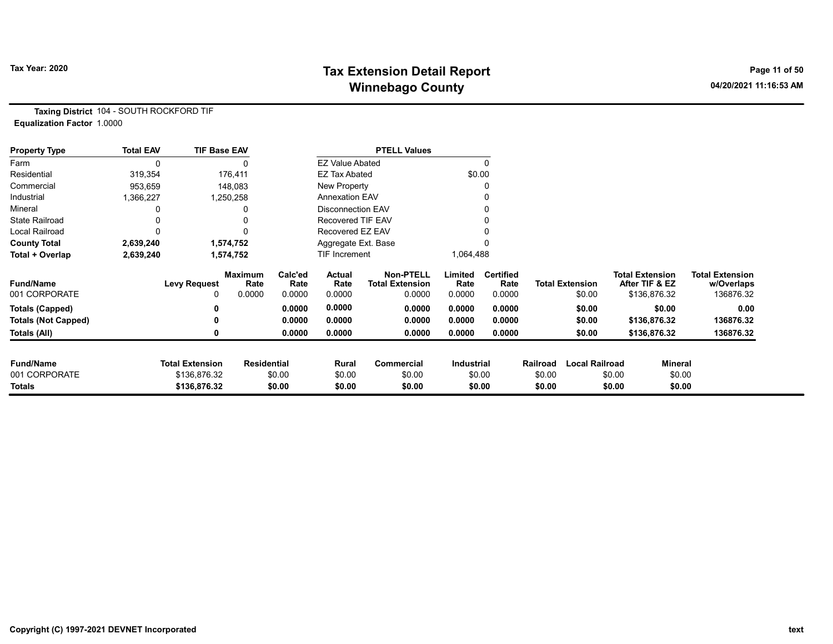# Tax Year: 2020 Page 11 of 50 Winnebago County and the County of the County of the County of the County of the County of the County of the County of the County of the County of the County of the County of the County of the County of the County of the C

Taxing District 104 - SOUTH ROCKFORD TIF Equalization Factor 1.0000

| <b>Property Type</b>       | <b>Total EAV</b> | <b>TIF Base EAV</b>    |                        |                 |                          | <b>PTELL Values</b>                        |                 |                          |          |                        |        |                                          |                                      |
|----------------------------|------------------|------------------------|------------------------|-----------------|--------------------------|--------------------------------------------|-----------------|--------------------------|----------|------------------------|--------|------------------------------------------|--------------------------------------|
| Farm                       | 0                |                        |                        |                 | <b>EZ Value Abated</b>   |                                            |                 |                          |          |                        |        |                                          |                                      |
| Residential                | 319,354          |                        | 176,411                |                 | <b>EZ Tax Abated</b>     |                                            | \$0.00          |                          |          |                        |        |                                          |                                      |
| Commercial                 | 953,659          |                        | 148,083                |                 | New Property             |                                            |                 |                          |          |                        |        |                                          |                                      |
| Industrial                 | 1,366,227        |                        | 1,250,258              |                 | <b>Annexation EAV</b>    |                                            |                 |                          |          |                        |        |                                          |                                      |
| Mineral                    |                  |                        | 0                      |                 | <b>Disconnection EAV</b> |                                            |                 |                          |          |                        |        |                                          |                                      |
| <b>State Railroad</b>      |                  |                        |                        |                 | Recovered TIF EAV        |                                            |                 |                          |          |                        |        |                                          |                                      |
| <b>Local Railroad</b>      |                  |                        |                        |                 | Recovered EZ EAV         |                                            |                 |                          |          |                        |        |                                          |                                      |
| <b>County Total</b>        | 2,639,240        |                        | 1,574,752              |                 | Aggregate Ext. Base      |                                            |                 |                          |          |                        |        |                                          |                                      |
| Total + Overlap            | 2,639,240        |                        | 1,574,752              |                 | <b>TIF Increment</b>     |                                            | 1,064,488       |                          |          |                        |        |                                          |                                      |
| <b>Fund/Name</b>           |                  | <b>Levy Request</b>    | <b>Maximum</b><br>Rate | Calc'ed<br>Rate | Actual<br>Rate           | <b>Non-PTELL</b><br><b>Total Extension</b> | Limited<br>Rate | <b>Certified</b><br>Rate |          | <b>Total Extension</b> |        | <b>Total Extension</b><br>After TIF & EZ | <b>Total Extension</b><br>w/Overlaps |
| 001 CORPORATE              |                  | 0                      | 0.0000                 | 0.0000          | 0.0000                   | 0.0000                                     | 0.0000          | 0.0000                   |          | \$0.00                 |        | \$136,876.32                             | 136876.32                            |
| Totals (Capped)            |                  |                        |                        | 0.0000          | 0.0000                   | 0.0000                                     | 0.0000          | 0.0000                   |          | \$0.00                 |        | \$0.00                                   | 0.00                                 |
| <b>Totals (Not Capped)</b> |                  |                        |                        | 0.0000          | 0.0000                   | 0.0000                                     | 0.0000          | 0.0000                   |          | \$0.00                 |        | \$136,876.32                             | 136876.32                            |
| Totals (All)               |                  |                        |                        | 0.0000          | 0.0000                   | 0.0000                                     | 0.0000          | 0.0000                   |          | \$0.00                 |        | \$136,876.32                             | 136876.32                            |
| <b>Fund/Name</b>           |                  | <b>Total Extension</b> | <b>Residential</b>     |                 | Rural                    | <b>Commercial</b>                          | Industrial      |                          | Railroad | <b>Local Railroad</b>  |        | Mineral                                  |                                      |
| 001 CORPORATE              |                  | \$136,876.32           |                        | \$0.00          | \$0.00                   | \$0.00                                     |                 | \$0.00                   | \$0.00   |                        | \$0.00 | \$0.00                                   |                                      |
| Totals                     |                  | \$136,876.32           |                        | \$0.00          | \$0.00                   | \$0.00                                     |                 | \$0.00                   | \$0.00   |                        | \$0.00 | \$0.00                                   |                                      |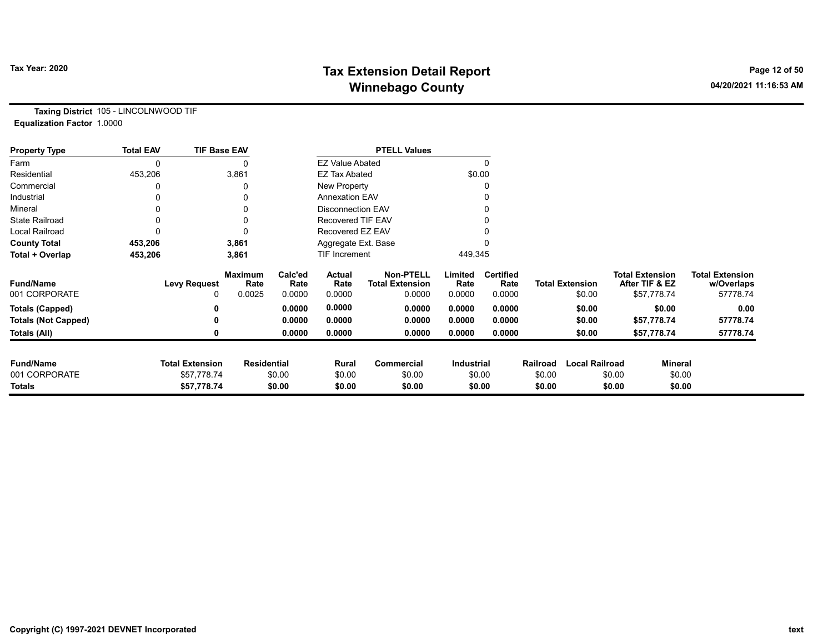# Tax Year: 2020 Page 12 of 50 Winnebago County and the County of the County of the County of the County of the County of the County of the County of the County of the County of the County of the County of the County of the County of the County of the C

Taxing District 105 - LINCOLNWOOD TIF Equalization Factor 1.0000

| <b>Property Type</b>       | <b>Total EAV</b> | <b>TIF Base EAV</b>    |                        |                 |                          | <b>PTELL Values</b>                        |                 |                          |          |                        |        |                                          |                                      |
|----------------------------|------------------|------------------------|------------------------|-----------------|--------------------------|--------------------------------------------|-----------------|--------------------------|----------|------------------------|--------|------------------------------------------|--------------------------------------|
| Farm                       | 0                |                        | 0                      |                 | <b>EZ Value Abated</b>   |                                            |                 | 0                        |          |                        |        |                                          |                                      |
| Residential                | 453,206          |                        | 3,861                  |                 | <b>EZ Tax Abated</b>     |                                            |                 | \$0.00                   |          |                        |        |                                          |                                      |
| Commercial                 |                  |                        | 0                      |                 | New Property             |                                            |                 | 0                        |          |                        |        |                                          |                                      |
| Industrial                 |                  |                        | $\Omega$               |                 | <b>Annexation EAV</b>    |                                            |                 |                          |          |                        |        |                                          |                                      |
| Mineral                    |                  |                        | 0                      |                 | <b>Disconnection EAV</b> |                                            |                 |                          |          |                        |        |                                          |                                      |
| <b>State Railroad</b>      |                  |                        | 0                      |                 | <b>Recovered TIF EAV</b> |                                            |                 |                          |          |                        |        |                                          |                                      |
| Local Railroad             |                  |                        | 0                      |                 | Recovered EZ EAV         |                                            |                 |                          |          |                        |        |                                          |                                      |
| <b>County Total</b>        | 453,206          |                        | 3,861                  |                 | Aggregate Ext. Base      |                                            |                 |                          |          |                        |        |                                          |                                      |
| Total + Overlap            | 453,206          |                        | 3,861                  |                 | TIF Increment            |                                            | 449,345         |                          |          |                        |        |                                          |                                      |
| <b>Fund/Name</b>           |                  | <b>Levy Request</b>    | <b>Maximum</b><br>Rate | Calc'ed<br>Rate | <b>Actual</b><br>Rate    | <b>Non-PTELL</b><br><b>Total Extension</b> | Limited<br>Rate | <b>Certified</b><br>Rate |          | <b>Total Extension</b> |        | <b>Total Extension</b><br>After TIF & EZ | <b>Total Extension</b><br>w/Overlaps |
| 001 CORPORATE              |                  |                        | 0.0025                 | 0.0000          | 0.0000                   | 0.0000                                     | 0.0000          | 0.0000                   |          | \$0.00                 |        | \$57,778.74                              | 57778.74                             |
| <b>Totals (Capped)</b>     |                  |                        |                        | 0.0000          | 0.0000                   | 0.0000                                     | 0.0000          | 0.0000                   |          | \$0.00                 |        | \$0.00                                   | 0.00                                 |
| <b>Totals (Not Capped)</b> |                  |                        |                        | 0.0000          | 0.0000                   | 0.0000                                     | 0.0000          | 0.0000                   |          | \$0.00                 |        | \$57,778.74                              | 57778.74                             |
| Totals (All)               |                  |                        |                        | 0.0000          | 0.0000                   | 0.0000                                     | 0.0000          | 0.0000                   |          | \$0.00                 |        | \$57,778.74                              | 57778.74                             |
|                            |                  |                        |                        |                 |                          |                                            |                 |                          |          |                        |        |                                          |                                      |
| <b>Fund/Name</b>           |                  | <b>Total Extension</b> | <b>Residential</b>     |                 | Rural                    | Commercial                                 | Industrial      |                          | Railroad | <b>Local Railroad</b>  |        | <b>Mineral</b>                           |                                      |
| 001 CORPORATE              |                  | \$57,778.74            |                        | \$0.00          | \$0.00                   | \$0.00                                     |                 | \$0.00                   | \$0.00   |                        | \$0.00 | \$0.00                                   |                                      |
| Totals                     |                  | \$57,778.74            |                        | \$0.00          | \$0.00                   | \$0.00                                     |                 | \$0.00                   | \$0.00   |                        | \$0.00 | \$0.00                                   |                                      |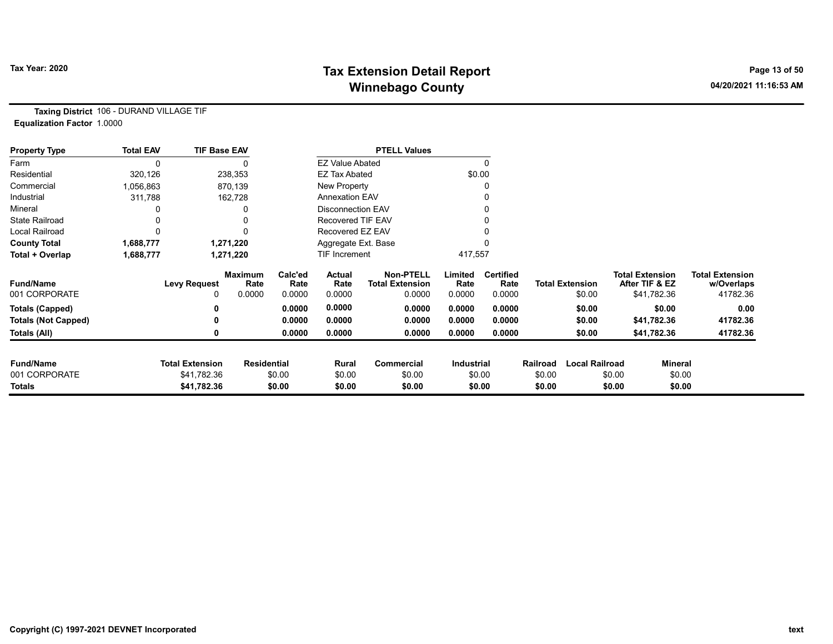# Tax Year: 2020 **Tax Extension Detail Report** Tax Year: 2020 **Page 13 of 50** Winnebago County and the County of the County of the County of the County of the County of the County of the County of the County of the County of the County of the County of the County of the County of the County of the C

Taxing District 106 - DURAND VILLAGE TIF Equalization Factor 1.0000

| <b>Property Type</b>       | <b>Total EAV</b> | <b>TIF Base EAV</b>    |                        |                 |                          | <b>PTELL Values</b>                        |                 |                          |          |                        |        |                                          |                                      |
|----------------------------|------------------|------------------------|------------------------|-----------------|--------------------------|--------------------------------------------|-----------------|--------------------------|----------|------------------------|--------|------------------------------------------|--------------------------------------|
| Farm                       | 0                |                        | 0                      |                 | <b>EZ Value Abated</b>   |                                            |                 | $\Omega$                 |          |                        |        |                                          |                                      |
| Residential                | 320,126          |                        | 238,353                |                 | EZ Tax Abated            |                                            | \$0.00          |                          |          |                        |        |                                          |                                      |
| Commercial                 | 1,056,863        |                        | 870,139                |                 | <b>New Property</b>      |                                            |                 | <sup>0</sup>             |          |                        |        |                                          |                                      |
| Industrial                 | 311,788          |                        | 162,728                |                 | <b>Annexation EAV</b>    |                                            |                 |                          |          |                        |        |                                          |                                      |
| Mineral                    |                  |                        | 0                      |                 | <b>Disconnection EAV</b> |                                            |                 |                          |          |                        |        |                                          |                                      |
| <b>State Railroad</b>      | 0                |                        | 0                      |                 | Recovered TIF EAV        |                                            |                 |                          |          |                        |        |                                          |                                      |
| <b>Local Railroad</b>      | 0                |                        | $\Omega$               |                 | Recovered EZ EAV         |                                            |                 |                          |          |                        |        |                                          |                                      |
| <b>County Total</b>        | 1,688,777        |                        | 1,271,220              |                 | Aggregate Ext. Base      |                                            |                 |                          |          |                        |        |                                          |                                      |
| Total + Overlap            | 1,688,777        |                        | 1,271,220              |                 | TIF Increment            |                                            | 417,557         |                          |          |                        |        |                                          |                                      |
| <b>Fund/Name</b>           |                  | <b>Levy Request</b>    | <b>Maximum</b><br>Rate | Calc'ed<br>Rate | Actual<br>Rate           | <b>Non-PTELL</b><br><b>Total Extension</b> | Limited<br>Rate | <b>Certified</b><br>Rate |          | <b>Total Extension</b> |        | <b>Total Extension</b><br>After TIF & EZ | <b>Total Extension</b><br>w/Overlaps |
| 001 CORPORATE              |                  |                        | 0.0000                 | 0.0000          | 0.0000                   | 0.0000                                     | 0.0000          | 0.0000                   |          | \$0.00                 |        | \$41,782.36                              | 41782.36                             |
| <b>Totals (Capped)</b>     |                  |                        |                        | 0.0000          | 0.0000                   | 0.0000                                     | 0.0000          | 0.0000                   |          | \$0.00                 |        | \$0.00                                   | 0.00                                 |
| <b>Totals (Not Capped)</b> |                  |                        |                        | 0.0000          | 0.0000                   | 0.0000                                     | 0.0000          | 0.0000                   |          | \$0.00                 |        | \$41,782.36                              | 41782.36                             |
| Totals (All)               |                  | 0                      |                        | 0.0000          | 0.0000                   | 0.0000                                     | 0.0000          | 0.0000                   |          | \$0.00                 |        | \$41,782.36                              | 41782.36                             |
| <b>Fund/Name</b>           |                  | <b>Total Extension</b> | <b>Residential</b>     |                 | Rural                    | <b>Commercial</b>                          | Industrial      |                          | Railroad | <b>Local Railroad</b>  |        | Mineral                                  |                                      |
| 001 CORPORATE              |                  | \$41,782.36            |                        | \$0.00          | \$0.00                   | \$0.00                                     |                 | \$0.00                   | \$0.00   |                        | \$0.00 | \$0.00                                   |                                      |
| Totals                     |                  | \$41,782.36            |                        | \$0.00          | \$0.00                   | \$0.00                                     |                 | \$0.00                   | \$0.00   |                        | \$0.00 | \$0.00                                   |                                      |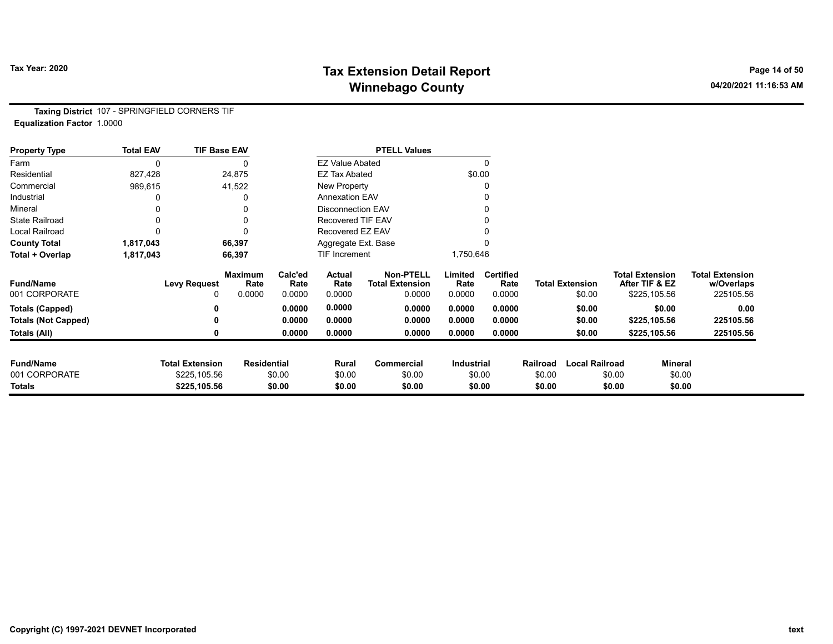# Tax Year: 2020 Page 14 of 50 Winnebago County and the County of the County of the County of the County of the County of the County of the County of the County of the County of the County of the County of the County of the County of the County of the C

Taxing District 107 - SPRINGFIELD CORNERS TIF Equalization Factor 1.0000

| <b>Property Type</b>       | <b>Total EAV</b> | <b>TIF Base EAV</b>    |                        |                 |                          | <b>PTELL Values</b>                        |                 |                          |                  |                        |                                          |                                      |
|----------------------------|------------------|------------------------|------------------------|-----------------|--------------------------|--------------------------------------------|-----------------|--------------------------|------------------|------------------------|------------------------------------------|--------------------------------------|
| Farm                       | 0                |                        | 0                      |                 | <b>EZ Value Abated</b>   |                                            |                 | 0                        |                  |                        |                                          |                                      |
| Residential                | 827,428          |                        | 24,875                 |                 | <b>EZ Tax Abated</b>     |                                            |                 | \$0.00                   |                  |                        |                                          |                                      |
| Commercial                 | 989,615          |                        | 41,522                 |                 | New Property             |                                            |                 | 0                        |                  |                        |                                          |                                      |
| Industrial                 |                  |                        | 0                      |                 | <b>Annexation EAV</b>    |                                            |                 |                          |                  |                        |                                          |                                      |
| Mineral                    |                  |                        | 0                      |                 | <b>Disconnection EAV</b> |                                            |                 | 0                        |                  |                        |                                          |                                      |
| <b>State Railroad</b>      |                  |                        | 0                      |                 | Recovered TIF EAV        |                                            |                 |                          |                  |                        |                                          |                                      |
| Local Railroad             |                  |                        | 0                      |                 | Recovered EZ EAV         |                                            |                 |                          |                  |                        |                                          |                                      |
| <b>County Total</b>        | 1,817,043        |                        | 66,397                 |                 | Aggregate Ext. Base      |                                            |                 |                          |                  |                        |                                          |                                      |
| Total + Overlap            | 1,817,043        |                        | 66,397                 |                 | TIF Increment            |                                            | 1,750,646       |                          |                  |                        |                                          |                                      |
| <b>Fund/Name</b>           |                  | <b>Levy Request</b>    | <b>Maximum</b><br>Rate | Calc'ed<br>Rate | Actual<br>Rate           | <b>Non-PTELL</b><br><b>Total Extension</b> | Limited<br>Rate | <b>Certified</b><br>Rate |                  | <b>Total Extension</b> | <b>Total Extension</b><br>After TIF & EZ | <b>Total Extension</b><br>w/Overlaps |
| 001 CORPORATE              |                  | 0                      | 0.0000                 | 0.0000          | 0.0000                   | 0.0000                                     | 0.0000          | 0.0000                   |                  | \$0.00                 | \$225,105.56                             | 225105.56                            |
| <b>Totals (Capped)</b>     |                  |                        |                        | 0.0000          | 0.0000                   | 0.0000                                     | 0.0000          | 0.0000                   |                  | \$0.00                 | \$0.00                                   | 0.00                                 |
| <b>Totals (Not Capped)</b> |                  |                        |                        | 0.0000          | 0.0000                   | 0.0000                                     | 0.0000          | 0.0000                   |                  | \$0.00                 | \$225,105.56                             | 225105.56                            |
| Totals (All)               |                  |                        |                        | 0.0000          | 0.0000                   | 0.0000                                     | 0.0000          | 0.0000                   |                  | \$0.00                 | \$225,105.56                             | 225105.56                            |
| <b>Fund/Name</b>           |                  | <b>Total Extension</b> |                        |                 |                          |                                            |                 |                          |                  | <b>Local Railroad</b>  |                                          |                                      |
| 001 CORPORATE              |                  | \$225,105.56           | <b>Residential</b>     | \$0.00          | Rural<br>\$0.00          | Commercial<br>\$0.00                       | Industrial      |                          | Railroad         |                        |                                          | Mineral<br>\$0.00                    |
| Totals                     |                  | \$225,105.56           |                        | \$0.00          | \$0.00                   | \$0.00                                     |                 | \$0.00<br>\$0.00         | \$0.00<br>\$0.00 |                        | \$0.00<br>\$0.00                         | \$0.00                               |
|                            |                  |                        |                        |                 |                          |                                            |                 |                          |                  |                        |                                          |                                      |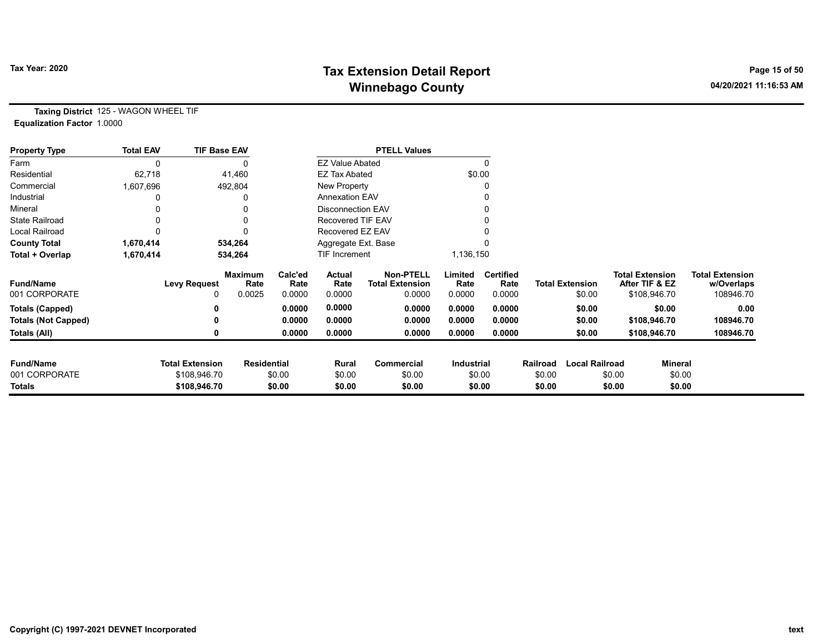# Tax Year: 2020 Page 15 of 50 Winnebago County and the County of the County of the County of the County of the County of the County of the County of the County of the County of the County of the County of the County of the County of the County of the C

Taxing District 125 - WAGON WHEEL TIF Equalization Factor 1.0000

| <b>Property Type</b>       | <b>Total EAV</b> | <b>TIF Base EAV</b>    |                        |                 |                        | <b>PTELL Values</b>                        |                 |                          |          |                        |                                          |                |                                      |
|----------------------------|------------------|------------------------|------------------------|-----------------|------------------------|--------------------------------------------|-----------------|--------------------------|----------|------------------------|------------------------------------------|----------------|--------------------------------------|
| Farm                       |                  |                        |                        |                 | <b>EZ Value Abated</b> |                                            |                 | 0                        |          |                        |                                          |                |                                      |
| Residential                | 62,718           |                        | 41,460                 |                 | <b>EZ Tax Abated</b>   |                                            |                 | \$0.00                   |          |                        |                                          |                |                                      |
| Commercial                 | 1,607,696        |                        | 492,804                |                 | New Property           |                                            |                 | 0                        |          |                        |                                          |                |                                      |
| Industrial                 |                  |                        |                        |                 | <b>Annexation EAV</b>  |                                            |                 |                          |          |                        |                                          |                |                                      |
| Mineral                    |                  |                        |                        |                 | Disconnection EAV      |                                            |                 |                          |          |                        |                                          |                |                                      |
| <b>State Railroad</b>      |                  |                        |                        |                 | Recovered TIF EAV      |                                            |                 |                          |          |                        |                                          |                |                                      |
| <b>Local Railroad</b>      |                  |                        |                        |                 | Recovered EZ EAV       |                                            |                 |                          |          |                        |                                          |                |                                      |
| <b>County Total</b>        | 1,670,414        |                        | 534,264                |                 | Aggregate Ext. Base    |                                            |                 |                          |          |                        |                                          |                |                                      |
| Total + Overlap            | 1,670,414        |                        | 534,264                |                 | TIF Increment          |                                            | 1,136,150       |                          |          |                        |                                          |                |                                      |
| <b>Fund/Name</b>           |                  | <b>Levy Request</b>    | <b>Maximum</b><br>Rate | Calc'ed<br>Rate | Actual<br>Rate         | <b>Non-PTELL</b><br><b>Total Extension</b> | Limited<br>Rate | <b>Certified</b><br>Rate |          | <b>Total Extension</b> | <b>Total Extension</b><br>After TIF & EZ |                | <b>Total Extension</b><br>w/Overlaps |
| 001 CORPORATE              |                  | ი                      | 0.0025                 | 0.0000          | 0.0000                 | 0.0000                                     | 0.0000          | 0.0000                   |          | \$0.00                 | \$108,946.70                             |                | 108946.70                            |
| <b>Totals (Capped)</b>     |                  |                        |                        | 0.0000          | 0.0000                 | 0.0000                                     | 0.0000          | 0.0000                   |          | \$0.00                 |                                          | \$0.00         | 0.00                                 |
| <b>Totals (Not Capped)</b> |                  |                        |                        | 0.0000          | 0.0000                 | 0.0000                                     | 0.0000          | 0.0000                   |          | \$0.00                 | \$108,946.70                             |                | 108946.70                            |
| Totals (All)               |                  |                        |                        | 0.0000          | 0.0000                 | 0.0000                                     | 0.0000          | 0.0000                   |          | \$0.00                 | \$108,946.70                             |                | 108946.70                            |
| <b>Fund/Name</b>           |                  | <b>Total Extension</b> | <b>Residential</b>     |                 | Rural                  | Commercial                                 | Industrial      |                          | Railroad | <b>Local Railroad</b>  |                                          | <b>Mineral</b> |                                      |
| 001 CORPORATE              |                  | \$108,946.70           |                        | \$0.00          | \$0.00                 | \$0.00                                     |                 | \$0.00                   | \$0.00   |                        | \$0.00                                   | \$0.00         |                                      |
| <b>Totals</b>              |                  | \$108,946.70           |                        | \$0.00          | \$0.00                 | \$0.00                                     |                 | \$0.00                   | \$0.00   |                        | \$0.00                                   | \$0.00         |                                      |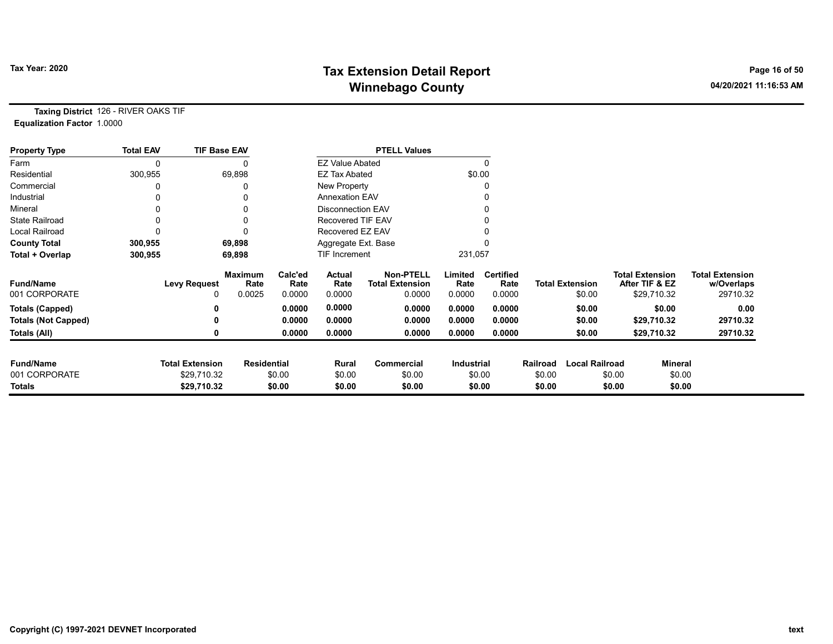# Tax Year: 2020 **Tax Extension Detail Report** Tax Year: 2020 **Page 16 of 50** Winnebago County and the County of the County of the County of the County of the County of the County of the County of the County of the County of the County of the County of the County of the County of the County of the C

Taxing District 126 - RIVER OAKS TIF Equalization Factor 1.0000

| <b>Property Type</b>       | <b>Total EAV</b> | <b>TIF Base EAV</b>    |                        |                 |                          | <b>PTELL Values</b>                        |                   |                          |          |                        |        |                                          |                                      |
|----------------------------|------------------|------------------------|------------------------|-----------------|--------------------------|--------------------------------------------|-------------------|--------------------------|----------|------------------------|--------|------------------------------------------|--------------------------------------|
| Farm                       | 0                |                        |                        |                 | <b>EZ Value Abated</b>   |                                            |                   |                          |          |                        |        |                                          |                                      |
| Residential                | 300,955          |                        | 69,898                 |                 | <b>EZ Tax Abated</b>     |                                            | \$0.00            |                          |          |                        |        |                                          |                                      |
| Commercial                 |                  |                        |                        |                 | New Property             |                                            |                   |                          |          |                        |        |                                          |                                      |
| Industrial                 |                  |                        | 0                      |                 | <b>Annexation EAV</b>    |                                            |                   |                          |          |                        |        |                                          |                                      |
| Mineral                    |                  |                        |                        |                 | <b>Disconnection EAV</b> |                                            |                   |                          |          |                        |        |                                          |                                      |
| <b>State Railroad</b>      |                  |                        | 0                      |                 | Recovered TIF EAV        |                                            |                   |                          |          |                        |        |                                          |                                      |
| Local Railroad             |                  |                        | O                      |                 | Recovered EZ EAV         |                                            |                   |                          |          |                        |        |                                          |                                      |
| <b>County Total</b>        | 300,955          |                        | 69,898                 |                 | Aggregate Ext. Base      |                                            |                   |                          |          |                        |        |                                          |                                      |
| Total + Overlap            | 300,955          |                        | 69,898                 |                 | <b>TIF Increment</b>     |                                            | 231,057           |                          |          |                        |        |                                          |                                      |
| <b>Fund/Name</b>           |                  | <b>Levy Request</b>    | <b>Maximum</b><br>Rate | Calc'ed<br>Rate | Actual<br>Rate           | <b>Non-PTELL</b><br><b>Total Extension</b> | Limited<br>Rate   | <b>Certified</b><br>Rate |          | <b>Total Extension</b> |        | <b>Total Extension</b><br>After TIF & EZ | <b>Total Extension</b><br>w/Overlaps |
| 001 CORPORATE              |                  | 0                      | 0.0025                 | 0.0000          | 0.0000                   | 0.0000                                     | 0.0000            | 0.0000                   |          | \$0.00                 |        | \$29,710.32                              | 29710.32                             |
| <b>Totals (Capped)</b>     |                  |                        |                        | 0.0000          | 0.0000                   | 0.0000                                     | 0.0000            | 0.0000                   |          | \$0.00                 |        | \$0.00                                   | 0.00                                 |
| <b>Totals (Not Capped)</b> |                  |                        |                        | 0.0000          | 0.0000                   | 0.0000                                     | 0.0000            | 0.0000                   |          | \$0.00                 |        | \$29,710.32                              | 29710.32                             |
| Totals (All)               |                  | 0                      |                        | 0.0000          | 0.0000                   | 0.0000                                     | 0.0000            | 0.0000                   |          | \$0.00                 |        | \$29,710.32                              | 29710.32                             |
| <b>Fund/Name</b>           |                  | <b>Total Extension</b> | <b>Residential</b>     |                 | Rural                    | Commercial                                 | <b>Industrial</b> |                          | Railroad | <b>Local Railroad</b>  |        | <b>Mineral</b>                           |                                      |
| 001 CORPORATE              |                  | \$29,710.32            |                        | \$0.00          | \$0.00                   | \$0.00                                     |                   | \$0.00                   | \$0.00   |                        | \$0.00 | \$0.00                                   |                                      |
| <b>Totals</b>              |                  | \$29,710.32            |                        | \$0.00          | \$0.00                   | \$0.00                                     |                   | \$0.00                   | \$0.00   |                        | \$0.00 | \$0.00                                   |                                      |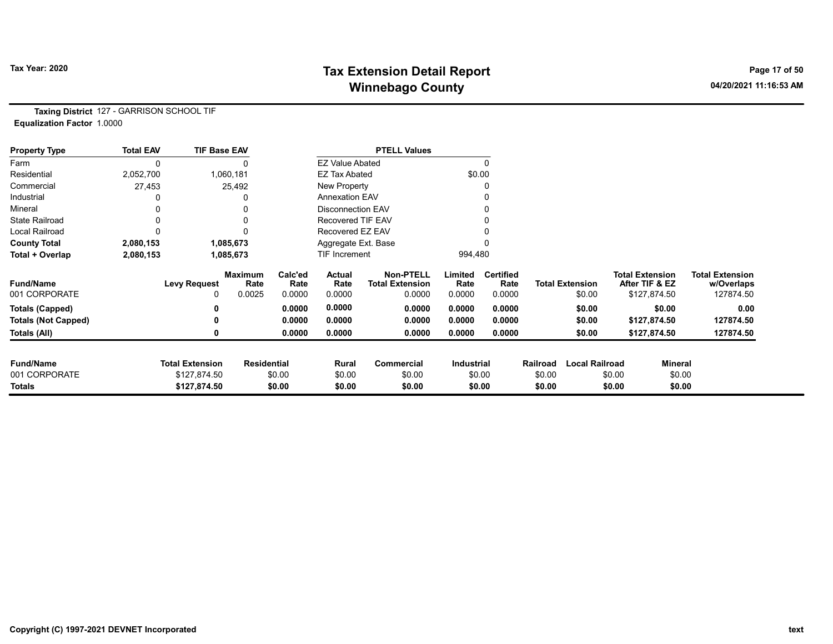# Tax Year: 2020 Page 17 of 50 Winnebago County and the County of the County of the County of the County of the County of the County of the County of the County of the County of the County of the County of the County of the County of the County of the C

Taxing District 127 - GARRISON SCHOOL TIF Equalization Factor 1.0000

| <b>Property Type</b>       | <b>Total EAV</b> | <b>TIF Base EAV</b>    |                        |                 |                          | <b>PTELL Values</b>                        |                 |                          |          |                        |                                          |                |                                      |
|----------------------------|------------------|------------------------|------------------------|-----------------|--------------------------|--------------------------------------------|-----------------|--------------------------|----------|------------------------|------------------------------------------|----------------|--------------------------------------|
| Farm                       | 0                |                        | 0                      |                 | <b>EZ Value Abated</b>   |                                            |                 | $\mathbf{0}$             |          |                        |                                          |                |                                      |
| Residential                | 2,052,700        |                        | 1,060,181              |                 | <b>EZ Tax Abated</b>     |                                            |                 | \$0.00                   |          |                        |                                          |                |                                      |
| Commercial                 | 27,453           |                        | 25,492                 |                 | New Property             |                                            |                 | 0                        |          |                        |                                          |                |                                      |
| Industrial                 |                  |                        |                        |                 | <b>Annexation EAV</b>    |                                            |                 |                          |          |                        |                                          |                |                                      |
| Mineral                    |                  |                        | 0                      |                 | <b>Disconnection EAV</b> |                                            |                 | 0                        |          |                        |                                          |                |                                      |
| <b>State Railroad</b>      |                  |                        | 0                      |                 | <b>Recovered TIF EAV</b> |                                            |                 |                          |          |                        |                                          |                |                                      |
| Local Railroad             |                  |                        |                        |                 | Recovered EZ EAV         |                                            |                 |                          |          |                        |                                          |                |                                      |
| <b>County Total</b>        | 2,080,153        |                        | 1,085,673              |                 | Aggregate Ext. Base      |                                            |                 |                          |          |                        |                                          |                |                                      |
| Total + Overlap            | 2,080,153        |                        | 1,085,673              |                 | <b>TIF Increment</b>     |                                            | 994,480         |                          |          |                        |                                          |                |                                      |
| <b>Fund/Name</b>           |                  | <b>Levy Request</b>    | <b>Maximum</b><br>Rate | Calc'ed<br>Rate | Actual<br>Rate           | <b>Non-PTELL</b><br><b>Total Extension</b> | Limited<br>Rate | <b>Certified</b><br>Rate |          | <b>Total Extension</b> | <b>Total Extension</b><br>After TIF & EZ |                | <b>Total Extension</b><br>w/Overlaps |
| 001 CORPORATE              |                  | 0                      | 0.0025                 | 0.0000          | 0.0000                   | 0.0000                                     | 0.0000          | 0.0000                   |          | \$0.00                 |                                          | \$127,874.50   | 127874.50                            |
| <b>Totals (Capped)</b>     |                  |                        |                        | 0.0000          | 0.0000                   | 0.0000                                     | 0.0000          | 0.0000                   |          | \$0.00                 |                                          | \$0.00         | 0.00                                 |
| <b>Totals (Not Capped)</b> |                  |                        |                        | 0.0000          | 0.0000                   | 0.0000                                     | 0.0000          | 0.0000                   |          | \$0.00                 |                                          | \$127,874.50   | 127874.50                            |
| Totals (All)               |                  |                        |                        | 0.0000          | 0.0000                   | 0.0000                                     | 0.0000          | 0.0000                   |          | \$0.00                 |                                          | \$127,874.50   | 127874.50                            |
| <b>Fund/Name</b>           |                  | <b>Total Extension</b> | <b>Residential</b>     |                 | Rural                    | Commercial                                 | Industrial      |                          | Railroad | <b>Local Railroad</b>  |                                          | <b>Mineral</b> |                                      |
| 001 CORPORATE              |                  | \$127,874.50           |                        | \$0.00          | \$0.00                   | \$0.00                                     |                 | \$0.00                   | \$0.00   |                        | \$0.00                                   | \$0.00         |                                      |
| Totals                     |                  | \$127,874.50           |                        | \$0.00          | \$0.00                   | \$0.00                                     |                 | \$0.00                   | \$0.00   |                        | \$0.00                                   | \$0.00         |                                      |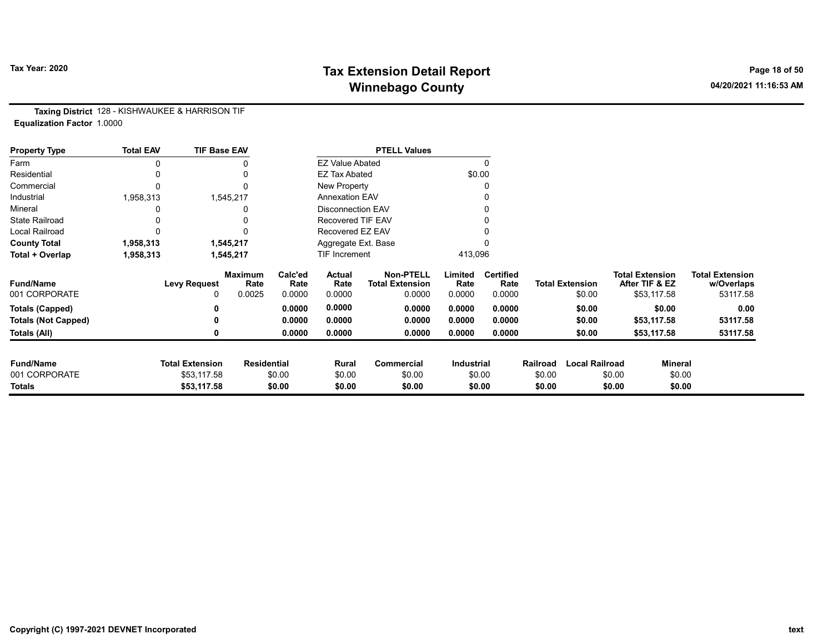# Tax Year: 2020 Page 18 of 50 Winnebago County and the County of the County of the County of the County of the County of the County of the County of the County of the County of the County of the County of the County of the County of the County of the C

Taxing District 128 - KISHWAUKEE & HARRISON TIF Equalization Factor 1.0000

| <b>Property Type</b>       | <b>Total EAV</b> | <b>TIF Base EAV</b>    |                        |                 |                          | <b>PTELL Values</b>                        |                 |                          |          |                        |                                          |                |                                      |
|----------------------------|------------------|------------------------|------------------------|-----------------|--------------------------|--------------------------------------------|-----------------|--------------------------|----------|------------------------|------------------------------------------|----------------|--------------------------------------|
| Farm                       |                  |                        |                        |                 | <b>EZ Value Abated</b>   |                                            |                 | $\mathbf{0}$             |          |                        |                                          |                |                                      |
| Residential                |                  |                        | 0                      |                 | <b>EZ Tax Abated</b>     |                                            |                 | \$0.00                   |          |                        |                                          |                |                                      |
| Commercial                 |                  |                        | 0                      |                 | New Property             |                                            |                 |                          |          |                        |                                          |                |                                      |
| Industrial                 | 1,958,313        |                        | 1,545,217              |                 | <b>Annexation EAV</b>    |                                            |                 |                          |          |                        |                                          |                |                                      |
| Mineral                    |                  |                        | 0                      |                 | Disconnection EAV        |                                            |                 | 0                        |          |                        |                                          |                |                                      |
| <b>State Railroad</b>      |                  |                        |                        |                 | <b>Recovered TIF EAV</b> |                                            |                 |                          |          |                        |                                          |                |                                      |
| Local Railroad             |                  |                        |                        |                 | Recovered EZ EAV         |                                            |                 |                          |          |                        |                                          |                |                                      |
| <b>County Total</b>        | 1,958,313        |                        | 1,545,217              |                 | Aggregate Ext. Base      |                                            |                 |                          |          |                        |                                          |                |                                      |
| Total + Overlap            | 1,958,313        |                        | 1,545,217              |                 | <b>TIF Increment</b>     |                                            | 413,096         |                          |          |                        |                                          |                |                                      |
| <b>Fund/Name</b>           |                  | <b>Levy Request</b>    | <b>Maximum</b><br>Rate | Calc'ed<br>Rate | Actual<br>Rate           | <b>Non-PTELL</b><br><b>Total Extension</b> | Limited<br>Rate | <b>Certified</b><br>Rate |          | <b>Total Extension</b> | <b>Total Extension</b><br>After TIF & EZ |                | <b>Total Extension</b><br>w/Overlaps |
| 001 CORPORATE              |                  | 0                      | 0.0025                 | 0.0000          | 0.0000                   | 0.0000                                     | 0.0000          | 0.0000                   |          | \$0.00                 |                                          | \$53,117.58    | 53117.58                             |
| <b>Totals (Capped)</b>     |                  |                        |                        | 0.0000          | 0.0000                   | 0.0000                                     | 0.0000          | 0.0000                   |          | \$0.00                 |                                          | \$0.00         | 0.00                                 |
| <b>Totals (Not Capped)</b> |                  |                        |                        | 0.0000          | 0.0000                   | 0.0000                                     | 0.0000          | 0.0000                   |          | \$0.00                 |                                          | \$53,117.58    | 53117.58                             |
| Totals (All)               |                  |                        |                        | 0.0000          | 0.0000                   | 0.0000                                     | 0.0000          | 0.0000                   |          | \$0.00                 |                                          | \$53,117.58    | 53117.58                             |
| <b>Fund/Name</b>           |                  | <b>Total Extension</b> | <b>Residential</b>     |                 | Rural                    | Commercial                                 | Industrial      |                          | Railroad | <b>Local Railroad</b>  |                                          | <b>Mineral</b> |                                      |
| 001 CORPORATE              |                  | \$53,117.58            |                        | \$0.00          | \$0.00                   | \$0.00                                     |                 | \$0.00                   | \$0.00   |                        | \$0.00                                   | \$0.00         |                                      |
| Totals                     |                  | \$53,117.58            |                        | \$0.00          | \$0.00                   | \$0.00                                     |                 | \$0.00                   | \$0.00   |                        | \$0.00                                   | \$0.00         |                                      |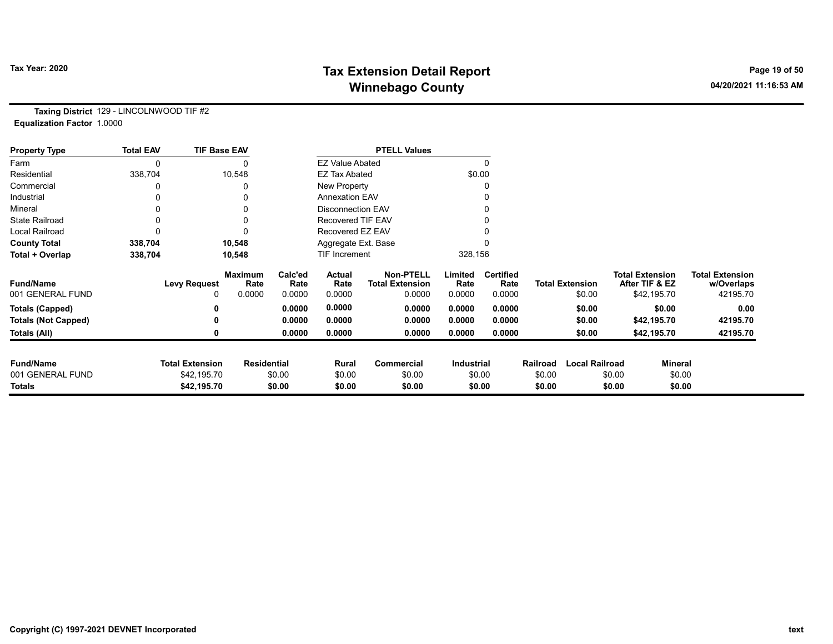# Tax Year: 2020 Page 19 of 50 Winnebago County and the County of the County of the County of the County of the County of the County of the County of the County of the County of the County of the County of the County of the County of the County of the C

Taxing District 129 - LINCOLNWOOD TIF #2 Equalization Factor 1.0000

| <b>Property Type</b>       | <b>Total EAV</b> | <b>TIF Base EAV</b>    |                        |                 |                          | <b>PTELL Values</b>                        |                 |                          |          |                        |                                          |                |                                      |
|----------------------------|------------------|------------------------|------------------------|-----------------|--------------------------|--------------------------------------------|-----------------|--------------------------|----------|------------------------|------------------------------------------|----------------|--------------------------------------|
| Farm                       |                  |                        |                        |                 | <b>EZ Value Abated</b>   |                                            |                 | $\Omega$                 |          |                        |                                          |                |                                      |
| Residential                | 338,704          |                        | 10,548                 |                 | <b>EZ Tax Abated</b>     |                                            | \$0.00          |                          |          |                        |                                          |                |                                      |
| Commercial                 |                  |                        |                        |                 | New Property             |                                            |                 | 0                        |          |                        |                                          |                |                                      |
| Industrial                 |                  |                        |                        |                 | <b>Annexation EAV</b>    |                                            |                 |                          |          |                        |                                          |                |                                      |
| Mineral                    |                  |                        |                        |                 | <b>Disconnection EAV</b> |                                            |                 | 0                        |          |                        |                                          |                |                                      |
| <b>State Railroad</b>      |                  |                        |                        |                 | <b>Recovered TIF EAV</b> |                                            |                 |                          |          |                        |                                          |                |                                      |
| <b>Local Railroad</b>      |                  |                        |                        |                 | Recovered EZ EAV         |                                            |                 |                          |          |                        |                                          |                |                                      |
| <b>County Total</b>        | 338,704          |                        | 10,548                 |                 | Aggregate Ext. Base      |                                            |                 |                          |          |                        |                                          |                |                                      |
| Total + Overlap            | 338,704          |                        | 10,548                 |                 | TIF Increment            |                                            | 328,156         |                          |          |                        |                                          |                |                                      |
| <b>Fund/Name</b>           |                  | <b>Levy Request</b>    | <b>Maximum</b><br>Rate | Calc'ed<br>Rate | Actual<br>Rate           | <b>Non-PTELL</b><br><b>Total Extension</b> | Limited<br>Rate | <b>Certified</b><br>Rate |          | <b>Total Extension</b> | <b>Total Extension</b><br>After TIF & EZ |                | <b>Total Extension</b><br>w/Overlaps |
| 001 GENERAL FUND           |                  | 0                      | 0.0000                 | 0.0000          | 0.0000                   | 0.0000                                     | 0.0000          | 0.0000                   |          | \$0.00                 |                                          | \$42,195.70    | 42195.70                             |
| <b>Totals (Capped)</b>     |                  |                        |                        | 0.0000          | 0.0000                   | 0.0000                                     | 0.0000          | 0.0000                   |          | \$0.00                 |                                          | \$0.00         | 0.00                                 |
| <b>Totals (Not Capped)</b> |                  |                        |                        | 0.0000          | 0.0000                   | 0.0000                                     | 0.0000          | 0.0000                   |          | \$0.00                 |                                          | \$42,195.70    | 42195.70                             |
| Totals (All)               |                  |                        |                        | 0.0000          | 0.0000                   | 0.0000                                     | 0.0000          | 0.0000                   |          | \$0.00                 |                                          | \$42,195.70    | 42195.70                             |
| <b>Fund/Name</b>           |                  | <b>Total Extension</b> | <b>Residential</b>     |                 | Rural                    | Commercial                                 | Industrial      |                          | Railroad | <b>Local Railroad</b>  |                                          | <b>Mineral</b> |                                      |
| 001 GENERAL FUND           |                  | \$42,195.70            |                        | \$0.00          | \$0.00                   | \$0.00                                     |                 | \$0.00                   | \$0.00   |                        | \$0.00                                   | \$0.00         |                                      |
| <b>Totals</b>              |                  | \$42,195.70            |                        | \$0.00          | \$0.00                   | \$0.00                                     |                 | \$0.00                   | \$0.00   |                        | \$0.00                                   | \$0.00         |                                      |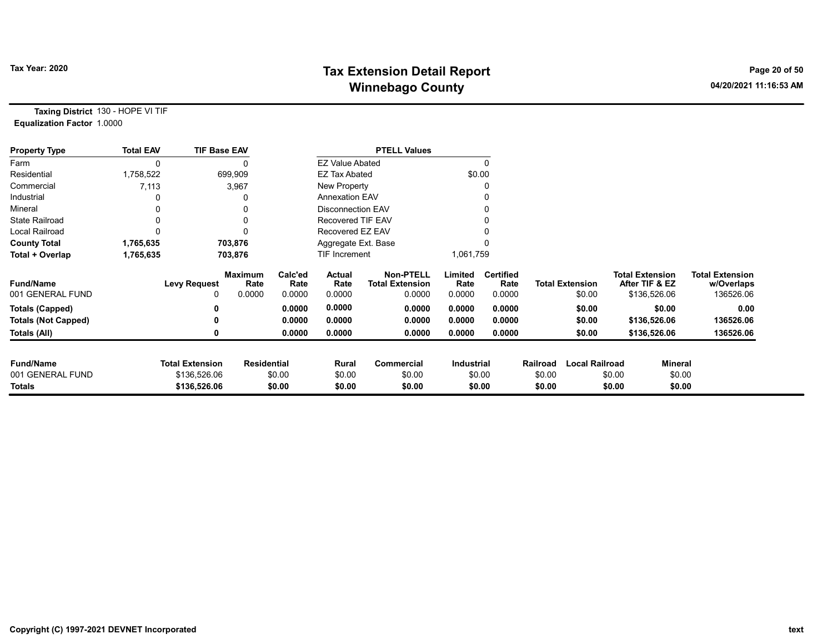# Tax Year: 2020 Page 20 of 50 Winnebago County and the County of the County of the County of the County of the County of the County of the County of the County of the County of the County of the County of the County of the County of the County of the C

Taxing District 130 - HOPE VI TIF Equalization Factor 1.0000

| <b>Property Type</b>       | <b>Total EAV</b> | <b>TIF Base EAV</b>    |                        |                 |                          | <b>PTELL Values</b>                        |                   |                          |          |                        |                                          |                |                                      |
|----------------------------|------------------|------------------------|------------------------|-----------------|--------------------------|--------------------------------------------|-------------------|--------------------------|----------|------------------------|------------------------------------------|----------------|--------------------------------------|
| Farm                       | $\mathbf{0}$     |                        | 0                      |                 | <b>EZ Value Abated</b>   |                                            |                   |                          |          |                        |                                          |                |                                      |
| Residential                | 1,758,522        |                        | 699,909                |                 | <b>EZ Tax Abated</b>     |                                            | \$0.00            |                          |          |                        |                                          |                |                                      |
| Commercial                 | 7,113            |                        | 3,967                  |                 | New Property             |                                            |                   |                          |          |                        |                                          |                |                                      |
| Industrial                 |                  |                        |                        |                 | <b>Annexation EAV</b>    |                                            |                   |                          |          |                        |                                          |                |                                      |
| Mineral                    | 0                |                        |                        |                 | <b>Disconnection EAV</b> |                                            |                   |                          |          |                        |                                          |                |                                      |
| <b>State Railroad</b>      | 0                |                        |                        |                 | <b>Recovered TIF EAV</b> |                                            |                   |                          |          |                        |                                          |                |                                      |
| Local Railroad             |                  |                        |                        |                 | Recovered EZ EAV         |                                            |                   |                          |          |                        |                                          |                |                                      |
| <b>County Total</b>        | 1,765,635        |                        | 703,876                |                 | Aggregate Ext. Base      |                                            |                   |                          |          |                        |                                          |                |                                      |
| Total + Overlap            | 1,765,635        |                        | 703,876                |                 | <b>TIF Increment</b>     |                                            | 1,061,759         |                          |          |                        |                                          |                |                                      |
| <b>Fund/Name</b>           |                  | <b>Levy Request</b>    | <b>Maximum</b><br>Rate | Calc'ed<br>Rate | Actual<br>Rate           | <b>Non-PTELL</b><br><b>Total Extension</b> | Limited<br>Rate   | <b>Certified</b><br>Rate |          | <b>Total Extension</b> | <b>Total Extension</b><br>After TIF & EZ |                | <b>Total Extension</b><br>w/Overlaps |
| 001 GENERAL FUND           |                  | 0                      | 0.0000                 | 0.0000          | 0.0000                   | 0.0000                                     | 0.0000            | 0.0000                   |          | \$0.00                 | \$136,526.06                             |                | 136526.06                            |
| <b>Totals (Capped)</b>     |                  | 0                      |                        | 0.0000          | 0.0000                   | 0.0000                                     | 0.0000            | 0.0000                   |          | \$0.00                 |                                          | \$0.00         | 0.00                                 |
| <b>Totals (Not Capped)</b> |                  | 0                      |                        | 0.0000          | 0.0000                   | 0.0000                                     | 0.0000            | 0.0000                   |          | \$0.00                 | \$136,526.06                             |                | 136526.06                            |
| Totals (All)               |                  | 0                      |                        | 0.0000          | 0.0000                   | 0.0000                                     | 0.0000            | 0.0000                   |          | \$0.00                 | \$136,526.06                             |                | 136526.06                            |
| <b>Fund/Name</b>           |                  | <b>Total Extension</b> | <b>Residential</b>     |                 | Rural                    | <b>Commercial</b>                          | <b>Industrial</b> |                          | Railroad | <b>Local Railroad</b>  |                                          | <b>Mineral</b> |                                      |
| 001 GENERAL FUND           |                  | \$136,526.06           |                        | \$0.00          | \$0.00                   | \$0.00                                     |                   | \$0.00                   | \$0.00   |                        | \$0.00                                   | \$0.00         |                                      |
| Totals                     |                  | \$136,526.06           |                        | \$0.00          | \$0.00                   | \$0.00                                     |                   | \$0.00                   | \$0.00   |                        | \$0.00                                   | \$0.00         |                                      |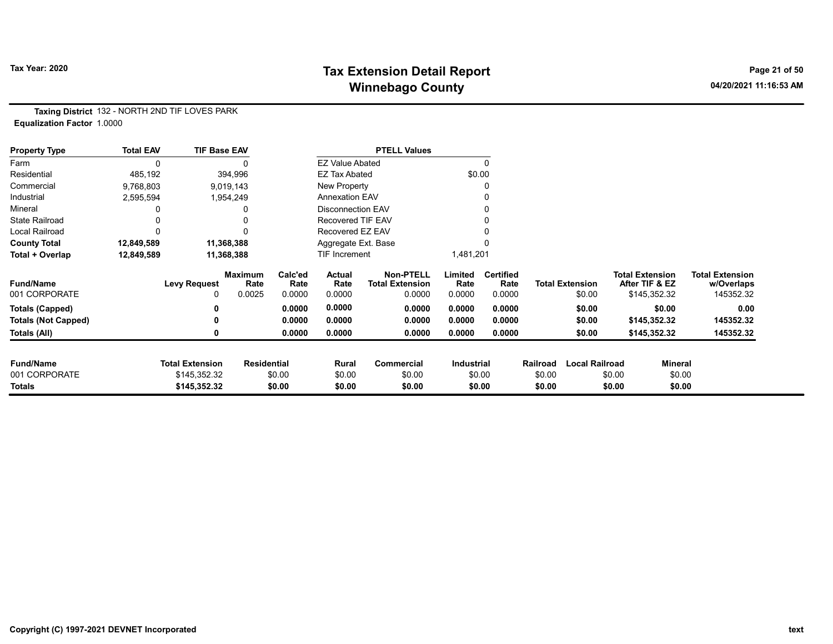# Tax Year: 2020 Page 21 of 50 Winnebago County and the County of the County of the County of the County of the County of the County of the County of the County of the County of the County of the County of the County of the County of the County of the C

Taxing District 132 - NORTH 2ND TIF LOVES PARK Equalization Factor 1.0000

| <b>Property Type</b>       | <b>Total EAV</b> | <b>TIF Base EAV</b>    |                        |                 |                          | <b>PTELL Values</b>                        |                 |                          |          |                        |        |                                          |                                      |
|----------------------------|------------------|------------------------|------------------------|-----------------|--------------------------|--------------------------------------------|-----------------|--------------------------|----------|------------------------|--------|------------------------------------------|--------------------------------------|
| Farm                       | $\Omega$         |                        |                        |                 | <b>EZ Value Abated</b>   |                                            |                 | 0                        |          |                        |        |                                          |                                      |
| Residential                | 485,192          |                        | 394,996                |                 | <b>EZ Tax Abated</b>     |                                            |                 | \$0.00                   |          |                        |        |                                          |                                      |
| Commercial                 | 9,768,803        |                        | 9,019,143              |                 | New Property             |                                            |                 | 0                        |          |                        |        |                                          |                                      |
| Industrial                 | 2,595,594        |                        | 1,954,249              |                 | <b>Annexation EAV</b>    |                                            |                 |                          |          |                        |        |                                          |                                      |
| Mineral                    |                  |                        |                        |                 | <b>Disconnection EAV</b> |                                            |                 | 0                        |          |                        |        |                                          |                                      |
| <b>State Railroad</b>      |                  |                        |                        |                 | Recovered TIF EAV        |                                            |                 |                          |          |                        |        |                                          |                                      |
| Local Railroad             | 0                |                        |                        |                 | Recovered EZ EAV         |                                            |                 |                          |          |                        |        |                                          |                                      |
| <b>County Total</b>        | 12,849,589       |                        | 11,368,388             |                 | Aggregate Ext. Base      |                                            |                 |                          |          |                        |        |                                          |                                      |
| Total + Overlap            | 12,849,589       |                        | 11,368,388             |                 | TIF Increment            |                                            | 1,481,201       |                          |          |                        |        |                                          |                                      |
| <b>Fund/Name</b>           |                  | <b>Levy Request</b>    | <b>Maximum</b><br>Rate | Calc'ed<br>Rate | Actual<br>Rate           | <b>Non-PTELL</b><br><b>Total Extension</b> | Limited<br>Rate | <b>Certified</b><br>Rate |          | <b>Total Extension</b> |        | <b>Total Extension</b><br>After TIF & EZ | <b>Total Extension</b><br>w/Overlaps |
| 001 CORPORATE              |                  | 0                      | 0.0025                 | 0.0000          | 0.0000                   | 0.0000                                     | 0.0000          | 0.0000                   |          | \$0.00                 |        | \$145,352.32                             | 145352.32                            |
| <b>Totals (Capped)</b>     |                  | 0                      |                        | 0.0000          | 0.0000                   | 0.0000                                     | 0.0000          | 0.0000                   |          | \$0.00                 |        | \$0.00                                   | 0.00                                 |
| <b>Totals (Not Capped)</b> |                  | 0                      |                        | 0.0000          | 0.0000                   | 0.0000                                     | 0.0000          | 0.0000                   |          | \$0.00                 |        | \$145,352.32                             | 145352.32                            |
| Totals (All)               |                  | 0                      |                        | 0.0000          | 0.0000                   | 0.0000                                     | 0.0000          | 0.0000                   |          | \$0.00                 |        | \$145,352.32                             | 145352.32                            |
| <b>Fund/Name</b>           |                  | <b>Total Extension</b> | <b>Residential</b>     |                 | Rural                    | Commercial                                 | Industrial      |                          | Railroad | <b>Local Railroad</b>  |        | <b>Mineral</b>                           |                                      |
| 001 CORPORATE              |                  | \$145,352.32           |                        | \$0.00          | \$0.00                   | \$0.00                                     |                 | \$0.00                   | \$0.00   |                        | \$0.00 | \$0.00                                   |                                      |
| <b>Totals</b>              |                  | \$145,352.32           |                        | \$0.00          | \$0.00                   | \$0.00                                     |                 | \$0.00                   | \$0.00   |                        | \$0.00 | \$0.00                                   |                                      |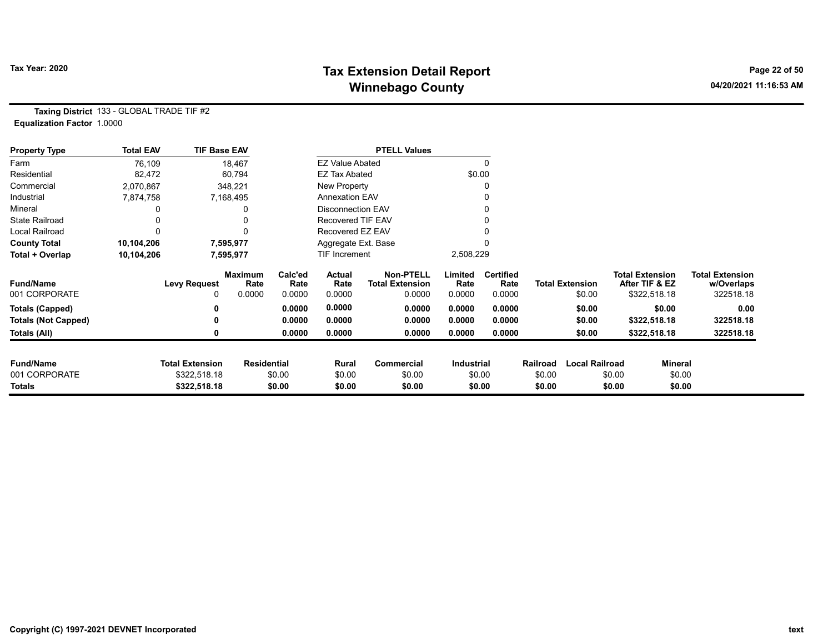# Tax Year: 2020 Page 22 of 50 Winnebago County and the County of the County of the County of the County of the County of the County of the County of the County of the County of the County of the County of the County of the County of the County of the C

Taxing District 133 - GLOBAL TRADE TIF #2 Equalization Factor 1.0000

| <b>Property Type</b>       | <b>Total EAV</b> | <b>TIF Base EAV</b>    |                        |                 |                          | <b>PTELL Values</b>                        |                 |                          |          |                        |                                          |                |                                      |
|----------------------------|------------------|------------------------|------------------------|-----------------|--------------------------|--------------------------------------------|-----------------|--------------------------|----------|------------------------|------------------------------------------|----------------|--------------------------------------|
| Farm                       | 76,109           |                        | 18,467                 |                 | <b>EZ Value Abated</b>   |                                            |                 | $\mathbf{0}$             |          |                        |                                          |                |                                      |
| Residential                | 82,472           |                        | 60,794                 |                 | <b>EZ Tax Abated</b>     |                                            |                 | \$0.00                   |          |                        |                                          |                |                                      |
| Commercial                 | 2,070,867        |                        | 348,221                |                 | New Property             |                                            |                 |                          |          |                        |                                          |                |                                      |
| Industrial                 | 7,874,758        |                        | 7,168,495              |                 | <b>Annexation EAV</b>    |                                            |                 |                          |          |                        |                                          |                |                                      |
| Mineral                    |                  |                        | 0                      |                 | <b>Disconnection EAV</b> |                                            |                 |                          |          |                        |                                          |                |                                      |
| <b>State Railroad</b>      |                  |                        |                        |                 | Recovered TIF EAV        |                                            |                 |                          |          |                        |                                          |                |                                      |
| <b>Local Railroad</b>      |                  |                        | 0                      |                 | Recovered EZ EAV         |                                            |                 |                          |          |                        |                                          |                |                                      |
| <b>County Total</b>        | 10,104,206       |                        | 7,595,977              |                 | Aggregate Ext. Base      |                                            |                 |                          |          |                        |                                          |                |                                      |
| Total + Overlap            | 10,104,206       |                        | 7,595,977              |                 | <b>TIF Increment</b>     |                                            | 2,508,229       |                          |          |                        |                                          |                |                                      |
| <b>Fund/Name</b>           |                  | <b>Levy Request</b>    | <b>Maximum</b><br>Rate | Calc'ed<br>Rate | Actual<br>Rate           | <b>Non-PTELL</b><br><b>Total Extension</b> | Limited<br>Rate | <b>Certified</b><br>Rate |          | <b>Total Extension</b> | <b>Total Extension</b><br>After TIF & EZ |                | <b>Total Extension</b><br>w/Overlaps |
| 001 CORPORATE              |                  | 0                      | 0.0000                 | 0.0000          | 0.0000                   | 0.0000                                     | 0.0000          | 0.0000                   |          | \$0.00                 | \$322,518.18                             |                | 322518.18                            |
| <b>Totals (Capped)</b>     |                  |                        |                        | 0.0000          | 0.0000                   | 0.0000                                     | 0.0000          | 0.0000                   |          | \$0.00                 |                                          | \$0.00         | 0.00                                 |
| <b>Totals (Not Capped)</b> |                  |                        |                        | 0.0000          | 0.0000                   | 0.0000                                     | 0.0000          | 0.0000                   |          | \$0.00                 | \$322,518.18                             |                | 322518.18                            |
| Totals (All)               |                  |                        |                        | 0.0000          | 0.0000                   | 0.0000                                     | 0.0000          | 0.0000                   |          | \$0.00                 | \$322,518.18                             |                | 322518.18                            |
| <b>Fund/Name</b>           |                  | <b>Total Extension</b> | <b>Residential</b>     |                 | Rural                    | <b>Commercial</b>                          | Industrial      |                          | Railroad | <b>Local Railroad</b>  |                                          | <b>Mineral</b> |                                      |
| 001 CORPORATE              |                  | \$322,518.18           |                        | \$0.00          | \$0.00                   | \$0.00                                     |                 | \$0.00                   | \$0.00   |                        | \$0.00                                   | \$0.00         |                                      |
| Totals                     |                  | \$322,518.18           |                        | \$0.00          | \$0.00                   | \$0.00                                     |                 | \$0.00                   | \$0.00   |                        | \$0.00                                   | \$0.00         |                                      |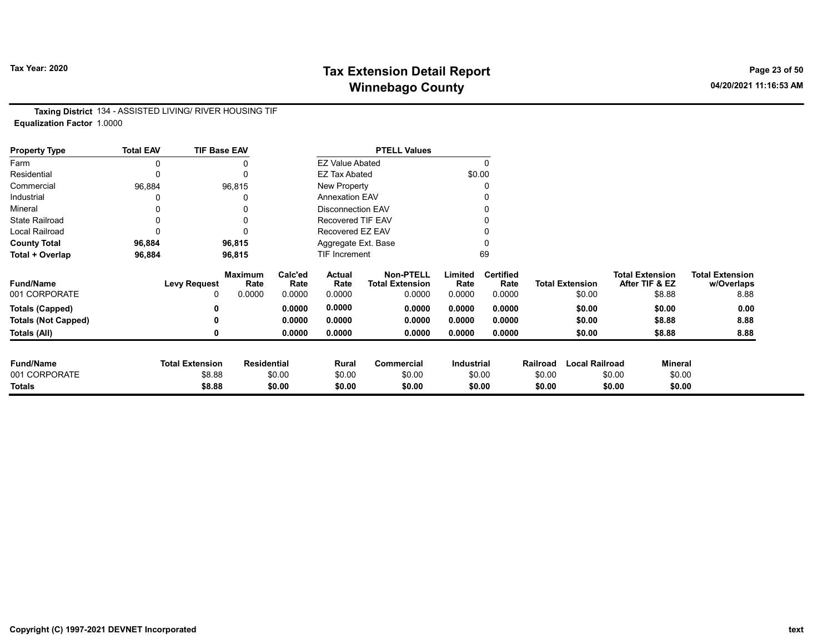# Tax Year: 2020 Page 23 of 50 Winnebago County and the County of the County of the County of the County of the County of the County of the County of the County of the County of the County of the County of the County of the County of the County of the C

Taxing District 134 - ASSISTED LIVING/ RIVER HOUSING TIF Equalization Factor 1.0000

| <b>Property Type</b>       | <b>Total EAV</b> | <b>TIF Base EAV</b>    |                        |                 |                          | <b>PTELL Values</b>                        |                 |                          |          |                        |                                          |                                      |
|----------------------------|------------------|------------------------|------------------------|-----------------|--------------------------|--------------------------------------------|-----------------|--------------------------|----------|------------------------|------------------------------------------|--------------------------------------|
| Farm                       | 0                |                        |                        |                 | <b>EZ Value Abated</b>   |                                            |                 | 0                        |          |                        |                                          |                                      |
| Residential                | 0                |                        | $\mathbf{0}$           |                 | <b>EZ Tax Abated</b>     |                                            | \$0.00          |                          |          |                        |                                          |                                      |
| Commercial                 | 96,884           |                        | 96,815                 |                 | New Property             |                                            |                 | C                        |          |                        |                                          |                                      |
| Industrial                 |                  |                        |                        |                 | <b>Annexation EAV</b>    |                                            |                 |                          |          |                        |                                          |                                      |
| Mineral                    | 0                |                        |                        |                 | <b>Disconnection EAV</b> |                                            |                 |                          |          |                        |                                          |                                      |
| <b>State Railroad</b>      | 0                |                        |                        |                 | Recovered TIF EAV        |                                            |                 |                          |          |                        |                                          |                                      |
| <b>Local Railroad</b>      | 0                |                        |                        |                 | Recovered EZ EAV         |                                            |                 |                          |          |                        |                                          |                                      |
| <b>County Total</b>        | 96,884           |                        | 96,815                 |                 | Aggregate Ext. Base      |                                            |                 |                          |          |                        |                                          |                                      |
| Total + Overlap            | 96,884           |                        | 96,815                 |                 | TIF Increment            |                                            |                 | 69                       |          |                        |                                          |                                      |
| <b>Fund/Name</b>           |                  | <b>Levy Request</b>    | <b>Maximum</b><br>Rate | Calc'ed<br>Rate | Actual<br>Rate           | <b>Non-PTELL</b><br><b>Total Extension</b> | Limited<br>Rate | <b>Certified</b><br>Rate |          | <b>Total Extension</b> | <b>Total Extension</b><br>After TIF & EZ | <b>Total Extension</b><br>w/Overlaps |
| 001 CORPORATE              |                  | 0                      | 0.0000                 | 0.0000          | 0.0000                   | 0.0000                                     | 0.0000          | 0.0000                   |          | \$0.00                 | \$8.88                                   | 8.88                                 |
| <b>Totals (Capped)</b>     |                  |                        |                        | 0.0000          | 0.0000                   | 0.0000                                     | 0.0000          | 0.0000                   |          | \$0.00                 | \$0.00                                   | 0.00                                 |
| <b>Totals (Not Capped)</b> |                  |                        |                        | 0.0000          | 0.0000                   | 0.0000                                     | 0.0000          | 0.0000                   |          | \$0.00                 | \$8.88                                   | 8.88                                 |
| Totals (All)               |                  |                        |                        | 0.0000          | 0.0000                   | 0.0000                                     | 0.0000          | 0.0000                   |          | \$0.00                 | \$8.88                                   | 8.88                                 |
|                            |                  |                        |                        |                 |                          |                                            |                 |                          |          |                        |                                          |                                      |
| <b>Fund/Name</b>           |                  | <b>Total Extension</b> | <b>Residential</b>     |                 | Rural                    | Commercial                                 | Industrial      |                          | Railroad | <b>Local Railroad</b>  | Mineral                                  |                                      |
| 001 CORPORATE              |                  | \$8.88                 |                        | \$0.00          | \$0.00                   | \$0.00                                     |                 | \$0.00                   | \$0.00   |                        | \$0.00<br>\$0.00                         |                                      |
| Totals                     |                  | \$8.88                 |                        | \$0.00          | \$0.00                   | \$0.00                                     |                 | \$0.00                   | \$0.00   |                        | \$0.00                                   | \$0.00                               |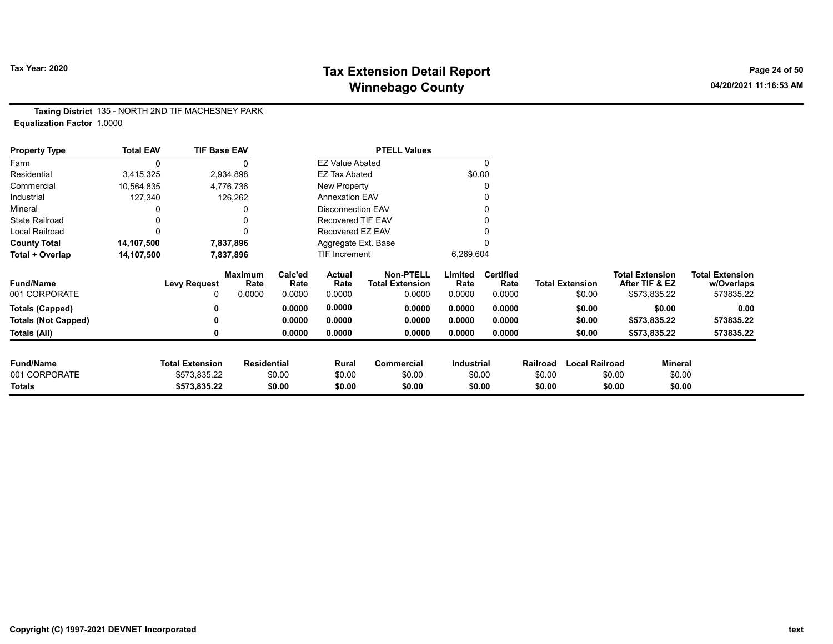# Tax Year: 2020 Page 24 of 50 Winnebago County and the County of the County of the County of the County of the County of the County of the County of the County of the County of the County of the County of the County of the County of the County of the C

Taxing District 135 - NORTH 2ND TIF MACHESNEY PARK Equalization Factor 1.0000

| <b>Property Type</b>       | <b>Total EAV</b> | <b>TIF Base EAV</b>          |                        |                  |                          | <b>PTELL Values</b>                        |                   |                          |                  |                        |                  |                                          |                                      |
|----------------------------|------------------|------------------------------|------------------------|------------------|--------------------------|--------------------------------------------|-------------------|--------------------------|------------------|------------------------|------------------|------------------------------------------|--------------------------------------|
| Farm                       | 0                |                              |                        |                  | <b>EZ Value Abated</b>   |                                            |                   | $\Omega$                 |                  |                        |                  |                                          |                                      |
| Residential                | 3,415,325        |                              | 2,934,898              |                  | <b>EZ Tax Abated</b>     |                                            |                   | \$0.00                   |                  |                        |                  |                                          |                                      |
| Commercial                 | 10,564,835       |                              | 4,776,736              |                  | New Property             |                                            |                   | 0                        |                  |                        |                  |                                          |                                      |
| Industrial                 | 127,340          |                              | 126,262                |                  | <b>Annexation EAV</b>    |                                            |                   |                          |                  |                        |                  |                                          |                                      |
| Mineral                    |                  |                              |                        |                  | <b>Disconnection EAV</b> |                                            |                   | 0                        |                  |                        |                  |                                          |                                      |
| <b>State Railroad</b>      |                  |                              | 0                      |                  | <b>Recovered TIF EAV</b> |                                            |                   |                          |                  |                        |                  |                                          |                                      |
| Local Railroad             | O                |                              | O                      |                  | Recovered EZ EAV         |                                            |                   |                          |                  |                        |                  |                                          |                                      |
| <b>County Total</b>        | 14,107,500       |                              | 7,837,896              |                  | Aggregate Ext. Base      |                                            |                   |                          |                  |                        |                  |                                          |                                      |
| Total + Overlap            | 14,107,500       |                              | 7,837,896              |                  | TIF Increment            |                                            | 6,269,604         |                          |                  |                        |                  |                                          |                                      |
| <b>Fund/Name</b>           |                  | <b>Levy Request</b>          | <b>Maximum</b><br>Rate | Calc'ed<br>Rate  | Actual<br>Rate           | <b>Non-PTELL</b><br><b>Total Extension</b> | Limited<br>Rate   | <b>Certified</b><br>Rate |                  | <b>Total Extension</b> |                  | <b>Total Extension</b><br>After TIF & EZ | <b>Total Extension</b><br>w/Overlaps |
| 001 CORPORATE              |                  |                              | 0.0000                 | 0.0000           | 0.0000                   | 0.0000                                     | 0.0000            | 0.0000                   |                  | \$0.00                 |                  | \$573,835.22                             | 573835.22                            |
| <b>Totals (Capped)</b>     |                  |                              |                        | 0.0000           | 0.0000                   | 0.0000                                     | 0.0000            | 0.0000                   |                  | \$0.00                 |                  | \$0.00                                   | 0.00                                 |
| <b>Totals (Not Capped)</b> |                  | n                            |                        | 0.0000           | 0.0000                   | 0.0000                                     | 0.0000            | 0.0000                   |                  | \$0.00                 |                  | \$573,835.22                             | 573835.22                            |
| Totals (All)               |                  | 0                            |                        | 0.0000           | 0.0000                   | 0.0000                                     | 0.0000            | 0.0000                   |                  | \$0.00                 |                  | \$573,835.22                             | 573835.22                            |
| <b>Fund/Name</b>           |                  | <b>Total Extension</b>       |                        |                  |                          |                                            |                   |                          |                  | <b>Local Railroad</b>  |                  |                                          |                                      |
| 001 CORPORATE              |                  |                              | <b>Residential</b>     |                  | Rural                    | Commercial                                 | <b>Industrial</b> |                          | Railroad         |                        |                  | Mineral                                  |                                      |
| <b>Totals</b>              |                  | \$573,835.22<br>\$573,835.22 |                        | \$0.00<br>\$0.00 | \$0.00<br>\$0.00         | \$0.00<br>\$0.00                           |                   | \$0.00<br>\$0.00         | \$0.00<br>\$0.00 |                        | \$0.00<br>\$0.00 | \$0.00<br>\$0.00                         |                                      |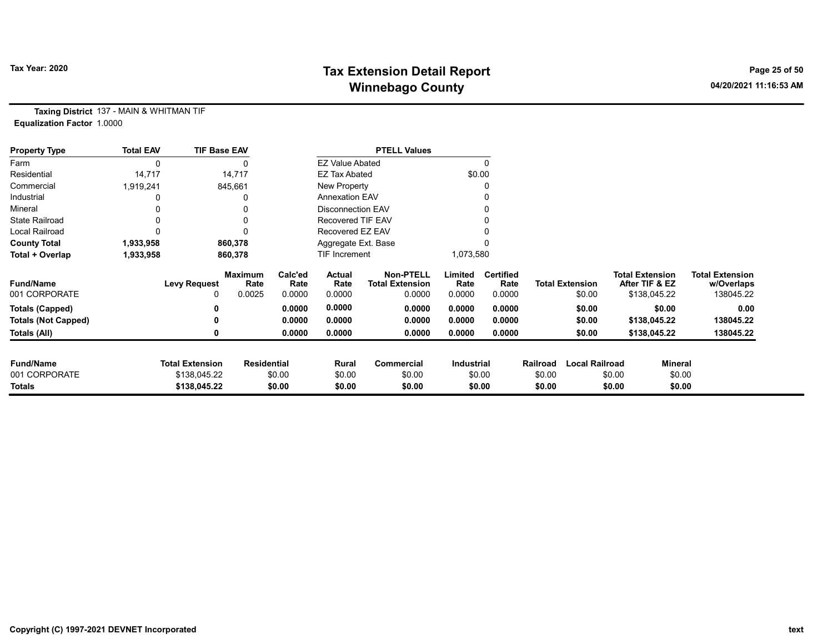# Tax Year: 2020 Page 25 of 50 Winnebago County and the County of the County of the County of the County of the County of the County of the County of the County of the County of the County of the County of the County of the County of the County of the C

Taxing District 137 - MAIN & WHITMAN TIF Equalization Factor 1.0000

| <b>Property Type</b>       | <b>Total EAV</b> | <b>TIF Base EAV</b>    |                        |                 |                          | <b>PTELL Values</b>                        |                 |                          |          |                        |                                          |                |                                      |
|----------------------------|------------------|------------------------|------------------------|-----------------|--------------------------|--------------------------------------------|-----------------|--------------------------|----------|------------------------|------------------------------------------|----------------|--------------------------------------|
| Farm                       | 0                |                        | 0                      |                 | <b>EZ Value Abated</b>   |                                            |                 | $\Omega$                 |          |                        |                                          |                |                                      |
| Residential                | 14,717           |                        | 14,717                 |                 | <b>EZ Tax Abated</b>     |                                            | \$0.00          |                          |          |                        |                                          |                |                                      |
| Commercial                 | 1,919,241        |                        | 845,661                |                 | New Property             |                                            |                 |                          |          |                        |                                          |                |                                      |
| Industrial                 |                  |                        |                        |                 | <b>Annexation EAV</b>    |                                            |                 |                          |          |                        |                                          |                |                                      |
| Mineral                    |                  |                        |                        |                 | <b>Disconnection EAV</b> |                                            |                 |                          |          |                        |                                          |                |                                      |
| <b>State Railroad</b>      |                  |                        | 0                      |                 | Recovered TIF EAV        |                                            |                 |                          |          |                        |                                          |                |                                      |
| <b>Local Railroad</b>      |                  |                        | 0                      |                 | Recovered EZ EAV         |                                            |                 |                          |          |                        |                                          |                |                                      |
| <b>County Total</b>        | 1,933,958        |                        | 860,378                |                 | Aggregate Ext. Base      |                                            |                 |                          |          |                        |                                          |                |                                      |
| Total + Overlap            | 1,933,958        |                        | 860,378                |                 | TIF Increment            |                                            | 1,073,580       |                          |          |                        |                                          |                |                                      |
| <b>Fund/Name</b>           |                  | <b>Levy Request</b>    | <b>Maximum</b><br>Rate | Calc'ed<br>Rate | Actual<br>Rate           | <b>Non-PTELL</b><br><b>Total Extension</b> | Limited<br>Rate | <b>Certified</b><br>Rate |          | <b>Total Extension</b> | <b>Total Extension</b><br>After TIF & EZ |                | <b>Total Extension</b><br>w/Overlaps |
| 001 CORPORATE              |                  |                        | 0.0025                 | 0.0000          | 0.0000                   | 0.0000                                     | 0.0000          | 0.0000                   |          | \$0.00                 | \$138,045.22                             |                | 138045.22                            |
| <b>Totals (Capped)</b>     |                  |                        |                        | 0.0000          | 0.0000                   | 0.0000                                     | 0.0000          | 0.0000                   |          | \$0.00                 |                                          | \$0.00         | 0.00                                 |
| <b>Totals (Not Capped)</b> |                  |                        |                        | 0.0000          | 0.0000                   | 0.0000                                     | 0.0000          | 0.0000                   |          | \$0.00                 | \$138,045.22                             |                | 138045.22                            |
| Totals (All)               |                  |                        |                        | 0.0000          | 0.0000                   | 0.0000                                     | 0.0000          | 0.0000                   |          | \$0.00                 | \$138,045.22                             |                | 138045.22                            |
| <b>Fund/Name</b>           |                  | <b>Total Extension</b> | <b>Residential</b>     |                 | Rural                    | <b>Commercial</b>                          | Industrial      |                          | Railroad | <b>Local Railroad</b>  |                                          | <b>Mineral</b> |                                      |
| 001 CORPORATE              |                  | \$138,045.22           |                        | \$0.00          | \$0.00                   | \$0.00                                     |                 | \$0.00                   | \$0.00   |                        | \$0.00                                   | \$0.00         |                                      |
| Totals                     |                  | \$138,045.22           |                        | \$0.00          | \$0.00                   | \$0.00                                     |                 | \$0.00                   | \$0.00   |                        | \$0.00                                   | \$0.00         |                                      |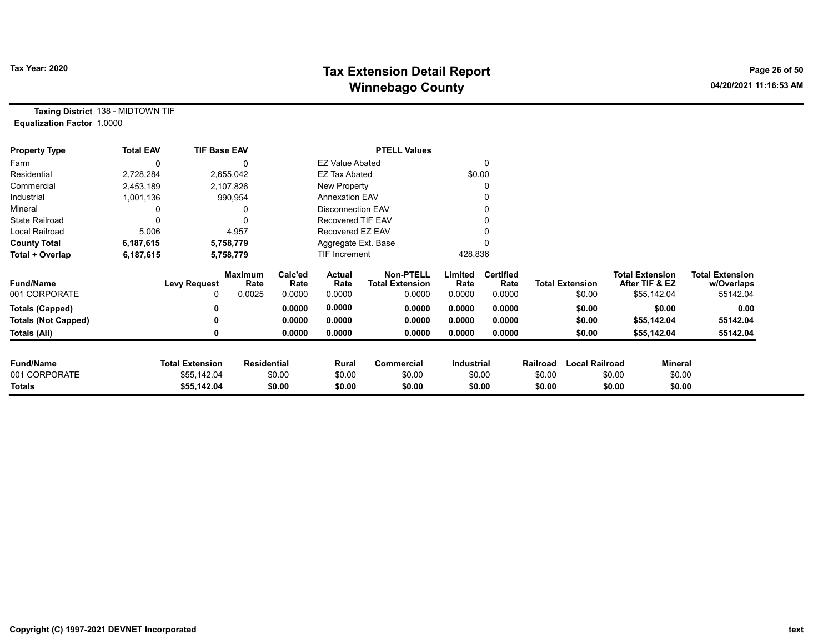# Tax Year: 2020 Page 26 of 50 Winnebago County and the County of the County of the County of the County of the County of the County of the County of the County of the County of the County of the County of the County of the County of the County of the C

Taxing District 138 - MIDTOWN TIF Equalization Factor 1.0000

| <b>Property Type</b>       | <b>Total EAV</b> | <b>TIF Base EAV</b>    |                        |                 |                          | <b>PTELL Values</b>                        |                   |                          |          |                       |                        |                |                                      |
|----------------------------|------------------|------------------------|------------------------|-----------------|--------------------------|--------------------------------------------|-------------------|--------------------------|----------|-----------------------|------------------------|----------------|--------------------------------------|
| Farm                       |                  |                        |                        |                 | <b>EZ Value Abated</b>   |                                            |                   |                          |          |                       |                        |                |                                      |
| Residential                | 2,728,284        |                        | 2,655,042              |                 | <b>EZ Tax Abated</b>     |                                            | \$0.00            |                          |          |                       |                        |                |                                      |
| Commercial                 | 2,453,189        |                        | 2,107,826              |                 | New Property             |                                            |                   |                          |          |                       |                        |                |                                      |
| Industrial                 | 1,001,136        |                        | 990,954                |                 | <b>Annexation EAV</b>    |                                            |                   |                          |          |                       |                        |                |                                      |
| Mineral                    |                  |                        |                        |                 | <b>Disconnection EAV</b> |                                            |                   |                          |          |                       |                        |                |                                      |
| <b>State Railroad</b>      |                  |                        | 0                      |                 | Recovered TIF EAV        |                                            |                   |                          |          |                       |                        |                |                                      |
| <b>Local Railroad</b>      | 5,006            |                        | 4,957                  |                 | Recovered EZ EAV         |                                            |                   |                          |          |                       |                        |                |                                      |
| <b>County Total</b>        | 6,187,615        |                        | 5,758,779              |                 | Aggregate Ext. Base      |                                            |                   |                          |          |                       |                        |                |                                      |
| Total + Overlap            | 6,187,615        |                        | 5,758,779              |                 | TIF Increment            |                                            | 428,836           |                          |          |                       |                        |                |                                      |
| <b>Fund/Name</b>           |                  | <b>Levy Request</b>    | <b>Maximum</b><br>Rate | Calc'ed<br>Rate | Actual<br>Rate           | <b>Non-PTELL</b><br><b>Total Extension</b> | Limited<br>Rate   | <b>Certified</b><br>Rate |          | Total Extension       | <b>Total Extension</b> | After TIF & EZ | <b>Total Extension</b><br>w/Overlaps |
| 001 CORPORATE              |                  | 0                      | 0.0025                 | 0.0000          | 0.0000                   | 0.0000                                     | 0.0000            | 0.0000                   |          | \$0.00                |                        | \$55,142.04    | 55142.04                             |
| <b>Totals (Capped)</b>     |                  |                        |                        | 0.0000          | 0.0000                   | 0.0000                                     | 0.0000            | 0.0000                   |          | \$0.00                |                        | \$0.00         | 0.00                                 |
| <b>Totals (Not Capped)</b> |                  |                        |                        | 0.0000          | 0.0000                   | 0.0000                                     | 0.0000            | 0.0000                   |          | \$0.00                |                        | \$55,142.04    | 55142.04                             |
| Totals (All)               |                  |                        |                        | 0.0000          | 0.0000                   | 0.0000                                     | 0.0000            | 0.0000                   |          | \$0.00                |                        | \$55,142.04    | 55142.04                             |
| <b>Fund/Name</b>           |                  | <b>Total Extension</b> | <b>Residential</b>     |                 | Rural                    | Commercial                                 | <b>Industrial</b> |                          | Railroad | <b>Local Railroad</b> |                        | Mineral        |                                      |
| 001 CORPORATE              |                  | \$55,142.04            |                        | \$0.00          | \$0.00                   | \$0.00                                     |                   | \$0.00                   | \$0.00   |                       | \$0.00                 | \$0.00         |                                      |
| Totals                     |                  | \$55,142.04            |                        | \$0.00          | \$0.00                   | \$0.00                                     |                   | \$0.00                   | \$0.00   |                       | \$0.00                 | \$0.00         |                                      |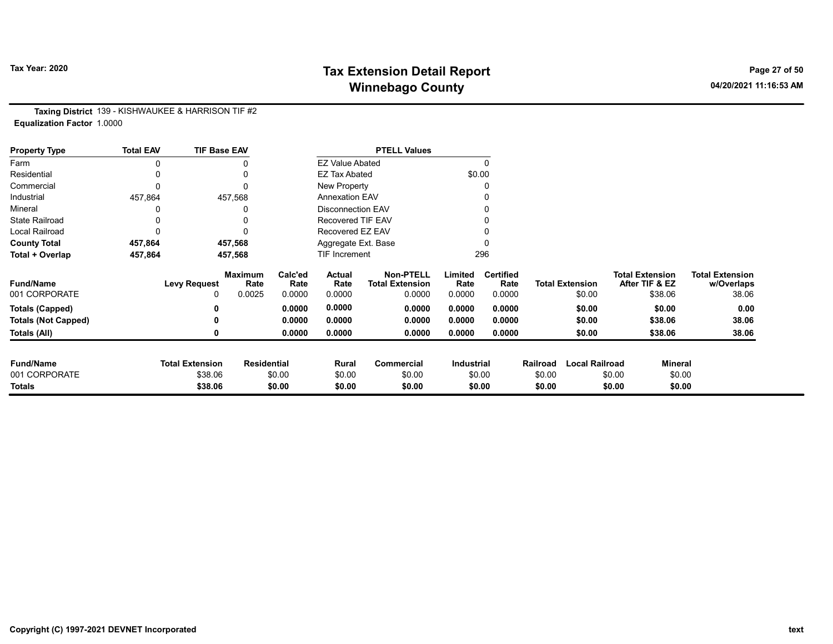# Tax Year: 2020 Page 27 of 50 Winnebago County and the County of the County of the County of the County of the County of the County of the County of the County of the County of the County of the County of the County of the County of the County of the C

Taxing District 139 - KISHWAUKEE & HARRISON TIF #2 Equalization Factor 1.0000

| <b>Property Type</b>       | <b>Total EAV</b> | <b>TIF Base EAV</b>    |                        |                 |                          | <b>PTELL Values</b>                        |                 |                          |          |                        |                                          |                                      |
|----------------------------|------------------|------------------------|------------------------|-----------------|--------------------------|--------------------------------------------|-----------------|--------------------------|----------|------------------------|------------------------------------------|--------------------------------------|
| Farm                       |                  |                        |                        |                 | <b>EZ Value Abated</b>   |                                            |                 | $\Omega$                 |          |                        |                                          |                                      |
| Residential                |                  |                        |                        |                 | <b>EZ Tax Abated</b>     |                                            | \$0.00          |                          |          |                        |                                          |                                      |
| Commercial                 |                  |                        |                        |                 | New Property             |                                            |                 | 0                        |          |                        |                                          |                                      |
| Industrial                 | 457,864          |                        | 457,568                |                 | <b>Annexation EAV</b>    |                                            |                 |                          |          |                        |                                          |                                      |
| Mineral                    |                  |                        |                        |                 | <b>Disconnection EAV</b> |                                            |                 |                          |          |                        |                                          |                                      |
| <b>State Railroad</b>      |                  |                        |                        |                 | Recovered TIF EAV        |                                            |                 |                          |          |                        |                                          |                                      |
| Local Railroad             |                  |                        |                        |                 | Recovered EZ EAV         |                                            |                 |                          |          |                        |                                          |                                      |
| <b>County Total</b>        | 457,864          |                        | 457,568                |                 | Aggregate Ext. Base      |                                            |                 |                          |          |                        |                                          |                                      |
| Total + Overlap            | 457,864          |                        | 457,568                |                 | TIF Increment            |                                            |                 | 296                      |          |                        |                                          |                                      |
| <b>Fund/Name</b>           |                  | <b>Levy Request</b>    | <b>Maximum</b><br>Rate | Calc'ed<br>Rate | <b>Actual</b><br>Rate    | <b>Non-PTELL</b><br><b>Total Extension</b> | Limited<br>Rate | <b>Certified</b><br>Rate |          | <b>Total Extension</b> | <b>Total Extension</b><br>After TIF & EZ | <b>Total Extension</b><br>w/Overlaps |
| 001 CORPORATE              |                  | 0                      | 0.0025                 | 0.0000          | 0.0000                   | 0.0000                                     | 0.0000          | 0.0000                   |          | \$0.00                 | \$38.06                                  | 38.06                                |
| <b>Totals (Capped)</b>     |                  |                        |                        | 0.0000          | 0.0000                   | 0.0000                                     | 0.0000          | 0.0000                   |          | \$0.00                 | \$0.00                                   | 0.00                                 |
| <b>Totals (Not Capped)</b> |                  |                        |                        | 0.0000          | 0.0000                   | 0.0000                                     | 0.0000          | 0.0000                   |          | \$0.00                 | \$38.06                                  | 38.06                                |
| Totals (All)               |                  |                        |                        | 0.0000          | 0.0000                   | 0.0000                                     | 0.0000          | 0.0000                   |          | \$0.00                 | \$38.06                                  | 38.06                                |
| <b>Fund/Name</b>           |                  | <b>Total Extension</b> | <b>Residential</b>     |                 | Rural                    | <b>Commercial</b>                          | Industrial      |                          | Railroad | <b>Local Railroad</b>  | <b>Mineral</b>                           |                                      |
| 001 CORPORATE              |                  | \$38.06                |                        | \$0.00          | \$0.00                   | \$0.00                                     |                 | \$0.00                   | \$0.00   |                        | \$0.00<br>\$0.00                         |                                      |
| <b>Totals</b>              |                  | \$38.06                |                        | \$0.00          | \$0.00                   | \$0.00                                     |                 | \$0.00                   | \$0.00   |                        | \$0.00<br>\$0.00                         |                                      |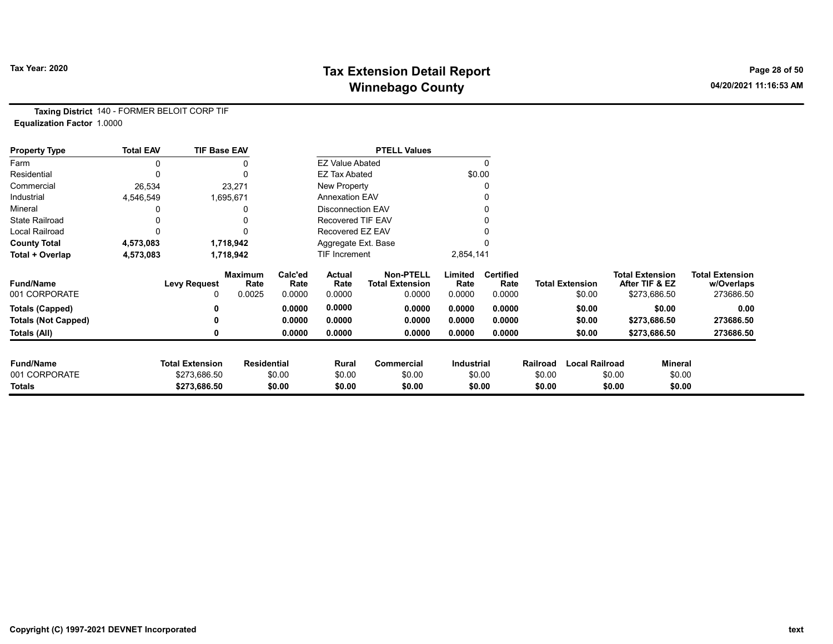# Tax Year: 2020 Page 28 of 50 Winnebago County and the County of the County of the County of the County of the County of the County of the County of the County of the County of the County of the County of the County of the County of the County of the C

Taxing District 140 - FORMER BELOIT CORP TIF Equalization Factor 1.0000

| <b>Property Type</b>       | <b>Total EAV</b> | <b>TIF Base EAV</b>    |                        |                 |                          | <b>PTELL Values</b>                        |                   |                          |          |                        |                                          |         |                                      |
|----------------------------|------------------|------------------------|------------------------|-----------------|--------------------------|--------------------------------------------|-------------------|--------------------------|----------|------------------------|------------------------------------------|---------|--------------------------------------|
| Farm                       | 0                |                        |                        |                 | <b>EZ Value Abated</b>   |                                            |                   |                          |          |                        |                                          |         |                                      |
| Residential                | 0                |                        | $\Omega$               |                 | <b>EZ Tax Abated</b>     |                                            | \$0.00            |                          |          |                        |                                          |         |                                      |
| Commercial                 | 26,534           |                        | 23,271                 |                 | New Property             |                                            |                   |                          |          |                        |                                          |         |                                      |
| Industrial                 | 4,546,549        |                        | 1,695,671              |                 | <b>Annexation EAV</b>    |                                            |                   |                          |          |                        |                                          |         |                                      |
| Mineral                    |                  |                        |                        |                 | <b>Disconnection EAV</b> |                                            |                   |                          |          |                        |                                          |         |                                      |
| <b>State Railroad</b>      |                  |                        |                        |                 | Recovered TIF EAV        |                                            |                   |                          |          |                        |                                          |         |                                      |
| <b>Local Railroad</b>      |                  |                        |                        |                 | Recovered EZ EAV         |                                            |                   |                          |          |                        |                                          |         |                                      |
| <b>County Total</b>        | 4,573,083        |                        | 1,718,942              |                 | Aggregate Ext. Base      |                                            |                   |                          |          |                        |                                          |         |                                      |
| Total + Overlap            | 4,573,083        |                        | 1,718,942              |                 | TIF Increment            |                                            | 2,854,141         |                          |          |                        |                                          |         |                                      |
| <b>Fund/Name</b>           |                  | <b>Levy Request</b>    | <b>Maximum</b><br>Rate | Calc'ed<br>Rate | Actual<br>Rate           | <b>Non-PTELL</b><br><b>Total Extension</b> | Limited<br>Rate   | <b>Certified</b><br>Rate |          | <b>Total Extension</b> | <b>Total Extension</b><br>After TIF & EZ |         | <b>Total Extension</b><br>w/Overlaps |
| 001 CORPORATE              |                  | 0                      | 0.0025                 | 0.0000          | 0.0000                   | 0.0000                                     | 0.0000            | 0.0000                   |          | \$0.00                 | \$273,686.50                             |         | 273686.50                            |
| <b>Totals (Capped)</b>     |                  |                        |                        | 0.0000          | 0.0000                   | 0.0000                                     | 0.0000            | 0.0000                   |          | \$0.00                 |                                          | \$0.00  | 0.00                                 |
| <b>Totals (Not Capped)</b> |                  | 0                      |                        | 0.0000          | 0.0000                   | 0.0000                                     | 0.0000            | 0.0000                   |          | \$0.00                 | \$273,686.50                             |         | 273686.50                            |
| Totals (All)               |                  | 0                      |                        | 0.0000          | 0.0000                   | 0.0000                                     | 0.0000            | 0.0000                   |          | \$0.00                 | \$273,686.50                             |         | 273686.50                            |
| <b>Fund/Name</b>           |                  | <b>Total Extension</b> | <b>Residential</b>     |                 | Rural                    | Commercial                                 | <b>Industrial</b> |                          | Railroad | <b>Local Railroad</b>  |                                          | Mineral |                                      |
| 001 CORPORATE              |                  | \$273,686.50           |                        | \$0.00          | \$0.00                   | \$0.00                                     |                   | \$0.00                   | \$0.00   |                        | \$0.00                                   | \$0.00  |                                      |
| Totals                     |                  | \$273,686.50           |                        | \$0.00          | \$0.00                   | \$0.00                                     |                   | \$0.00                   | \$0.00   |                        | \$0.00                                   | \$0.00  |                                      |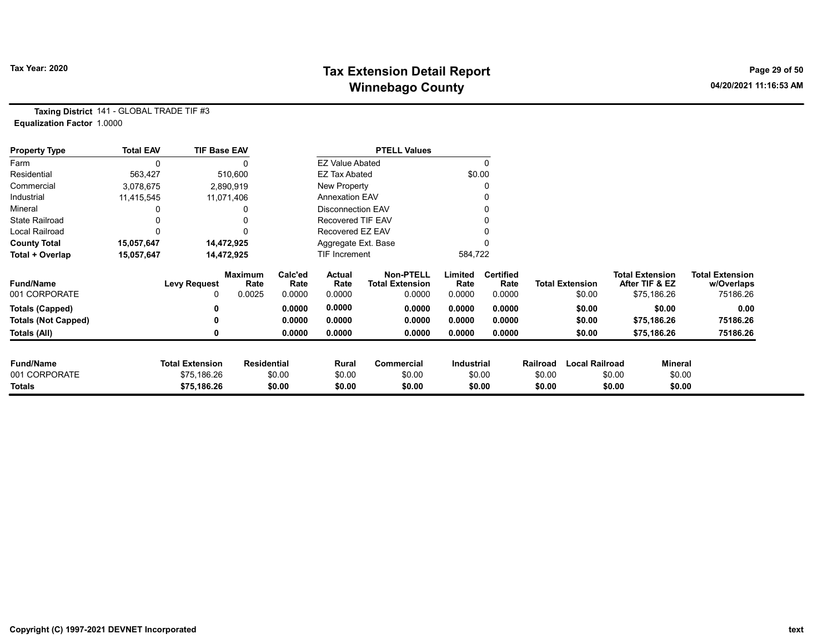# Tax Year: 2020 Page 29 of 50 Winnebago County and the County of the County of the County of the County of the County of the County of the County of the County of the County of the County of the County of the County of the County of the County of the C

Taxing District 141 - GLOBAL TRADE TIF #3 Equalization Factor 1.0000

| <b>Property Type</b>       | <b>Total EAV</b> | <b>TIF Base EAV</b>    |                        |                 |                        | <b>PTELL Values</b>                        |                   |                          |          |                        |        |                                          |                                      |
|----------------------------|------------------|------------------------|------------------------|-----------------|------------------------|--------------------------------------------|-------------------|--------------------------|----------|------------------------|--------|------------------------------------------|--------------------------------------|
| Farm                       |                  |                        |                        |                 | <b>EZ Value Abated</b> |                                            |                   | $\Omega$                 |          |                        |        |                                          |                                      |
| Residential                | 563,427          |                        | 510,600                |                 | <b>EZ Tax Abated</b>   |                                            |                   | \$0.00                   |          |                        |        |                                          |                                      |
| Commercial                 | 3,078,675        |                        | 2,890,919              |                 | New Property           |                                            |                   |                          |          |                        |        |                                          |                                      |
| Industrial                 | 11,415,545       |                        | 11,071,406             |                 | <b>Annexation EAV</b>  |                                            |                   |                          |          |                        |        |                                          |                                      |
| Mineral                    |                  |                        |                        |                 | Disconnection EAV      |                                            |                   |                          |          |                        |        |                                          |                                      |
| <b>State Railroad</b>      |                  |                        |                        |                 | Recovered TIF EAV      |                                            |                   |                          |          |                        |        |                                          |                                      |
| <b>Local Railroad</b>      |                  |                        |                        |                 | Recovered EZ EAV       |                                            |                   |                          |          |                        |        |                                          |                                      |
| <b>County Total</b>        | 15,057,647       |                        | 14,472,925             |                 | Aggregate Ext. Base    |                                            |                   |                          |          |                        |        |                                          |                                      |
| Total + Overlap            | 15,057,647       |                        | 14,472,925             |                 | <b>TIF Increment</b>   |                                            | 584,722           |                          |          |                        |        |                                          |                                      |
| <b>Fund/Name</b>           |                  | <b>Levy Request</b>    | <b>Maximum</b><br>Rate | Calc'ed<br>Rate | Actual<br>Rate         | <b>Non-PTELL</b><br><b>Total Extension</b> | Limited<br>Rate   | <b>Certified</b><br>Rate |          | <b>Total Extension</b> |        | <b>Total Extension</b><br>After TIF & EZ | <b>Total Extension</b><br>w/Overlaps |
| 001 CORPORATE              |                  | Ω                      | 0.0025                 | 0.0000          | 0.0000                 | 0.0000                                     | 0.0000            | 0.0000                   |          | \$0.00                 |        | \$75,186.26                              | 75186.26                             |
| <b>Totals (Capped)</b>     |                  |                        |                        | 0.0000          | 0.0000                 | 0.0000                                     | 0.0000            | 0.0000                   |          | \$0.00                 |        | \$0.00                                   | 0.00                                 |
| <b>Totals (Not Capped)</b> |                  |                        |                        | 0.0000          | 0.0000                 | 0.0000                                     | 0.0000            | 0.0000                   |          | \$0.00                 |        | \$75,186.26                              | 75186.26                             |
| Totals (All)               |                  | 0                      |                        | 0.0000          | 0.0000                 | 0.0000                                     | 0.0000            | 0.0000                   |          | \$0.00                 |        | \$75,186.26                              | 75186.26                             |
| <b>Fund/Name</b>           |                  | <b>Total Extension</b> | <b>Residential</b>     |                 | Rural                  | Commercial                                 | <b>Industrial</b> |                          | Railroad | <b>Local Railroad</b>  |        | Mineral                                  |                                      |
| 001 CORPORATE              |                  | \$75,186.26            |                        | \$0.00          | \$0.00                 | \$0.00                                     |                   | \$0.00                   | \$0.00   |                        | \$0.00 | \$0.00                                   |                                      |
| <b>Totals</b>              |                  | \$75,186.26            |                        | \$0.00          | \$0.00                 | \$0.00                                     |                   | \$0.00                   | \$0.00   |                        | \$0.00 | \$0.00                                   |                                      |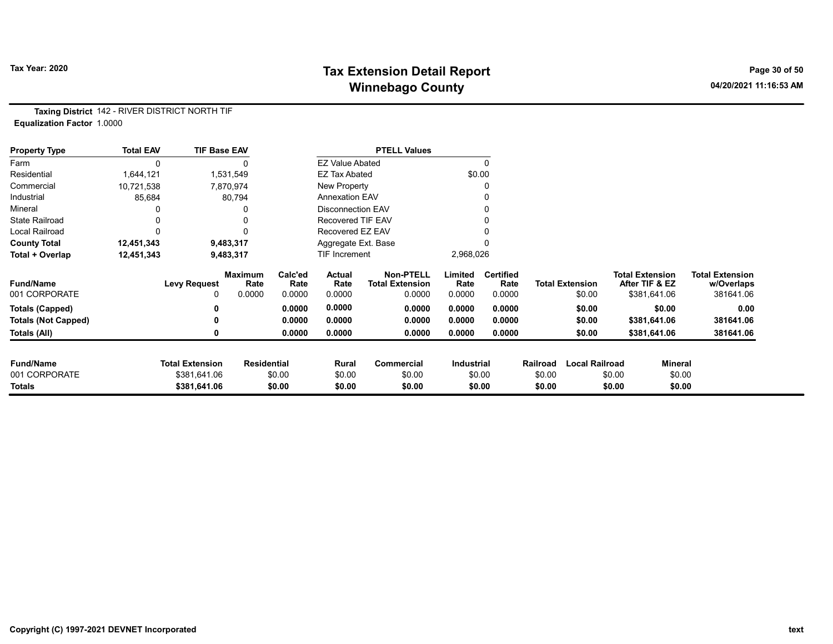# Tax Year: 2020 Page 30 of 50 Winnebago County and the County of the County of the County of the County of the County of the County of the County of the County of the County of the County of the County of the County of the County of the County of the C

Taxing District 142 - RIVER DISTRICT NORTH TIF Equalization Factor 1.0000

| <b>Property Type</b>       | <b>Total EAV</b> | <b>TIF Base EAV</b>    |                        |                 |                          | <b>PTELL Values</b>                        |                   |                          |          |                        |                                          |                                      |
|----------------------------|------------------|------------------------|------------------------|-----------------|--------------------------|--------------------------------------------|-------------------|--------------------------|----------|------------------------|------------------------------------------|--------------------------------------|
| Farm                       | 0                |                        |                        |                 | <b>EZ Value Abated</b>   |                                            |                   |                          |          |                        |                                          |                                      |
| Residential                | 1,644,121        |                        | 1,531,549              |                 | <b>EZ Tax Abated</b>     |                                            |                   | \$0.00                   |          |                        |                                          |                                      |
| Commercial                 | 10,721,538       |                        | 7,870,974              |                 | New Property             |                                            |                   |                          |          |                        |                                          |                                      |
| Industrial                 | 85,684           |                        | 80,794                 |                 | <b>Annexation EAV</b>    |                                            |                   |                          |          |                        |                                          |                                      |
| Mineral                    |                  |                        |                        |                 | <b>Disconnection EAV</b> |                                            |                   |                          |          |                        |                                          |                                      |
| <b>State Railroad</b>      |                  |                        |                        |                 | <b>Recovered TIF EAV</b> |                                            |                   |                          |          |                        |                                          |                                      |
| Local Railroad             |                  |                        |                        |                 | Recovered EZ EAV         |                                            |                   |                          |          |                        |                                          |                                      |
| <b>County Total</b>        | 12,451,343       |                        | 9,483,317              |                 | Aggregate Ext. Base      |                                            |                   |                          |          |                        |                                          |                                      |
| Total + Overlap            | 12,451,343       |                        | 9,483,317              |                 | TIF Increment            |                                            | 2,968,026         |                          |          |                        |                                          |                                      |
| <b>Fund/Name</b>           |                  | <b>Levy Request</b>    | <b>Maximum</b><br>Rate | Calc'ed<br>Rate | Actual<br>Rate           | <b>Non-PTELL</b><br><b>Total Extension</b> | Limited<br>Rate   | <b>Certified</b><br>Rate |          | <b>Total Extension</b> | <b>Total Extension</b><br>After TIF & EZ | <b>Total Extension</b><br>w/Overlaps |
| 001 CORPORATE              |                  | 0                      | 0.0000                 | 0.0000          | 0.0000                   | 0.0000                                     | 0.0000            | 0.0000                   |          | \$0.00                 | \$381,641.06                             | 381641.06                            |
| Totals (Capped)            |                  |                        |                        | 0.0000          | 0.0000                   | 0.0000                                     | 0.0000            | 0.0000                   |          | \$0.00                 | \$0.00                                   | 0.00                                 |
| <b>Totals (Not Capped)</b> |                  |                        |                        | 0.0000          | 0.0000                   | 0.0000                                     | 0.0000            | 0.0000                   |          | \$0.00                 | \$381,641.06                             | 381641.06                            |
| Totals (All)               |                  |                        |                        | 0.0000          | 0.0000                   | 0.0000                                     | 0.0000            | 0.0000                   |          | \$0.00                 | \$381,641.06                             | 381641.06                            |
| <b>Fund/Name</b>           |                  | <b>Total Extension</b> | <b>Residential</b>     |                 | Rural                    | <b>Commercial</b>                          | <b>Industrial</b> |                          | Railroad | <b>Local Railroad</b>  |                                          | Mineral                              |
| 001 CORPORATE              |                  | \$381,641.06           |                        | \$0.00          | \$0.00                   | \$0.00                                     |                   | \$0.00                   | \$0.00   |                        | \$0.00                                   | \$0.00                               |
| Totals                     |                  | \$381,641.06           |                        | \$0.00          | \$0.00                   | \$0.00                                     |                   | \$0.00                   | \$0.00   |                        | \$0.00                                   | \$0.00                               |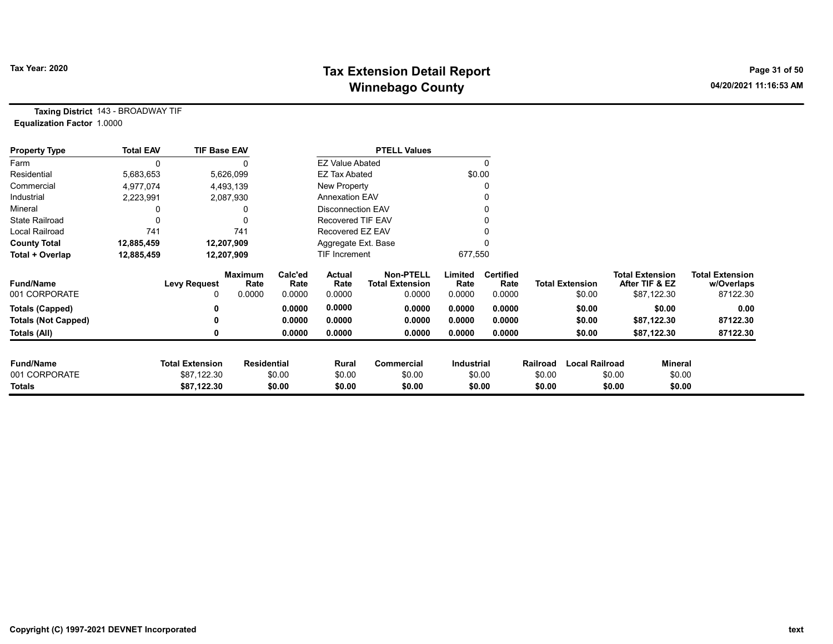# Tax Year: 2020 Page 31 of 50 Winnebago County and the County of the County of the County of the County of the County of the County of the County of the County of the County of the County of the County of the County of the County of the County of the C

Taxing District 143 - BROADWAY TIF Equalization Factor 1.0000

| <b>Property Type</b>       | <b>Total EAV</b> | <b>TIF Base EAV</b>    |                        |                 |                          | <b>PTELL Values</b>                        |                 |                          |          |                        |                                          |         |                                      |
|----------------------------|------------------|------------------------|------------------------|-----------------|--------------------------|--------------------------------------------|-----------------|--------------------------|----------|------------------------|------------------------------------------|---------|--------------------------------------|
| Farm                       |                  |                        |                        |                 | <b>EZ Value Abated</b>   |                                            |                 |                          |          |                        |                                          |         |                                      |
| Residential                | 5,683,653        |                        | 5,626,099              |                 | <b>EZ Tax Abated</b>     |                                            | \$0.00          |                          |          |                        |                                          |         |                                      |
| Commercial                 | 4,977,074        |                        | 4,493,139              |                 | New Property             |                                            |                 |                          |          |                        |                                          |         |                                      |
| Industrial                 | 2,223,991        |                        | 2,087,930              |                 | <b>Annexation EAV</b>    |                                            |                 |                          |          |                        |                                          |         |                                      |
| Mineral                    |                  |                        |                        |                 | <b>Disconnection EAV</b> |                                            |                 |                          |          |                        |                                          |         |                                      |
| <b>State Railroad</b>      |                  |                        |                        |                 | <b>Recovered TIF EAV</b> |                                            |                 |                          |          |                        |                                          |         |                                      |
| Local Railroad             | 741              |                        | 741                    |                 | Recovered EZ EAV         |                                            |                 |                          |          |                        |                                          |         |                                      |
| <b>County Total</b>        | 12,885,459       |                        | 12,207,909             |                 | Aggregate Ext. Base      |                                            |                 |                          |          |                        |                                          |         |                                      |
| Total + Overlap            | 12,885,459       |                        | 12,207,909             |                 | <b>TIF Increment</b>     |                                            | 677,550         |                          |          |                        |                                          |         |                                      |
| <b>Fund/Name</b>           |                  | <b>Levy Request</b>    | <b>Maximum</b><br>Rate | Calc'ed<br>Rate | Actual<br>Rate           | <b>Non-PTELL</b><br><b>Total Extension</b> | Limited<br>Rate | <b>Certified</b><br>Rate |          | <b>Total Extension</b> | <b>Total Extension</b><br>After TIF & EZ |         | <b>Total Extension</b><br>w/Overlaps |
| 001 CORPORATE              |                  | 0                      | 0.0000                 | 0.0000          | 0.0000                   | 0.0000                                     | 0.0000          | 0.0000                   |          | \$0.00                 | \$87,122.30                              |         | 87122.30                             |
| Totals (Capped)            |                  |                        |                        | 0.0000          | 0.0000                   | 0.0000                                     | 0.0000          | 0.0000                   |          | \$0.00                 | \$0.00                                   |         | 0.00                                 |
| <b>Totals (Not Capped)</b> |                  |                        |                        | 0.0000          | 0.0000                   | 0.0000                                     | 0.0000          | 0.0000                   |          | \$0.00                 | \$87,122.30                              |         | 87122.30                             |
| Totals (All)               |                  | 0                      |                        | 0.0000          | 0.0000                   | 0.0000                                     | 0.0000          | 0.0000                   |          | \$0.00                 | \$87,122.30                              |         | 87122.30                             |
| <b>Fund/Name</b>           |                  | <b>Total Extension</b> | <b>Residential</b>     |                 | Rural                    | Commercial                                 | Industrial      |                          | Railroad | <b>Local Railroad</b>  |                                          | Mineral |                                      |
| 001 CORPORATE              |                  | \$87,122.30            |                        | \$0.00          | \$0.00                   | \$0.00                                     |                 | \$0.00                   | \$0.00   |                        | \$0.00                                   | \$0.00  |                                      |
| Totals                     |                  | \$87,122.30            |                        | \$0.00          | \$0.00                   | \$0.00                                     |                 | \$0.00                   | \$0.00   |                        | \$0.00                                   | \$0.00  |                                      |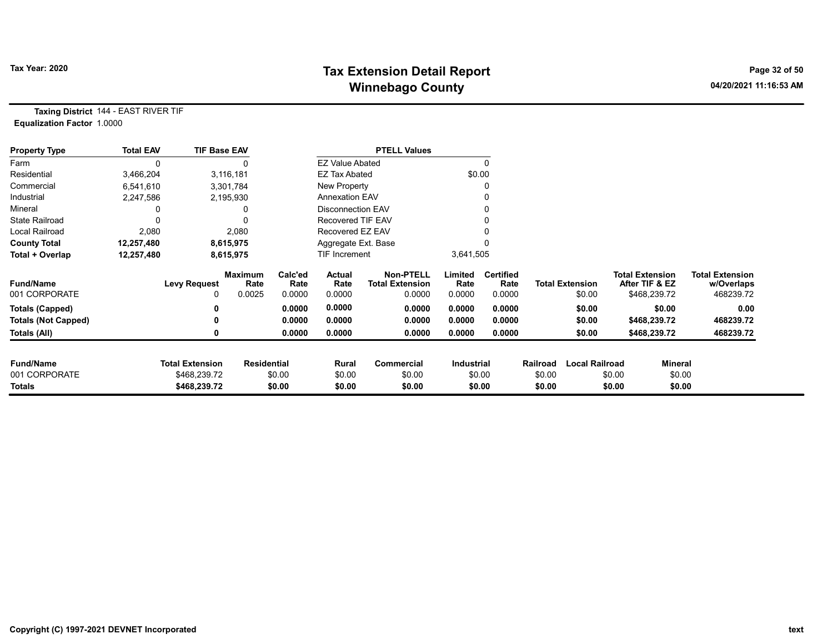# Tax Year: 2020 Page 32 of 50 Winnebago County and the County of the County of the County of the County of the County of the County of the County of the County of the County of the County of the County of the County of the County of the County of the C

Taxing District 144 - EAST RIVER TIF Equalization Factor 1.0000

| <b>Property Type</b>       | <b>Total EAV</b> | <b>TIF Base EAV</b>    |                        |                 |                          | <b>PTELL Values</b>                        |                 |                          |          |                        |                                          |              |                                      |
|----------------------------|------------------|------------------------|------------------------|-----------------|--------------------------|--------------------------------------------|-----------------|--------------------------|----------|------------------------|------------------------------------------|--------------|--------------------------------------|
| Farm                       | $\Omega$         |                        |                        |                 | <b>EZ Value Abated</b>   |                                            |                 |                          |          |                        |                                          |              |                                      |
| Residential                | 3,466,204        |                        | 3,116,181              |                 | <b>EZ Tax Abated</b>     |                                            | \$0.00          |                          |          |                        |                                          |              |                                      |
| Commercial                 | 6,541,610        |                        | 3,301,784              |                 | New Property             |                                            |                 |                          |          |                        |                                          |              |                                      |
| Industrial                 | 2,247,586        |                        | 2,195,930              |                 | <b>Annexation EAV</b>    |                                            |                 |                          |          |                        |                                          |              |                                      |
| Mineral                    |                  |                        |                        |                 | <b>Disconnection EAV</b> |                                            |                 |                          |          |                        |                                          |              |                                      |
| <b>State Railroad</b>      |                  |                        |                        |                 | <b>Recovered TIF EAV</b> |                                            |                 |                          |          |                        |                                          |              |                                      |
| Local Railroad             | 2,080            |                        | 2,080                  |                 | Recovered EZ EAV         |                                            |                 |                          |          |                        |                                          |              |                                      |
| <b>County Total</b>        | 12,257,480       |                        | 8,615,975              |                 | Aggregate Ext. Base      |                                            |                 |                          |          |                        |                                          |              |                                      |
| Total + Overlap            | 12,257,480       |                        | 8,615,975              |                 | TIF Increment            |                                            | 3,641,505       |                          |          |                        |                                          |              |                                      |
| <b>Fund/Name</b>           |                  | <b>Levy Request</b>    | <b>Maximum</b><br>Rate | Calc'ed<br>Rate | Actual<br>Rate           | <b>Non-PTELL</b><br><b>Total Extension</b> | Limited<br>Rate | <b>Certified</b><br>Rate |          | <b>Total Extension</b> | <b>Total Extension</b><br>After TIF & EZ |              | <b>Total Extension</b><br>w/Overlaps |
| 001 CORPORATE              |                  | 0                      | 0.0025                 | 0.0000          | 0.0000                   | 0.0000                                     | 0.0000          | 0.0000                   |          | \$0.00                 |                                          | \$468,239.72 | 468239.72                            |
| <b>Totals (Capped)</b>     |                  | 0                      |                        | 0.0000          | 0.0000                   | 0.0000                                     | 0.0000          | 0.0000                   |          | \$0.00                 |                                          | \$0.00       | 0.00                                 |
| <b>Totals (Not Capped)</b> |                  | 0                      |                        | 0.0000          | 0.0000                   | 0.0000                                     | 0.0000          | 0.0000                   |          | \$0.00                 |                                          | \$468,239.72 | 468239.72                            |
| Totals (All)               |                  | 0                      |                        | 0.0000          | 0.0000                   | 0.0000                                     | 0.0000          | 0.0000                   |          | \$0.00                 |                                          | \$468,239.72 | 468239.72                            |
| <b>Fund/Name</b>           |                  | <b>Total Extension</b> | <b>Residential</b>     |                 | Rural                    | <b>Commercial</b>                          | Industrial      |                          | Railroad | <b>Local Railroad</b>  |                                          | Mineral      |                                      |
| 001 CORPORATE              |                  | \$468,239.72           |                        | \$0.00          | \$0.00                   | \$0.00                                     |                 | \$0.00                   | \$0.00   |                        | \$0.00                                   | \$0.00       |                                      |
| Totals                     |                  | \$468,239.72           |                        | \$0.00          | \$0.00                   | \$0.00                                     |                 | \$0.00                   | \$0.00   |                        | \$0.00                                   | \$0.00       |                                      |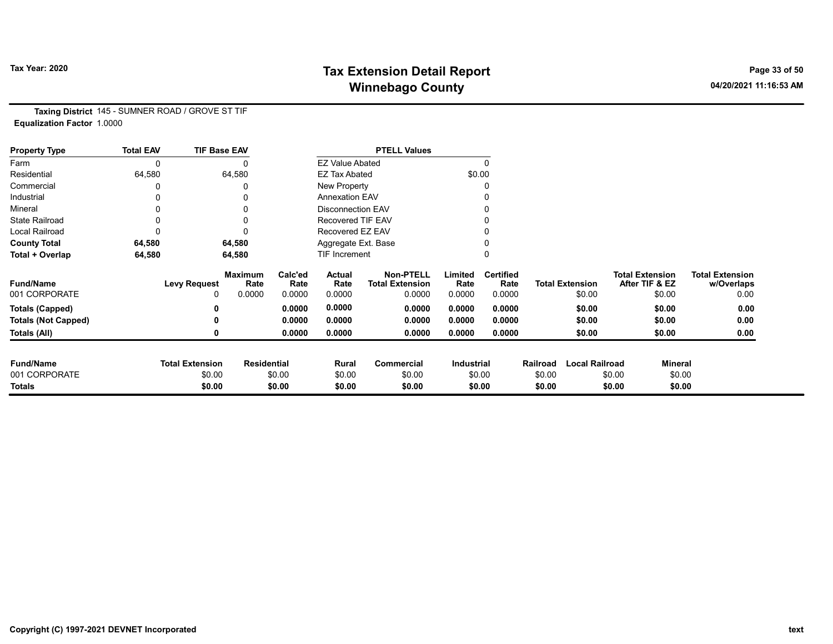# Tax Year: 2020 Page 33 of 50 Winnebago County and the County of the County of the County of the County of the County of the County of the County of the County of the County of the County of the County of the County of the County of the County of the C

Taxing District 145 - SUMNER ROAD / GROVE ST TIF Equalization Factor 1.0000

| <b>Property Type</b>       | <b>Total EAV</b> | <b>TIF Base EAV</b>    |                        |                 |                          | <b>PTELL Values</b>                        |                   |                          |          |                        |                                          |                                      |
|----------------------------|------------------|------------------------|------------------------|-----------------|--------------------------|--------------------------------------------|-------------------|--------------------------|----------|------------------------|------------------------------------------|--------------------------------------|
| Farm                       | 0                |                        |                        |                 | <b>EZ Value Abated</b>   |                                            |                   | $\mathbf{0}$             |          |                        |                                          |                                      |
| Residential                | 64,580           |                        | 64,580                 |                 | <b>EZ Tax Abated</b>     |                                            |                   | \$0.00                   |          |                        |                                          |                                      |
| Commercial                 | 0                |                        |                        |                 | New Property             |                                            |                   |                          |          |                        |                                          |                                      |
| Industrial                 | 0                |                        |                        |                 | <b>Annexation EAV</b>    |                                            |                   |                          |          |                        |                                          |                                      |
| Mineral                    | 0                |                        |                        |                 | <b>Disconnection EAV</b> |                                            |                   |                          |          |                        |                                          |                                      |
| <b>State Railroad</b>      | 0                |                        | $\Omega$               |                 | Recovered TIF EAV        |                                            |                   |                          |          |                        |                                          |                                      |
| Local Railroad             | 0                |                        |                        |                 | Recovered EZ EAV         |                                            |                   |                          |          |                        |                                          |                                      |
| <b>County Total</b>        | 64,580           |                        | 64,580                 |                 | Aggregate Ext. Base      |                                            |                   |                          |          |                        |                                          |                                      |
| Total + Overlap            | 64,580           |                        | 64,580                 |                 | TIF Increment            |                                            |                   | 0                        |          |                        |                                          |                                      |
| <b>Fund/Name</b>           |                  | <b>Levy Request</b>    | <b>Maximum</b><br>Rate | Calc'ed<br>Rate | Actual<br>Rate           | <b>Non-PTELL</b><br><b>Total Extension</b> | Limited<br>Rate   | <b>Certified</b><br>Rate |          | <b>Total Extension</b> | <b>Total Extension</b><br>After TIF & EZ | <b>Total Extension</b><br>w/Overlaps |
| 001 CORPORATE              |                  | 0                      | 0.0000                 | 0.0000          | 0.0000                   | 0.0000                                     | 0.0000            | 0.0000                   |          | \$0.00                 | \$0.00                                   | 0.00                                 |
| <b>Totals (Capped)</b>     |                  | 0                      |                        | 0.0000          | 0.0000                   | 0.0000                                     | 0.0000            | 0.0000                   |          | \$0.00                 | \$0.00                                   | 0.00                                 |
| <b>Totals (Not Capped)</b> |                  | 0                      |                        | 0.0000          | 0.0000                   | 0.0000                                     | 0.0000            | 0.0000                   |          | \$0.00                 | \$0.00                                   | 0.00                                 |
| Totals (All)               |                  | 0                      |                        | 0.0000          | 0.0000                   | 0.0000                                     | 0.0000            | 0.0000                   |          | \$0.00                 | \$0.00                                   | 0.00                                 |
| <b>Fund/Name</b>           |                  | <b>Total Extension</b> | <b>Residential</b>     |                 | Rural                    | Commercial                                 | <b>Industrial</b> |                          | Railroad | <b>Local Railroad</b>  | <b>Mineral</b>                           |                                      |
| 001 CORPORATE              |                  | \$0.00                 |                        | \$0.00          | \$0.00                   | \$0.00                                     |                   | \$0.00                   | \$0.00   |                        | \$0.00<br>\$0.00                         |                                      |
| <b>Totals</b>              |                  | \$0.00                 |                        | \$0.00          | \$0.00                   | \$0.00                                     |                   | \$0.00                   | \$0.00   |                        | \$0.00                                   | \$0.00                               |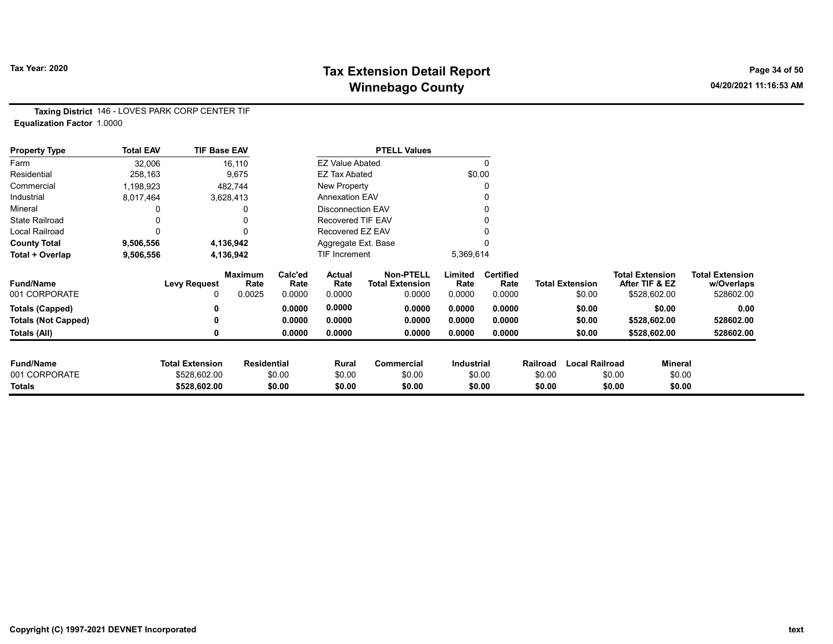# Tax Year: 2020 Page 34 of 50 Winnebago County and the County of the County of the County of the County of the County of the County of the County of the County of the County of the County of the County of the County of the County of the County of the C

Taxing District 146 - LOVES PARK CORP CENTER TIF Equalization Factor 1.0000

| <b>Property Type</b>       | <b>Total EAV</b> | <b>TIF Base EAV</b>    |                        |                 |                          | <b>PTELL Values</b>                        |                   |                          |          |                        |        |                                          |                                      |
|----------------------------|------------------|------------------------|------------------------|-----------------|--------------------------|--------------------------------------------|-------------------|--------------------------|----------|------------------------|--------|------------------------------------------|--------------------------------------|
| Farm                       | 32,006           |                        | 16,110                 |                 | <b>EZ Value Abated</b>   |                                            |                   |                          |          |                        |        |                                          |                                      |
| Residential                | 258,163          |                        | 9,675                  |                 | <b>EZ Tax Abated</b>     |                                            | \$0.00            |                          |          |                        |        |                                          |                                      |
| Commercial                 | 1,198,923        |                        | 482,744                |                 | New Property             |                                            |                   |                          |          |                        |        |                                          |                                      |
| Industrial                 | 8,017,464        |                        | 3,628,413              |                 | <b>Annexation EAV</b>    |                                            |                   |                          |          |                        |        |                                          |                                      |
| Mineral                    |                  |                        |                        |                 | <b>Disconnection EAV</b> |                                            |                   |                          |          |                        |        |                                          |                                      |
| <b>State Railroad</b>      | 0                |                        |                        |                 | <b>Recovered TIF EAV</b> |                                            |                   |                          |          |                        |        |                                          |                                      |
| Local Railroad             | 0                |                        |                        |                 | Recovered EZ EAV         |                                            |                   |                          |          |                        |        |                                          |                                      |
| <b>County Total</b>        | 9,506,556        |                        | 4,136,942              |                 | Aggregate Ext. Base      |                                            |                   |                          |          |                        |        |                                          |                                      |
| Total + Overlap            | 9,506,556        |                        | 4,136,942              |                 | TIF Increment            |                                            | 5,369,614         |                          |          |                        |        |                                          |                                      |
| <b>Fund/Name</b>           |                  | <b>Levy Request</b>    | <b>Maximum</b><br>Rate | Calc'ed<br>Rate | Actual<br>Rate           | <b>Non-PTELL</b><br><b>Total Extension</b> | Limited<br>Rate   | <b>Certified</b><br>Rate |          | <b>Total Extension</b> |        | <b>Total Extension</b><br>After TIF & EZ | <b>Total Extension</b><br>w/Overlaps |
| 001 CORPORATE              |                  | 0                      | 0.0025                 | 0.0000          | 0.0000                   | 0.0000                                     | 0.0000            | 0.0000                   |          | \$0.00                 |        | \$528,602.00                             | 528602.00                            |
| <b>Totals (Capped)</b>     |                  | 0                      |                        | 0.0000          | 0.0000                   | 0.0000                                     | 0.0000            | 0.0000                   |          | \$0.00                 |        | \$0.00                                   | 0.00                                 |
| <b>Totals (Not Capped)</b> |                  | 0                      |                        | 0.0000          | 0.0000                   | 0.0000                                     | 0.0000            | 0.0000                   |          | \$0.00                 |        | \$528,602.00                             | 528602.00                            |
| Totals (All)               |                  | 0                      |                        | 0.0000          | 0.0000                   | 0.0000                                     | 0.0000            | 0.0000                   |          | \$0.00                 |        | \$528,602.00                             | 528602.00                            |
|                            |                  |                        |                        |                 |                          |                                            |                   |                          |          |                        |        |                                          |                                      |
| <b>Fund/Name</b>           |                  | <b>Total Extension</b> | <b>Residential</b>     |                 | Rural                    | Commercial                                 | <b>Industrial</b> |                          | Railroad | <b>Local Railroad</b>  |        | Mineral                                  |                                      |
| 001 CORPORATE              |                  | \$528,602.00           |                        | \$0.00          | \$0.00                   | \$0.00                                     | \$0.00            |                          | \$0.00   |                        | \$0.00 | \$0.00                                   |                                      |
| <b>Totals</b>              |                  | \$528,602.00           |                        | \$0.00          | \$0.00                   | \$0.00                                     |                   | \$0.00                   | \$0.00   |                        | \$0.00 | \$0.00                                   |                                      |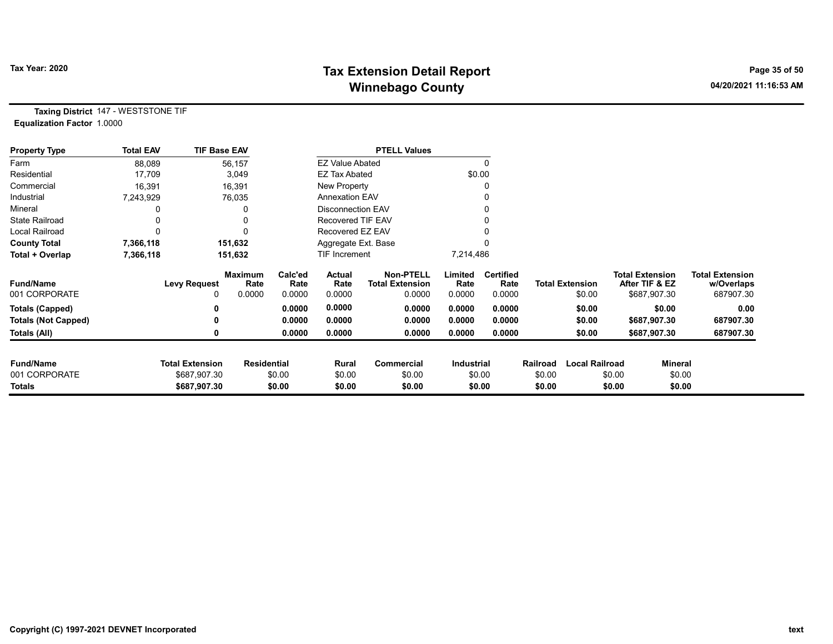# Tax Year: 2020 Page 35 of 50 Winnebago County and the County of the County of the County of the County of the County of the County of the County of the County of the County of the County of the County of the County of the County of the County of the C

Taxing District 147 - WESTSTONE TIF Equalization Factor 1.0000

| <b>Property Type</b>       | <b>Total EAV</b> | <b>TIF Base EAV</b>    |                        |                 |                          | <b>PTELL Values</b>                        |                 |                          |          |                        |                        |                |                                      |
|----------------------------|------------------|------------------------|------------------------|-----------------|--------------------------|--------------------------------------------|-----------------|--------------------------|----------|------------------------|------------------------|----------------|--------------------------------------|
| Farm                       | 88,089           |                        | 56,157                 |                 | <b>EZ Value Abated</b>   |                                            |                 |                          |          |                        |                        |                |                                      |
| Residential                | 17,709           |                        | 3,049                  |                 | <b>EZ Tax Abated</b>     |                                            | \$0.00          |                          |          |                        |                        |                |                                      |
| Commercial                 | 16,391           |                        | 16,391                 |                 | New Property             |                                            |                 |                          |          |                        |                        |                |                                      |
| Industrial                 | 7,243,929        |                        | 76,035                 |                 | <b>Annexation EAV</b>    |                                            |                 |                          |          |                        |                        |                |                                      |
| Mineral                    |                  |                        | 0                      |                 | <b>Disconnection EAV</b> |                                            |                 |                          |          |                        |                        |                |                                      |
| <b>State Railroad</b>      |                  |                        | 0                      |                 | Recovered TIF EAV        |                                            |                 |                          |          |                        |                        |                |                                      |
| <b>Local Railroad</b>      |                  |                        | 0                      |                 | Recovered EZ EAV         |                                            |                 |                          |          |                        |                        |                |                                      |
| <b>County Total</b>        | 7,366,118        |                        | 151,632                |                 | Aggregate Ext. Base      |                                            |                 |                          |          |                        |                        |                |                                      |
| Total + Overlap            | 7,366,118        |                        | 151,632                |                 | <b>TIF Increment</b>     |                                            | 7,214,486       |                          |          |                        |                        |                |                                      |
| <b>Fund/Name</b>           |                  | <b>Levy Request</b>    | <b>Maximum</b><br>Rate | Calc'ed<br>Rate | Actual<br>Rate           | <b>Non-PTELL</b><br><b>Total Extension</b> | Limited<br>Rate | <b>Certified</b><br>Rate |          | <b>Total Extension</b> | <b>Total Extension</b> | After TIF & EZ | <b>Total Extension</b><br>w/Overlaps |
| 001 CORPORATE              |                  |                        | 0.0000                 | 0.0000          | 0.0000                   | 0.0000                                     | 0.0000          | 0.0000                   |          | \$0.00                 |                        | \$687,907.30   | 687907.30                            |
| Totals (Capped)            |                  |                        |                        | 0.0000          | 0.0000                   | 0.0000                                     | 0.0000          | 0.0000                   |          | \$0.00                 |                        | \$0.00         | 0.00                                 |
| <b>Totals (Not Capped)</b> |                  |                        |                        | 0.0000          | 0.0000                   | 0.0000                                     | 0.0000          | 0.0000                   |          | \$0.00                 |                        | \$687,907.30   | 687907.30                            |
| Totals (All)               |                  |                        |                        | 0.0000          | 0.0000                   | 0.0000                                     | 0.0000          | 0.0000                   |          | \$0.00                 |                        | \$687,907.30   | 687907.30                            |
| <b>Fund/Name</b>           |                  | <b>Total Extension</b> | <b>Residential</b>     |                 | Rural                    | <b>Commercial</b>                          | Industrial      |                          | Railroad | <b>Local Railroad</b>  |                        | Mineral        |                                      |
| 001 CORPORATE              |                  | \$687,907.30           |                        | \$0.00          | \$0.00                   | \$0.00                                     |                 | \$0.00                   | \$0.00   |                        | \$0.00                 | \$0.00         |                                      |
| Totals                     |                  | \$687,907.30           |                        | \$0.00          | \$0.00                   | \$0.00                                     |                 | \$0.00                   | \$0.00   |                        | \$0.00                 | \$0.00         |                                      |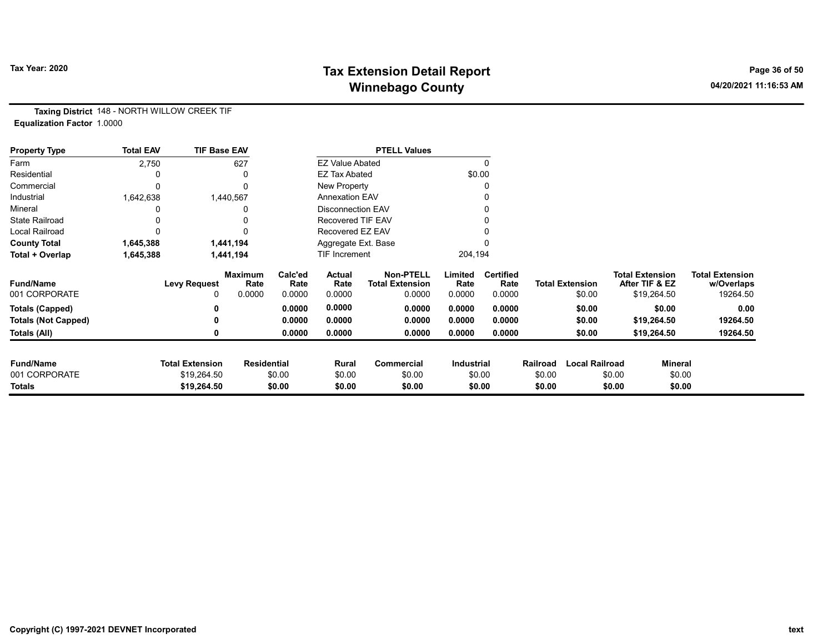# Tax Year: 2020 Page 36 of 50 Winnebago County and the County of the County of the County of the County of the County of the County of the County of the County of the County of the County of the County of the County of the County of the County of the C

Taxing District 148 - NORTH WILLOW CREEK TIF Equalization Factor 1.0000

| <b>Property Type</b>       | <b>Total EAV</b> | <b>TIF Base EAV</b>    |                        |                 |                          | <b>PTELL Values</b>                        |                   |                          |          |                        |        |                                          |                                      |
|----------------------------|------------------|------------------------|------------------------|-----------------|--------------------------|--------------------------------------------|-------------------|--------------------------|----------|------------------------|--------|------------------------------------------|--------------------------------------|
| Farm                       | 2,750            |                        | 627                    |                 | <b>EZ Value Abated</b>   |                                            |                   | $\Omega$                 |          |                        |        |                                          |                                      |
| Residential                |                  |                        | 0                      |                 | EZ Tax Abated            |                                            |                   | \$0.00                   |          |                        |        |                                          |                                      |
| Commercial                 | 0                |                        | 0                      |                 | New Property             |                                            |                   |                          |          |                        |        |                                          |                                      |
| Industrial                 | 1,642,638        |                        | 1,440,567              |                 | <b>Annexation EAV</b>    |                                            |                   |                          |          |                        |        |                                          |                                      |
| Mineral                    |                  |                        |                        |                 | <b>Disconnection EAV</b> |                                            |                   |                          |          |                        |        |                                          |                                      |
| <b>State Railroad</b>      |                  |                        |                        |                 | Recovered TIF EAV        |                                            |                   |                          |          |                        |        |                                          |                                      |
| <b>Local Railroad</b>      |                  |                        |                        |                 | Recovered EZ EAV         |                                            |                   |                          |          |                        |        |                                          |                                      |
| <b>County Total</b>        | 1,645,388        |                        | 1,441,194              |                 | Aggregate Ext. Base      |                                            |                   |                          |          |                        |        |                                          |                                      |
| Total + Overlap            | 1,645,388        |                        | 1,441,194              |                 | <b>TIF Increment</b>     |                                            | 204,194           |                          |          |                        |        |                                          |                                      |
| <b>Fund/Name</b>           |                  | <b>Levy Request</b>    | <b>Maximum</b><br>Rate | Calc'ed<br>Rate | Actual<br>Rate           | <b>Non-PTELL</b><br><b>Total Extension</b> | Limited<br>Rate   | <b>Certified</b><br>Rate |          | <b>Total Extension</b> |        | <b>Total Extension</b><br>After TIF & EZ | <b>Total Extension</b><br>w/Overlaps |
| 001 CORPORATE              |                  |                        | 0.0000                 | 0.0000          | 0.0000                   | 0.0000                                     | 0.0000            | 0.0000                   |          | \$0.00                 |        | \$19,264.50                              | 19264.50                             |
| <b>Totals (Capped)</b>     |                  |                        |                        | 0.0000          | 0.0000                   | 0.0000                                     | 0.0000            | 0.0000                   |          | \$0.00                 |        | \$0.00                                   | 0.00                                 |
| <b>Totals (Not Capped)</b> |                  |                        |                        | 0.0000          | 0.0000                   | 0.0000                                     | 0.0000            | 0.0000                   |          | \$0.00                 |        | \$19,264.50                              | 19264.50                             |
| Totals (All)               |                  |                        |                        | 0.0000          | 0.0000                   | 0.0000                                     | 0.0000            | 0.0000                   |          | \$0.00                 |        | \$19,264.50                              | 19264.50                             |
| <b>Fund/Name</b>           |                  | <b>Total Extension</b> | <b>Residential</b>     |                 | Rural                    | <b>Commercial</b>                          | <b>Industrial</b> |                          | Railroad | <b>Local Railroad</b>  |        | <b>Mineral</b>                           |                                      |
| 001 CORPORATE              |                  | \$19,264.50            |                        | \$0.00          | \$0.00                   | \$0.00                                     |                   | \$0.00                   | \$0.00   |                        | \$0.00 | \$0.00                                   |                                      |
| Totals                     |                  | \$19,264.50            |                        | \$0.00          | \$0.00                   | \$0.00                                     |                   | \$0.00                   | \$0.00   |                        | \$0.00 | \$0.00                                   |                                      |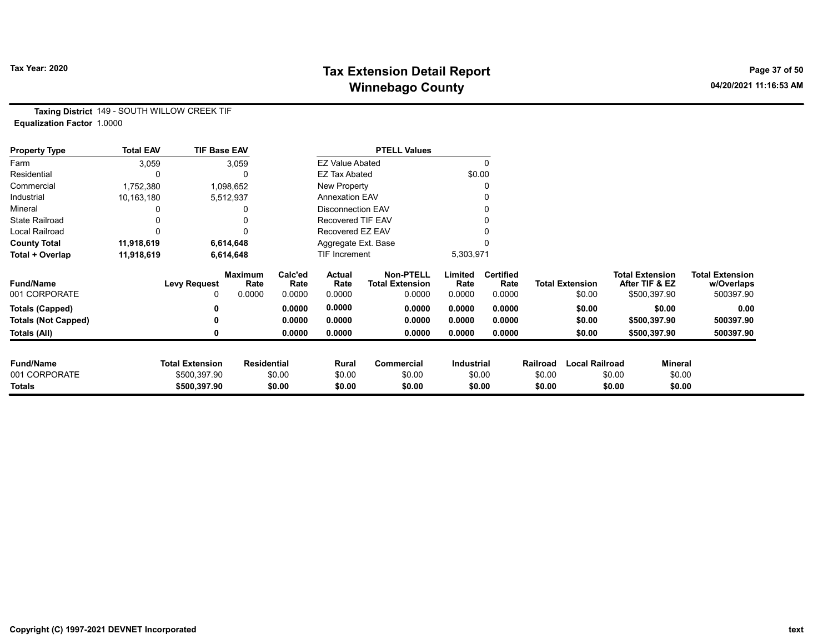# Tax Year: 2020 Page 37 of 50 Winnebago County and the County of the County of the County of the County of the County of the County of the County of the County of the County of the County of the County of the County of the County of the County of the C

Taxing District 149 - SOUTH WILLOW CREEK TIF Equalization Factor 1.0000

| <b>Property Type</b>              | <b>Total EAV</b> | <b>TIF Base EAV</b>                    |                        |                  |                        | <b>PTELL Values</b>                        |                 |                          |                  |                        |                                          |                  |                                      |
|-----------------------------------|------------------|----------------------------------------|------------------------|------------------|------------------------|--------------------------------------------|-----------------|--------------------------|------------------|------------------------|------------------------------------------|------------------|--------------------------------------|
| Farm                              | 3,059            |                                        | 3,059                  |                  | <b>EZ Value Abated</b> |                                            |                 | 0                        |                  |                        |                                          |                  |                                      |
| Residential                       |                  |                                        |                        |                  | <b>EZ Tax Abated</b>   |                                            |                 | \$0.00                   |                  |                        |                                          |                  |                                      |
| Commercial                        | 1,752,380        |                                        | 1,098,652              |                  | New Property           |                                            |                 |                          |                  |                        |                                          |                  |                                      |
| Industrial                        | 10,163,180       |                                        | 5,512,937              |                  | <b>Annexation EAV</b>  |                                            |                 |                          |                  |                        |                                          |                  |                                      |
| Mineral                           |                  |                                        |                        |                  | Disconnection EAV      |                                            |                 | ი                        |                  |                        |                                          |                  |                                      |
| <b>State Railroad</b>             |                  |                                        |                        |                  | Recovered TIF EAV      |                                            |                 |                          |                  |                        |                                          |                  |                                      |
| Local Railroad                    |                  |                                        |                        |                  | Recovered EZ EAV       |                                            |                 |                          |                  |                        |                                          |                  |                                      |
| <b>County Total</b>               | 11,918,619       |                                        | 6,614,648              |                  | Aggregate Ext. Base    |                                            |                 |                          |                  |                        |                                          |                  |                                      |
| Total + Overlap                   | 11,918,619       |                                        | 6,614,648              |                  | <b>TIF Increment</b>   |                                            | 5,303,971       |                          |                  |                        |                                          |                  |                                      |
| <b>Fund/Name</b>                  |                  | <b>Levy Request</b>                    | <b>Maximum</b><br>Rate | Calc'ed<br>Rate  | Actual<br>Rate         | <b>Non-PTELL</b><br><b>Total Extension</b> | Limited<br>Rate | <b>Certified</b><br>Rate |                  | <b>Total Extension</b> | <b>Total Extension</b><br>After TIF & EZ |                  | <b>Total Extension</b><br>w/Overlaps |
| 001 CORPORATE                     |                  | 0                                      | 0.0000                 | 0.0000           | 0.0000                 | 0.0000                                     | 0.0000          | 0.0000                   |                  | \$0.00                 | \$500,397.90                             |                  | 500397.90                            |
| <b>Totals (Capped)</b>            |                  |                                        |                        | 0.0000           | 0.0000                 | 0.0000                                     | 0.0000          | 0.0000                   |                  | \$0.00                 |                                          | \$0.00           | 0.00                                 |
| <b>Totals (Not Capped)</b>        |                  | ŋ                                      |                        | 0.0000           | 0.0000                 | 0.0000                                     | 0.0000          | 0.0000                   |                  | \$0.00                 | \$500,397.90                             |                  | 500397.90                            |
| Totals (All)                      |                  |                                        |                        | 0.0000           | 0.0000                 | 0.0000                                     | 0.0000          | 0.0000                   |                  | \$0.00                 | \$500,397.90                             |                  | 500397.90                            |
|                                   |                  |                                        |                        |                  |                        |                                            |                 |                          |                  |                        |                                          |                  |                                      |
| <b>Fund/Name</b><br>001 CORPORATE |                  | <b>Total Extension</b><br>\$500,397.90 | <b>Residential</b>     |                  | Rural                  | <b>Commercial</b>                          | Industrial      |                          | Railroad         | <b>Local Railroad</b>  |                                          | Mineral          |                                      |
| <b>Totals</b>                     |                  | \$500,397.90                           |                        | \$0.00<br>\$0.00 | \$0.00<br>\$0.00       | \$0.00<br>\$0.00                           |                 | \$0.00<br>\$0.00         | \$0.00<br>\$0.00 |                        | \$0.00<br>\$0.00                         | \$0.00<br>\$0.00 |                                      |
|                                   |                  |                                        |                        |                  |                        |                                            |                 |                          |                  |                        |                                          |                  |                                      |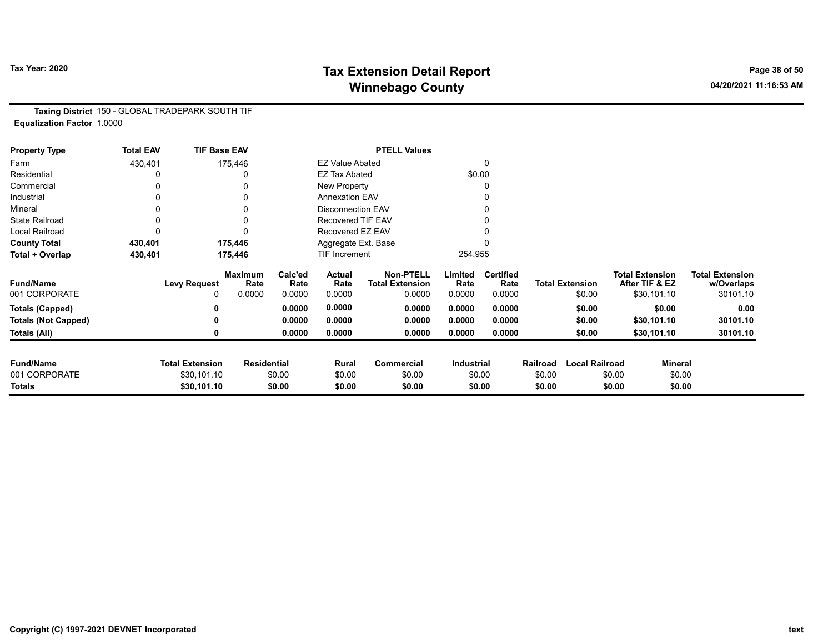# Tax Year: 2020 Page 38 of 50 Winnebago County and the County of the County of the County of the County of the County of the County of the County of the County of the County of the County of the County of the County of the County of the County of the C

Taxing District 150 - GLOBAL TRADEPARK SOUTH TIF Equalization Factor 1.0000

| <b>Property Type</b>       | <b>Total EAV</b> | <b>TIF Base EAV</b>    |                        |                 |                          | <b>PTELL Values</b>                        |                   |                          |          |                        |        |                                          |                                      |
|----------------------------|------------------|------------------------|------------------------|-----------------|--------------------------|--------------------------------------------|-------------------|--------------------------|----------|------------------------|--------|------------------------------------------|--------------------------------------|
| Farm                       | 430,401          |                        | 175,446                |                 | <b>EZ Value Abated</b>   |                                            |                   | $\Omega$                 |          |                        |        |                                          |                                      |
| Residential                |                  |                        |                        |                 | <b>EZ Tax Abated</b>     |                                            |                   | \$0.00                   |          |                        |        |                                          |                                      |
| Commercial                 |                  |                        |                        |                 | New Property             |                                            |                   |                          |          |                        |        |                                          |                                      |
| Industrial                 |                  |                        |                        |                 | <b>Annexation EAV</b>    |                                            |                   |                          |          |                        |        |                                          |                                      |
| Mineral                    |                  |                        |                        |                 | <b>Disconnection EAV</b> |                                            |                   |                          |          |                        |        |                                          |                                      |
| <b>State Railroad</b>      |                  |                        |                        |                 | <b>Recovered TIF EAV</b> |                                            |                   |                          |          |                        |        |                                          |                                      |
| Local Railroad             |                  |                        |                        |                 | Recovered EZ EAV         |                                            |                   |                          |          |                        |        |                                          |                                      |
| <b>County Total</b>        | 430,401          |                        | 175,446                |                 | Aggregate Ext. Base      |                                            |                   |                          |          |                        |        |                                          |                                      |
| Total + Overlap            | 430,401          |                        | 175,446                |                 | <b>TIF Increment</b>     |                                            | 254,955           |                          |          |                        |        |                                          |                                      |
| <b>Fund/Name</b>           |                  | <b>Levy Request</b>    | <b>Maximum</b><br>Rate | Calc'ed<br>Rate | Actual<br>Rate           | <b>Non-PTELL</b><br><b>Total Extension</b> | Limited<br>Rate   | <b>Certified</b><br>Rate |          | <b>Total Extension</b> |        | <b>Total Extension</b><br>After TIF & EZ | <b>Total Extension</b><br>w/Overlaps |
| 001 CORPORATE              |                  | 0                      | 0.0000                 | 0.0000          | 0.0000                   | 0.0000                                     | 0.0000            | 0.0000                   |          | \$0.00                 |        | \$30,101.10                              | 30101.10                             |
| <b>Totals (Capped)</b>     |                  |                        |                        | 0.0000          | 0.0000                   | 0.0000                                     | 0.0000            | 0.0000                   |          | \$0.00                 |        | \$0.00                                   | 0.00                                 |
| <b>Totals (Not Capped)</b> |                  |                        |                        | 0.0000          | 0.0000                   | 0.0000                                     | 0.0000            | 0.0000                   |          | \$0.00                 |        | \$30,101.10                              | 30101.10                             |
| Totals (All)               |                  |                        |                        | 0.0000          | 0.0000                   | 0.0000                                     | 0.0000            | 0.0000                   |          | \$0.00                 |        | \$30,101.10                              | 30101.10                             |
| <b>Fund/Name</b>           |                  | <b>Total Extension</b> | <b>Residential</b>     |                 | Rural                    | Commercial                                 | <b>Industrial</b> |                          | Railroad | <b>Local Railroad</b>  |        | <b>Mineral</b>                           |                                      |
| 001 CORPORATE              |                  | \$30,101.10            |                        | \$0.00          | \$0.00                   | \$0.00                                     |                   | \$0.00                   | \$0.00   |                        | \$0.00 | \$0.00                                   |                                      |
| <b>Totals</b>              |                  | \$30,101.10            |                        | \$0.00          | \$0.00                   | \$0.00                                     |                   | \$0.00                   | \$0.00   |                        | \$0.00 | \$0.00                                   |                                      |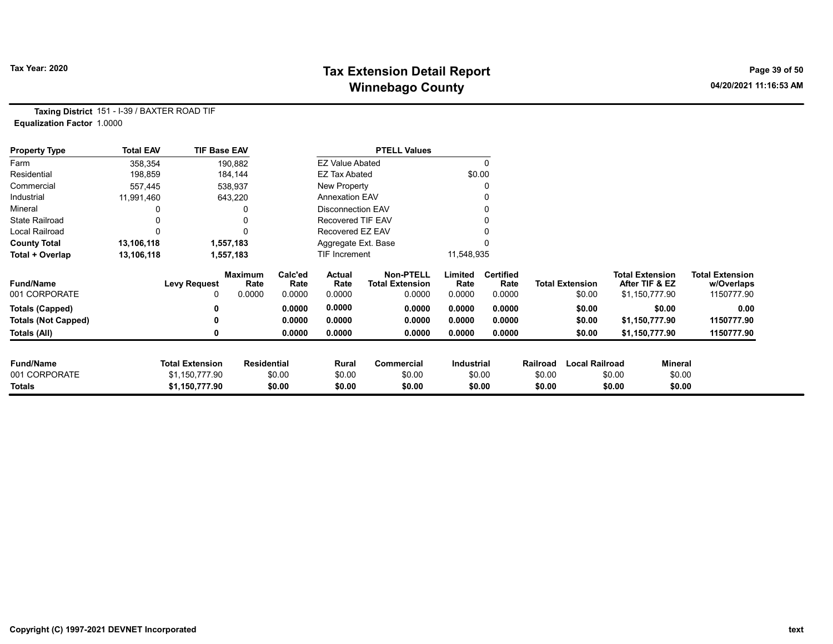# Tax Year: 2020 Page 39 of 50 Winnebago County and the County of the County of the County of the County of the County of the County of the County of the County of the County of the County of the County of the County of the County of the County of the C

Taxing District 151 - I-39 / BAXTER ROAD TIF Equalization Factor 1.0000

| <b>Property Type</b>       | <b>Total EAV</b> | <b>TIF Base EAV</b>    |                        |                 |                          | <b>PTELL Values</b>                 |                   |                          |          |                        |                                          |         |                                      |
|----------------------------|------------------|------------------------|------------------------|-----------------|--------------------------|-------------------------------------|-------------------|--------------------------|----------|------------------------|------------------------------------------|---------|--------------------------------------|
| Farm                       | 358,354          |                        | 190,882                |                 | <b>EZ Value Abated</b>   |                                     |                   | 0                        |          |                        |                                          |         |                                      |
| Residential                | 198,859          |                        | 184,144                |                 | <b>EZ Tax Abated</b>     |                                     | \$0.00            |                          |          |                        |                                          |         |                                      |
| Commercial                 | 557,445          |                        | 538,937                |                 | New Property             |                                     |                   | 0                        |          |                        |                                          |         |                                      |
| Industrial                 | 11,991,460       |                        | 643,220                |                 | <b>Annexation EAV</b>    |                                     |                   | 0                        |          |                        |                                          |         |                                      |
| Mineral                    |                  |                        |                        |                 | <b>Disconnection EAV</b> |                                     |                   | 0                        |          |                        |                                          |         |                                      |
| <b>State Railroad</b>      |                  |                        |                        |                 | Recovered TIF EAV        |                                     |                   |                          |          |                        |                                          |         |                                      |
| <b>Local Railroad</b>      |                  |                        |                        |                 | Recovered EZ EAV         |                                     |                   |                          |          |                        |                                          |         |                                      |
| <b>County Total</b>        | 13,106,118       |                        | 1,557,183              |                 | Aggregate Ext. Base      |                                     |                   |                          |          |                        |                                          |         |                                      |
| Total + Overlap            | 13,106,118       |                        | 1,557,183              |                 | TIF Increment            |                                     | 11,548,935        |                          |          |                        |                                          |         |                                      |
| <b>Fund/Name</b>           |                  | <b>Levy Request</b>    | <b>Maximum</b><br>Rate | Calc'ed<br>Rate | Actual<br>Rate           | <b>Non-PTELL</b><br>Total Extension | Limited<br>Rate   | <b>Certified</b><br>Rate |          | <b>Total Extension</b> | <b>Total Extension</b><br>After TIF & EZ |         | <b>Total Extension</b><br>w/Overlaps |
| 001 CORPORATE              |                  | 0                      | 0.0000                 | 0.0000          | 0.0000                   | 0.0000                              | 0.0000            | 0.0000                   |          | \$0.00                 | \$1,150,777.90                           |         | 1150777.90                           |
| <b>Totals (Capped)</b>     |                  |                        |                        | 0.0000          | 0.0000                   | 0.0000                              | 0.0000            | 0.0000                   |          | \$0.00                 |                                          | \$0.00  | 0.00                                 |
| <b>Totals (Not Capped)</b> |                  |                        |                        | 0.0000          | 0.0000                   | 0.0000                              | 0.0000            | 0.0000                   |          | \$0.00                 | \$1,150,777.90                           |         | 1150777.90                           |
| Totals (All)               |                  |                        |                        | 0.0000          | 0.0000                   | 0.0000                              | 0.0000            | 0.0000                   |          | \$0.00                 | \$1,150,777.90                           |         | 1150777.90                           |
| <b>Fund/Name</b>           |                  | <b>Total Extension</b> | <b>Residential</b>     |                 | Rural                    | Commercial                          | <b>Industrial</b> |                          | Railroad | <b>Local Railroad</b>  |                                          | Mineral |                                      |
| 001 CORPORATE              |                  | \$1,150,777.90         |                        | \$0.00          | \$0.00                   | \$0.00                              |                   | \$0.00                   | \$0.00   |                        | \$0.00                                   | \$0.00  |                                      |
| <b>Totals</b>              |                  | \$1,150,777.90         |                        | \$0.00          | \$0.00                   | \$0.00                              |                   | \$0.00                   | \$0.00   |                        | \$0.00                                   | \$0.00  |                                      |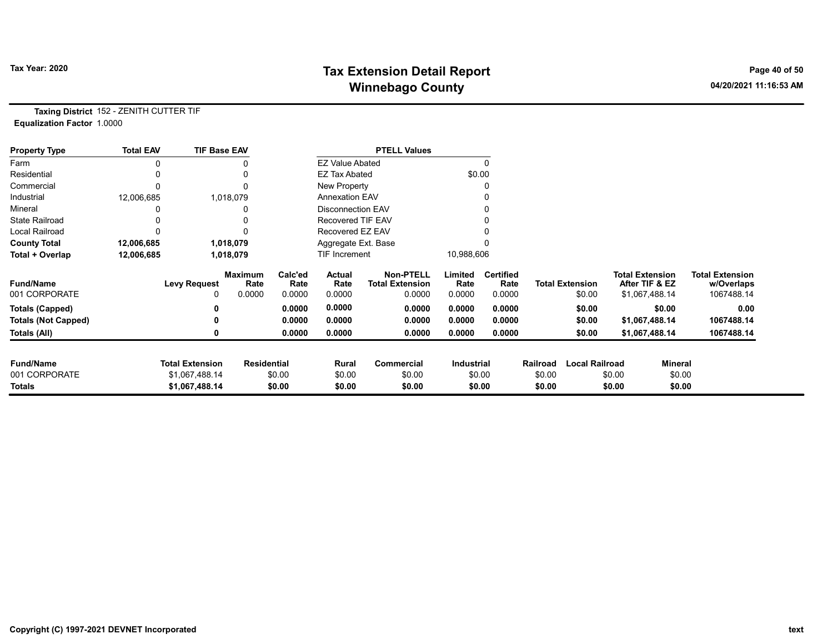# Tax Year: 2020 Page 40 of 50 Winnebago County and the County of the County of the County of the County of the County of the County of the County of the County of the County of the County of the County of the County of the County of the County of the C

Taxing District 152 - ZENITH CUTTER TIF Equalization Factor 1.0000

| <b>Property Type</b>       | <b>Total EAV</b> | <b>TIF Base EAV</b>    |                        |                 |                          | <b>PTELL Values</b>                        |                   |                          |          |                        |                                          |                                      |
|----------------------------|------------------|------------------------|------------------------|-----------------|--------------------------|--------------------------------------------|-------------------|--------------------------|----------|------------------------|------------------------------------------|--------------------------------------|
| Farm                       |                  |                        |                        |                 | <b>EZ Value Abated</b>   |                                            |                   |                          |          |                        |                                          |                                      |
| Residential                |                  |                        |                        |                 | <b>EZ Tax Abated</b>     |                                            |                   | \$0.00                   |          |                        |                                          |                                      |
| Commercial                 | 0                |                        |                        |                 | New Property             |                                            |                   |                          |          |                        |                                          |                                      |
| Industrial                 | 12,006,685       |                        | 1,018,079              |                 | <b>Annexation EAV</b>    |                                            |                   |                          |          |                        |                                          |                                      |
| Mineral                    |                  |                        |                        |                 | <b>Disconnection EAV</b> |                                            |                   |                          |          |                        |                                          |                                      |
| <b>State Railroad</b>      |                  |                        |                        |                 | <b>Recovered TIF EAV</b> |                                            |                   |                          |          |                        |                                          |                                      |
| <b>Local Railroad</b>      |                  |                        |                        |                 | Recovered EZ EAV         |                                            |                   |                          |          |                        |                                          |                                      |
| <b>County Total</b>        | 12,006,685       |                        | 1,018,079              |                 | Aggregate Ext. Base      |                                            |                   |                          |          |                        |                                          |                                      |
| Total + Overlap            | 12,006,685       |                        | 1,018,079              |                 | TIF Increment            |                                            | 10,988,606        |                          |          |                        |                                          |                                      |
| <b>Fund/Name</b>           |                  | <b>Levy Request</b>    | <b>Maximum</b><br>Rate | Calc'ed<br>Rate | Actual<br>Rate           | <b>Non-PTELL</b><br><b>Total Extension</b> | Limited<br>Rate   | <b>Certified</b><br>Rate |          | <b>Total Extension</b> | <b>Total Extension</b><br>After TIF & EZ | <b>Total Extension</b><br>w/Overlaps |
| 001 CORPORATE              |                  | 0                      | 0.0000                 | 0.0000          | 0.0000                   | 0.0000                                     | 0.0000            | 0.0000                   |          | \$0.00                 | \$1,067,488.14                           | 1067488.14                           |
| <b>Totals (Capped)</b>     |                  |                        |                        | 0.0000          | 0.0000                   | 0.0000                                     | 0.0000            | 0.0000                   |          | \$0.00                 | \$0.00                                   | 0.00                                 |
| <b>Totals (Not Capped)</b> |                  | ŋ                      |                        | 0.0000          | 0.0000                   | 0.0000                                     | 0.0000            | 0.0000                   |          | \$0.00                 | \$1,067,488.14                           | 1067488.14                           |
| Totals (All)               |                  | 0                      |                        | 0.0000          | 0.0000                   | 0.0000                                     | 0.0000            | 0.0000                   |          | \$0.00                 | \$1,067,488.14                           | 1067488.14                           |
| <b>Fund/Name</b>           |                  | <b>Total Extension</b> | <b>Residential</b>     |                 | Rural                    | <b>Commercial</b>                          | <b>Industrial</b> |                          | Railroad | <b>Local Railroad</b>  | <b>Mineral</b>                           |                                      |
| 001 CORPORATE              |                  | \$1,067,488.14         |                        | \$0.00          | \$0.00                   | \$0.00                                     |                   | \$0.00                   | \$0.00   |                        | \$0.00                                   | \$0.00                               |
| <b>Totals</b>              |                  | \$1,067,488.14         |                        | \$0.00          | \$0.00                   | \$0.00                                     |                   | \$0.00                   | \$0.00   |                        | \$0.00                                   | \$0.00                               |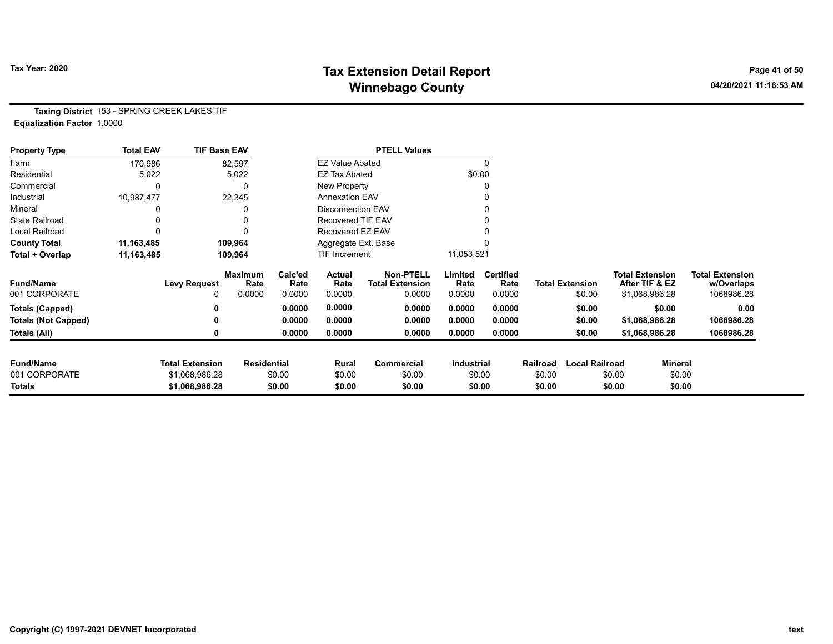# Tax Year: 2020 Page 41 of 50 Winnebago County and the County of the County of the County of the County of the County of the County of the County of the County of the County of the County of the County of the County of the County of the County of the C

Taxing District 153 - SPRING CREEK LAKES TIF Equalization Factor 1.0000

| <b>Property Type</b>       | <b>Total EAV</b> | <b>TIF Base EAV</b>    |                        |                 |                          | <b>PTELL Values</b>                        |                   |                          |          |                        |                                          |                                      |
|----------------------------|------------------|------------------------|------------------------|-----------------|--------------------------|--------------------------------------------|-------------------|--------------------------|----------|------------------------|------------------------------------------|--------------------------------------|
| Farm                       | 170,986          |                        | 82,597                 |                 | <b>EZ Value Abated</b>   |                                            |                   |                          |          |                        |                                          |                                      |
| Residential                | 5,022            |                        | 5,022                  |                 | <b>EZ Tax Abated</b>     |                                            | \$0.00            |                          |          |                        |                                          |                                      |
| Commercial                 | 0                |                        | 0                      |                 | New Property             |                                            |                   |                          |          |                        |                                          |                                      |
| Industrial                 | 10,987,477       |                        | 22,345                 |                 | <b>Annexation EAV</b>    |                                            |                   |                          |          |                        |                                          |                                      |
| Mineral                    |                  |                        |                        |                 | <b>Disconnection EAV</b> |                                            |                   |                          |          |                        |                                          |                                      |
| <b>State Railroad</b>      |                  |                        |                        |                 | <b>Recovered TIF EAV</b> |                                            |                   |                          |          |                        |                                          |                                      |
| Local Railroad             |                  |                        |                        |                 | Recovered EZ EAV         |                                            |                   |                          |          |                        |                                          |                                      |
| <b>County Total</b>        | 11,163,485       |                        | 109,964                |                 | Aggregate Ext. Base      |                                            |                   |                          |          |                        |                                          |                                      |
| Total + Overlap            | 11,163,485       |                        | 109,964                |                 | TIF Increment            |                                            | 11,053,521        |                          |          |                        |                                          |                                      |
| <b>Fund/Name</b>           |                  | <b>Levy Request</b>    | <b>Maximum</b><br>Rate | Calc'ed<br>Rate | Actual<br>Rate           | <b>Non-PTELL</b><br><b>Total Extension</b> | Limited<br>Rate   | <b>Certified</b><br>Rate |          | <b>Total Extension</b> | <b>Total Extension</b><br>After TIF & EZ | <b>Total Extension</b><br>w/Overlaps |
| 001 CORPORATE              |                  | 0                      | 0.0000                 | 0.0000          | 0.0000                   | 0.0000                                     | 0.0000            | 0.0000                   |          | \$0.00                 | \$1,068,986.28                           | 1068986.28                           |
| <b>Totals (Capped)</b>     |                  | 0                      |                        | 0.0000          | 0.0000                   | 0.0000                                     | 0.0000            | 0.0000                   |          | \$0.00                 | \$0.00                                   | 0.00                                 |
| <b>Totals (Not Capped)</b> |                  | 0                      |                        | 0.0000          | 0.0000                   | 0.0000                                     | 0.0000            | 0.0000                   |          | \$0.00                 | \$1,068,986.28                           | 1068986.28                           |
| Totals (All)               |                  | 0                      |                        | 0.0000          | 0.0000                   | 0.0000                                     | 0.0000            | 0.0000                   |          | \$0.00                 | \$1,068,986.28                           | 1068986.28                           |
|                            |                  |                        |                        |                 |                          |                                            |                   |                          |          |                        |                                          |                                      |
| <b>Fund/Name</b>           |                  | <b>Total Extension</b> | <b>Residential</b>     |                 | Rural                    | Commercial                                 | <b>Industrial</b> |                          | Railroad | <b>Local Railroad</b>  |                                          | <b>Mineral</b>                       |
| 001 CORPORATE              |                  | \$1,068,986.28         |                        | \$0.00          | \$0.00                   | \$0.00                                     |                   | \$0.00                   | \$0.00   |                        | \$0.00                                   | \$0.00                               |
| <b>Totals</b>              |                  | \$1,068,986.28         |                        | \$0.00          | \$0.00                   | \$0.00                                     |                   | \$0.00                   | \$0.00   |                        | \$0.00                                   | \$0.00                               |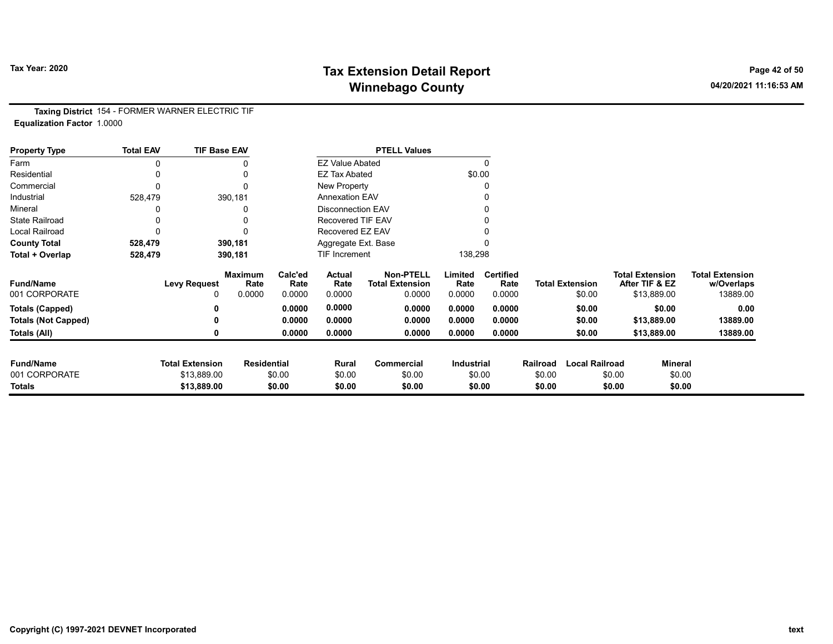# Tax Year: 2020 Page 42 of 50 Winnebago County and the County of the County of the County of the County of the County of the County of the County of the County of the County of the County of the County of the County of the County of the County of the C

Taxing District 154 - FORMER WARNER ELECTRIC TIF Equalization Factor 1.0000

| <b>Property Type</b>       | <b>Total EAV</b> | <b>TIF Base EAV</b>    |                        |                 |                          | <b>PTELL Values</b>                        |                   |                          |          |                        |        |                                          |                                      |
|----------------------------|------------------|------------------------|------------------------|-----------------|--------------------------|--------------------------------------------|-------------------|--------------------------|----------|------------------------|--------|------------------------------------------|--------------------------------------|
| Farm                       | 0                |                        |                        |                 | <b>EZ Value Abated</b>   |                                            |                   | $\mathbf{0}$             |          |                        |        |                                          |                                      |
| Residential                | 0                |                        |                        |                 | <b>EZ Tax Abated</b>     |                                            |                   | \$0.00                   |          |                        |        |                                          |                                      |
| Commercial                 | 0                |                        |                        |                 | New Property             |                                            |                   |                          |          |                        |        |                                          |                                      |
| Industrial                 | 528,479          |                        | 390,181                |                 | <b>Annexation EAV</b>    |                                            |                   |                          |          |                        |        |                                          |                                      |
| Mineral                    |                  |                        |                        |                 | <b>Disconnection EAV</b> |                                            |                   |                          |          |                        |        |                                          |                                      |
| <b>State Railroad</b>      |                  |                        |                        |                 | Recovered TIF EAV        |                                            |                   |                          |          |                        |        |                                          |                                      |
| Local Railroad             |                  |                        |                        |                 | Recovered EZ EAV         |                                            |                   |                          |          |                        |        |                                          |                                      |
| <b>County Total</b>        | 528,479          |                        | 390,181                |                 | Aggregate Ext. Base      |                                            |                   |                          |          |                        |        |                                          |                                      |
| Total + Overlap            | 528,479          |                        | 390,181                |                 | TIF Increment            |                                            | 138,298           |                          |          |                        |        |                                          |                                      |
| <b>Fund/Name</b>           |                  | <b>Levy Request</b>    | <b>Maximum</b><br>Rate | Calc'ed<br>Rate | Actual<br>Rate           | <b>Non-PTELL</b><br><b>Total Extension</b> | Limited<br>Rate   | <b>Certified</b><br>Rate |          | <b>Total Extension</b> |        | <b>Total Extension</b><br>After TIF & EZ | <b>Total Extension</b><br>w/Overlaps |
| 001 CORPORATE              |                  | 0                      | 0.0000                 | 0.0000          | 0.0000                   | 0.0000                                     | 0.0000            | 0.0000                   |          | \$0.00                 |        | \$13,889.00                              | 13889.00                             |
| <b>Totals (Capped)</b>     |                  | 0                      |                        | 0.0000          | 0.0000                   | 0.0000                                     | 0.0000            | 0.0000                   |          | \$0.00                 |        | \$0.00                                   | 0.00                                 |
| <b>Totals (Not Capped)</b> |                  | 0                      |                        | 0.0000          | 0.0000                   | 0.0000                                     | 0.0000            | 0.0000                   |          | \$0.00                 |        | \$13,889.00                              | 13889.00                             |
| Totals (All)               |                  | 0                      |                        | 0.0000          | 0.0000                   | 0.0000                                     | 0.0000            | 0.0000                   |          | \$0.00                 |        | \$13,889.00                              | 13889.00                             |
|                            |                  |                        |                        |                 |                          |                                            |                   |                          |          |                        |        |                                          |                                      |
| <b>Fund/Name</b>           |                  | <b>Total Extension</b> | <b>Residential</b>     |                 | Rural                    | Commercial                                 | <b>Industrial</b> |                          | Railroad | <b>Local Railroad</b>  |        | <b>Mineral</b>                           |                                      |
| 001 CORPORATE              |                  | \$13,889.00            |                        | \$0.00          | \$0.00                   | \$0.00                                     |                   | \$0.00                   | \$0.00   |                        | \$0.00 | \$0.00                                   |                                      |
| <b>Totals</b>              |                  | \$13,889.00            |                        | \$0.00          | \$0.00                   | \$0.00                                     |                   | \$0.00                   | \$0.00   |                        | \$0.00 | \$0.00                                   |                                      |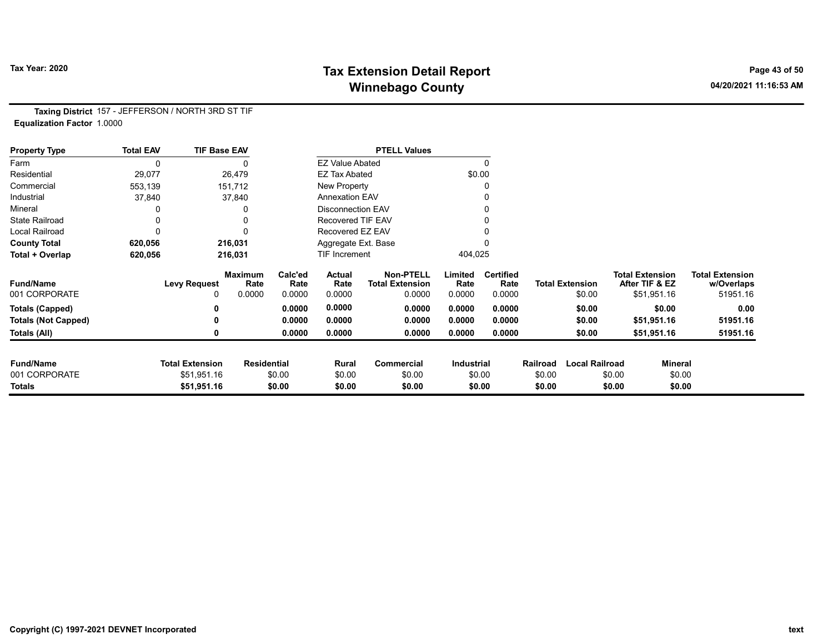# Tax Year: 2020 Page 43 of 50 Winnebago County and the County of the County of the County of the County of the County of the County of the County of the County of the County of the County of the County of the County of the County of the County of the C

Taxing District 157 - JEFFERSON / NORTH 3RD ST TIF Equalization Factor 1.0000

| <b>Property Type</b>       | <b>Total EAV</b> | <b>TIF Base EAV</b>    |                        |                 |                          | <b>PTELL Values</b>                        |                   |                          |          |                        |                                          |         |                                      |
|----------------------------|------------------|------------------------|------------------------|-----------------|--------------------------|--------------------------------------------|-------------------|--------------------------|----------|------------------------|------------------------------------------|---------|--------------------------------------|
| Farm                       | 0                |                        |                        |                 | <b>EZ Value Abated</b>   |                                            |                   | $\Omega$                 |          |                        |                                          |         |                                      |
| Residential                | 29,077           |                        | 26,479                 |                 | <b>EZ Tax Abated</b>     |                                            | \$0.00            |                          |          |                        |                                          |         |                                      |
| Commercial                 | 553,139          |                        | 151,712                |                 | New Property             |                                            |                   |                          |          |                        |                                          |         |                                      |
| Industrial                 | 37,840           |                        | 37,840                 |                 | <b>Annexation EAV</b>    |                                            |                   |                          |          |                        |                                          |         |                                      |
| Mineral                    |                  |                        |                        |                 | <b>Disconnection EAV</b> |                                            |                   |                          |          |                        |                                          |         |                                      |
| <b>State Railroad</b>      |                  |                        |                        |                 | <b>Recovered TIF EAV</b> |                                            |                   |                          |          |                        |                                          |         |                                      |
| Local Railroad             | 0                |                        |                        |                 | Recovered EZ EAV         |                                            |                   |                          |          |                        |                                          |         |                                      |
| <b>County Total</b>        | 620,056          |                        | 216,031                |                 | Aggregate Ext. Base      |                                            |                   |                          |          |                        |                                          |         |                                      |
| Total + Overlap            | 620,056          |                        | 216,031                |                 | TIF Increment            |                                            | 404,025           |                          |          |                        |                                          |         |                                      |
| <b>Fund/Name</b>           |                  | <b>Levy Request</b>    | <b>Maximum</b><br>Rate | Calc'ed<br>Rate | Actual<br>Rate           | <b>Non-PTELL</b><br><b>Total Extension</b> | Limited<br>Rate   | <b>Certified</b><br>Rate |          | <b>Total Extension</b> | <b>Total Extension</b><br>After TIF & EZ |         | <b>Total Extension</b><br>w/Overlaps |
| 001 CORPORATE              |                  | 0                      | 0.0000                 | 0.0000          | 0.0000                   | 0.0000                                     | 0.0000            | 0.0000                   |          | \$0.00                 | \$51,951.16                              |         | 51951.16                             |
| <b>Totals (Capped)</b>     |                  |                        |                        | 0.0000          | 0.0000                   | 0.0000                                     | 0.0000            | 0.0000                   |          | \$0.00                 |                                          | \$0.00  | 0.00                                 |
| <b>Totals (Not Capped)</b> |                  |                        |                        | 0.0000          | 0.0000                   | 0.0000                                     | 0.0000            | 0.0000                   |          | \$0.00                 | \$51,951.16                              |         | 51951.16                             |
| Totals (All)               |                  |                        |                        | 0.0000          | 0.0000                   | 0.0000                                     | 0.0000            | 0.0000                   |          | \$0.00                 | \$51,951.16                              |         | 51951.16                             |
|                            |                  |                        |                        |                 |                          |                                            |                   |                          |          |                        |                                          |         |                                      |
| <b>Fund/Name</b>           |                  | <b>Total Extension</b> | <b>Residential</b>     |                 | Rural                    | <b>Commercial</b>                          | <b>Industrial</b> |                          | Railroad | <b>Local Railroad</b>  |                                          | Mineral |                                      |
| 001 CORPORATE              |                  | \$51,951.16            |                        | \$0.00          | \$0.00                   | \$0.00                                     |                   | \$0.00                   | \$0.00   |                        | \$0.00                                   | \$0.00  |                                      |
| <b>Totals</b>              |                  | \$51,951.16            |                        | \$0.00          | \$0.00                   | \$0.00                                     |                   | \$0.00                   | \$0.00   |                        | \$0.00                                   | \$0.00  |                                      |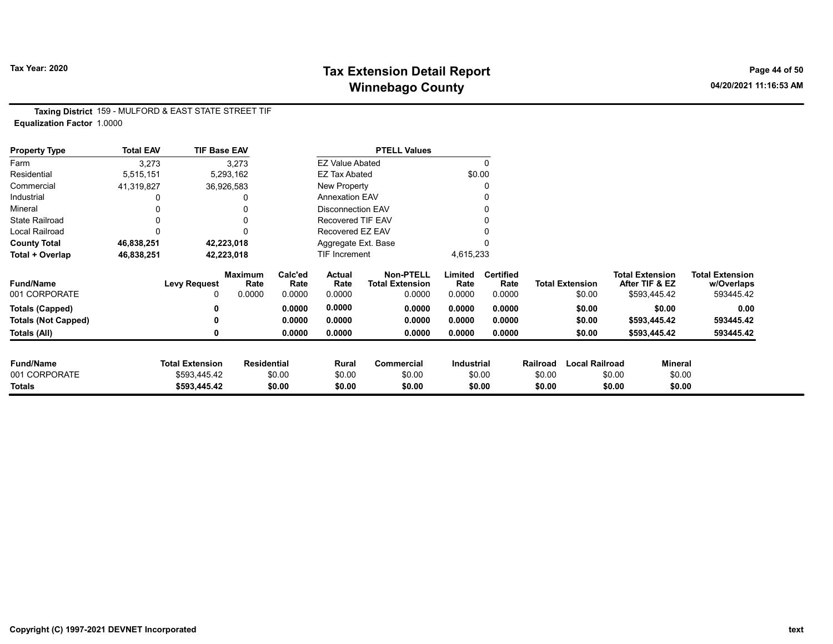# Tax Year: 2020 Page 44 of 50 Winnebago County and the County of the County of the County of the County of the County of the County of the County of the County of the County of the County of the County of the County of the County of the County of the C

Taxing District 159 - MULFORD & EAST STATE STREET TIF Equalization Factor 1.0000

| <b>Property Type</b>       | <b>Total EAV</b> | <b>TIF Base EAV</b>    |                        |                 |                          | <b>PTELL Values</b>                        |                   |                          |          |                        |                                          |                |                                      |
|----------------------------|------------------|------------------------|------------------------|-----------------|--------------------------|--------------------------------------------|-------------------|--------------------------|----------|------------------------|------------------------------------------|----------------|--------------------------------------|
| Farm                       | 3,273            |                        | 3,273                  |                 | <b>EZ Value Abated</b>   |                                            |                   |                          |          |                        |                                          |                |                                      |
| Residential                | 5,515,151        |                        | 5,293,162              |                 | <b>EZ Tax Abated</b>     |                                            |                   | \$0.00                   |          |                        |                                          |                |                                      |
| Commercial                 | 41,319,827       |                        | 36,926,583             |                 | New Property             |                                            |                   |                          |          |                        |                                          |                |                                      |
| Industrial                 |                  |                        | 0                      |                 | <b>Annexation EAV</b>    |                                            |                   |                          |          |                        |                                          |                |                                      |
| Mineral                    |                  |                        |                        |                 | Disconnection EAV        |                                            |                   |                          |          |                        |                                          |                |                                      |
| <b>State Railroad</b>      | 0                |                        |                        |                 | <b>Recovered TIF EAV</b> |                                            |                   |                          |          |                        |                                          |                |                                      |
| Local Railroad             |                  |                        |                        |                 | Recovered EZ EAV         |                                            |                   |                          |          |                        |                                          |                |                                      |
| <b>County Total</b>        | 46,838,251       |                        | 42,223,018             |                 | Aggregate Ext. Base      |                                            |                   |                          |          |                        |                                          |                |                                      |
| Total + Overlap            | 46,838,251       |                        | 42,223,018             |                 | TIF Increment            |                                            | 4,615,233         |                          |          |                        |                                          |                |                                      |
| <b>Fund/Name</b>           |                  | <b>Levy Request</b>    | <b>Maximum</b><br>Rate | Calc'ed<br>Rate | Actual<br>Rate           | <b>Non-PTELL</b><br><b>Total Extension</b> | Limited<br>Rate   | <b>Certified</b><br>Rate |          | <b>Total Extension</b> | <b>Total Extension</b><br>After TIF & EZ |                | <b>Total Extension</b><br>w/Overlaps |
| 001 CORPORATE              |                  |                        | 0.0000                 | 0.0000          | 0.0000                   | 0.0000                                     | 0.0000            | 0.0000                   |          | \$0.00                 |                                          | \$593,445.42   | 593445.42                            |
| <b>Totals (Capped)</b>     |                  |                        |                        | 0.0000          | 0.0000                   | 0.0000                                     | 0.0000            | 0.0000                   |          | \$0.00                 |                                          | \$0.00         | 0.00                                 |
| <b>Totals (Not Capped)</b> |                  | 0                      |                        | 0.0000          | 0.0000                   | 0.0000                                     | 0.0000            | 0.0000                   |          | \$0.00                 |                                          | \$593,445.42   | 593445.42                            |
| Totals (All)               |                  | 0                      |                        | 0.0000          | 0.0000                   | 0.0000                                     | 0.0000            | 0.0000                   |          | \$0.00                 |                                          | \$593,445.42   | 593445.42                            |
|                            |                  |                        |                        |                 |                          |                                            |                   |                          |          |                        |                                          |                |                                      |
| <b>Fund/Name</b>           |                  | <b>Total Extension</b> | <b>Residential</b>     |                 | Rural                    | Commercial                                 | <b>Industrial</b> |                          | Railroad | <b>Local Railroad</b>  |                                          | <b>Mineral</b> |                                      |
| 001 CORPORATE              |                  | \$593,445.42           |                        | \$0.00          | \$0.00                   | \$0.00                                     |                   | \$0.00                   | \$0.00   |                        | \$0.00                                   | \$0.00         |                                      |
| Totals                     |                  | \$593,445.42           |                        | \$0.00          | \$0.00                   | \$0.00                                     |                   | \$0.00                   | \$0.00   |                        | \$0.00                                   | \$0.00         |                                      |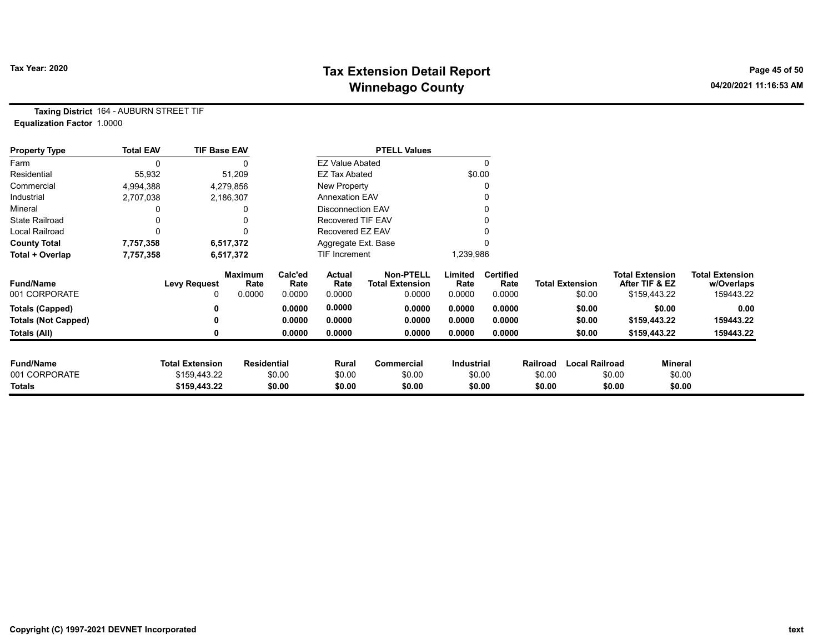# Tax Year: 2020 Page 45 of 50 Winnebago County and the County of the County of the County of the County of the County of the County of the County of the County of the County of the County of the County of the County of the County of the County of the C

Taxing District 164 - AUBURN STREET TIF Equalization Factor 1.0000

| <b>Property Type</b>       | <b>Total EAV</b> | <b>TIF Base EAV</b>    |                        |                 |                          | <b>PTELL Values</b>                        |                 |                          |          |                        |                                          |                                      |
|----------------------------|------------------|------------------------|------------------------|-----------------|--------------------------|--------------------------------------------|-----------------|--------------------------|----------|------------------------|------------------------------------------|--------------------------------------|
| Farm                       |                  |                        |                        |                 | <b>EZ Value Abated</b>   |                                            |                 | $\Omega$                 |          |                        |                                          |                                      |
| Residential                | 55,932           |                        | 51,209                 |                 | <b>EZ Tax Abated</b>     |                                            | \$0.00          |                          |          |                        |                                          |                                      |
| Commercial                 | 4,994,388        |                        | 4,279,856              |                 | New Property             |                                            |                 |                          |          |                        |                                          |                                      |
| Industrial                 | 2,707,038        |                        | 2,186,307              |                 | <b>Annexation EAV</b>    |                                            |                 |                          |          |                        |                                          |                                      |
| Mineral                    |                  |                        | 0                      |                 | <b>Disconnection EAV</b> |                                            |                 |                          |          |                        |                                          |                                      |
| <b>State Railroad</b>      |                  |                        |                        |                 | Recovered TIF EAV        |                                            |                 |                          |          |                        |                                          |                                      |
| <b>Local Railroad</b>      |                  |                        |                        |                 | Recovered EZ EAV         |                                            |                 |                          |          |                        |                                          |                                      |
| <b>County Total</b>        | 7,757,358        |                        | 6,517,372              |                 | Aggregate Ext. Base      |                                            |                 |                          |          |                        |                                          |                                      |
| Total + Overlap            | 7,757,358        |                        | 6,517,372              |                 | <b>TIF Increment</b>     |                                            | 1,239,986       |                          |          |                        |                                          |                                      |
| <b>Fund/Name</b>           |                  | <b>Levy Request</b>    | <b>Maximum</b><br>Rate | Calc'ed<br>Rate | Actual<br>Rate           | <b>Non-PTELL</b><br><b>Total Extension</b> | Limited<br>Rate | <b>Certified</b><br>Rate |          | <b>Total Extension</b> | <b>Total Extension</b><br>After TIF & EZ | <b>Total Extension</b><br>w/Overlaps |
| 001 CORPORATE              |                  | 0                      | 0.0000                 | 0.0000          | 0.0000                   | 0.0000                                     | 0.0000          | 0.0000                   |          | \$0.00                 | \$159,443.22                             | 159443.22                            |
| Totals (Capped)            |                  |                        |                        | 0.0000          | 0.0000                   | 0.0000                                     | 0.0000          | 0.0000                   |          | \$0.00                 | \$0.00                                   | 0.00                                 |
| <b>Totals (Not Capped)</b> |                  |                        |                        | 0.0000          | 0.0000                   | 0.0000                                     | 0.0000          | 0.0000                   |          | \$0.00                 | \$159,443.22                             | 159443.22                            |
| Totals (All)               |                  |                        |                        | 0.0000          | 0.0000                   | 0.0000                                     | 0.0000          | 0.0000                   |          | \$0.00                 | \$159,443.22                             | 159443.22                            |
| <b>Fund/Name</b>           |                  | <b>Total Extension</b> | <b>Residential</b>     |                 | Rural                    | <b>Commercial</b>                          | Industrial      |                          | Railroad | <b>Local Railroad</b>  |                                          | <b>Mineral</b>                       |
| 001 CORPORATE              |                  | \$159,443.22           |                        | \$0.00          | \$0.00                   | \$0.00                                     |                 | \$0.00                   | \$0.00   |                        | \$0.00                                   | \$0.00                               |
| Totals                     |                  | \$159,443.22           |                        | \$0.00          | \$0.00                   | \$0.00                                     |                 | \$0.00                   | \$0.00   |                        | \$0.00                                   | \$0.00                               |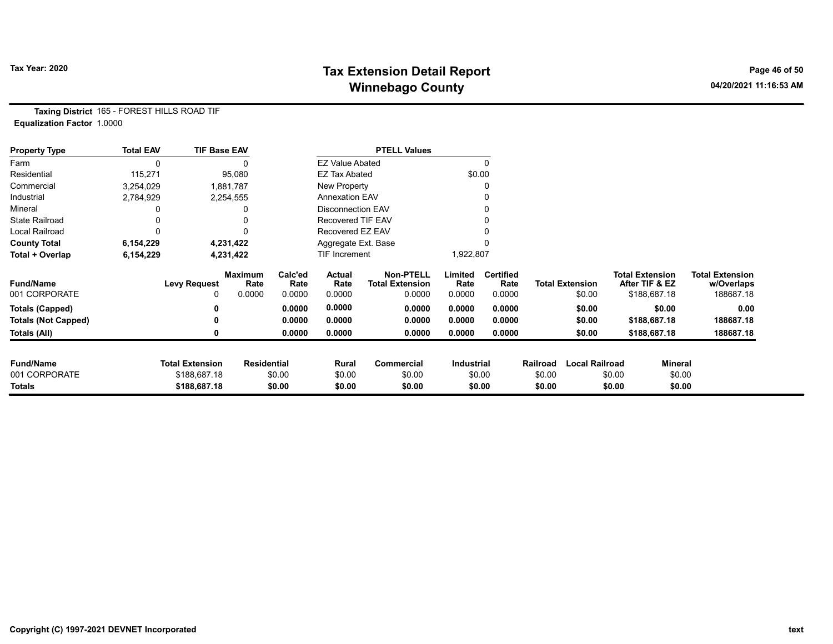# Tax Year: 2020 Page 46 of 50 Winnebago County and the County of the County of the County of the County of the County of the County of the County of the County of the County of the County of the County of the County of the County of the County of the C

Taxing District 165 - FOREST HILLS ROAD TIF Equalization Factor 1.0000

| <b>Property Type</b>       | <b>Total EAV</b> | <b>TIF Base EAV</b>    |                        |                 |                          | <b>PTELL Values</b>                        |                   |                          |          |                        |                                          |                |                                      |
|----------------------------|------------------|------------------------|------------------------|-----------------|--------------------------|--------------------------------------------|-------------------|--------------------------|----------|------------------------|------------------------------------------|----------------|--------------------------------------|
| Farm                       |                  |                        |                        |                 | <b>EZ Value Abated</b>   |                                            |                   | $\mathbf{0}$             |          |                        |                                          |                |                                      |
| Residential                | 115,271          |                        | 95,080                 |                 | <b>EZ Tax Abated</b>     |                                            |                   | \$0.00                   |          |                        |                                          |                |                                      |
| Commercial                 | 3,254,029        |                        | 1,881,787              |                 | New Property             |                                            |                   |                          |          |                        |                                          |                |                                      |
| Industrial                 | 2,784,929        |                        | 2,254,555              |                 | <b>Annexation EAV</b>    |                                            |                   |                          |          |                        |                                          |                |                                      |
| Mineral                    |                  |                        |                        |                 | <b>Disconnection EAV</b> |                                            |                   |                          |          |                        |                                          |                |                                      |
| <b>State Railroad</b>      |                  |                        |                        |                 | Recovered TIF EAV        |                                            |                   |                          |          |                        |                                          |                |                                      |
| <b>Local Railroad</b>      |                  |                        |                        |                 | Recovered EZ EAV         |                                            |                   |                          |          |                        |                                          |                |                                      |
| <b>County Total</b>        | 6,154,229        |                        | 4,231,422              |                 | Aggregate Ext. Base      |                                            |                   |                          |          |                        |                                          |                |                                      |
| Total + Overlap            | 6,154,229        |                        | 4,231,422              |                 | TIF Increment            |                                            | 1,922,807         |                          |          |                        |                                          |                |                                      |
| <b>Fund/Name</b>           |                  | <b>Levy Request</b>    | <b>Maximum</b><br>Rate | Calc'ed<br>Rate | <b>Actual</b><br>Rate    | <b>Non-PTELL</b><br><b>Total Extension</b> | Limited<br>Rate   | <b>Certified</b><br>Rate |          | <b>Total Extension</b> | <b>Total Extension</b><br>After TIF & EZ |                | <b>Total Extension</b><br>w/Overlaps |
| 001 CORPORATE              |                  | 0                      | 0.0000                 | 0.0000          | 0.0000                   | 0.0000                                     | 0.0000            | 0.0000                   |          | \$0.00                 | \$188,687.18                             |                | 188687.18                            |
| <b>Totals (Capped)</b>     |                  |                        |                        | 0.0000          | 0.0000                   | 0.0000                                     | 0.0000            | 0.0000                   |          | \$0.00                 |                                          | \$0.00         | 0.00                                 |
| <b>Totals (Not Capped)</b> |                  |                        |                        | 0.0000          | 0.0000                   | 0.0000                                     | 0.0000            | 0.0000                   |          | \$0.00                 | \$188,687.18                             |                | 188687.18                            |
| Totals (All)               |                  |                        |                        | 0.0000          | 0.0000                   | 0.0000                                     | 0.0000            | 0.0000                   |          | \$0.00                 | \$188,687.18                             |                | 188687.18                            |
| <b>Fund/Name</b>           |                  | <b>Total Extension</b> | <b>Residential</b>     |                 | Rural                    | Commercial                                 | <b>Industrial</b> |                          | Railroad | <b>Local Railroad</b>  |                                          | <b>Mineral</b> |                                      |
| 001 CORPORATE              |                  | \$188,687.18           |                        | \$0.00          | \$0.00                   | \$0.00                                     |                   | \$0.00                   | \$0.00   |                        | \$0.00                                   | \$0.00         |                                      |
| <b>Totals</b>              |                  | \$188,687.18           |                        | \$0.00          | \$0.00                   | \$0.00                                     |                   | \$0.00                   | \$0.00   |                        | \$0.00                                   | \$0.00         |                                      |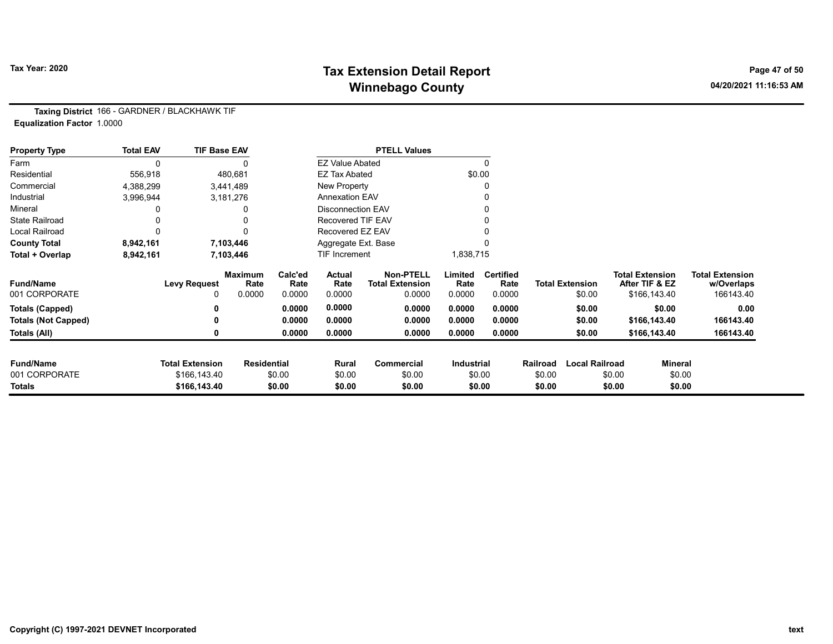# Tax Year: 2020 Page 47 of 50 Winnebago County and the County of the County of the County of the County of the County of the County of the County of the County of the County of the County of the County of the County of the County of the County of the C

Taxing District 166 - GARDNER / BLACKHAWK TIF Equalization Factor 1.0000

| <b>Property Type</b>       | <b>Total EAV</b> | <b>TIF Base EAV</b>    |                        |                 |                          | <b>PTELL Values</b>                        |                   |                          |          |                        |                                          |                                      |
|----------------------------|------------------|------------------------|------------------------|-----------------|--------------------------|--------------------------------------------|-------------------|--------------------------|----------|------------------------|------------------------------------------|--------------------------------------|
| Farm                       | 0                |                        |                        |                 | <b>EZ Value Abated</b>   |                                            |                   |                          |          |                        |                                          |                                      |
| Residential                | 556,918          |                        | 480,681                |                 | <b>EZ Tax Abated</b>     |                                            |                   | \$0.00                   |          |                        |                                          |                                      |
| Commercial                 | 4,388,299        |                        | 3,441,489              |                 | New Property             |                                            |                   |                          |          |                        |                                          |                                      |
| Industrial                 | 3,996,944        |                        | 3,181,276              |                 | <b>Annexation EAV</b>    |                                            |                   |                          |          |                        |                                          |                                      |
| Mineral                    |                  |                        |                        |                 | <b>Disconnection EAV</b> |                                            |                   |                          |          |                        |                                          |                                      |
| <b>State Railroad</b>      |                  |                        |                        |                 | <b>Recovered TIF EAV</b> |                                            |                   |                          |          |                        |                                          |                                      |
| <b>Local Railroad</b>      |                  |                        |                        |                 | Recovered EZ EAV         |                                            |                   |                          |          |                        |                                          |                                      |
| <b>County Total</b>        | 8,942,161        |                        | 7,103,446              |                 | Aggregate Ext. Base      |                                            |                   |                          |          |                        |                                          |                                      |
| Total + Overlap            | 8,942,161        |                        | 7,103,446              |                 | TIF Increment            |                                            | 1,838,715         |                          |          |                        |                                          |                                      |
| <b>Fund/Name</b>           |                  | <b>Levy Request</b>    | <b>Maximum</b><br>Rate | Calc'ed<br>Rate | Actual<br>Rate           | <b>Non-PTELL</b><br><b>Total Extension</b> | Limited<br>Rate   | <b>Certified</b><br>Rate |          | <b>Total Extension</b> | <b>Total Extension</b><br>After TIF & EZ | <b>Total Extension</b><br>w/Overlaps |
| 001 CORPORATE              |                  | 0                      | 0.0000                 | 0.0000          | 0.0000                   | 0.0000                                     | 0.0000            | 0.0000                   |          | \$0.00                 | \$166,143.40                             | 166143.40                            |
| <b>Totals (Capped)</b>     |                  |                        |                        | 0.0000          | 0.0000                   | 0.0000                                     | 0.0000            | 0.0000                   |          | \$0.00                 | \$0.00                                   | 0.00                                 |
| <b>Totals (Not Capped)</b> |                  |                        |                        | 0.0000          | 0.0000                   | 0.0000                                     | 0.0000            | 0.0000                   |          | \$0.00                 | \$166,143.40                             | 166143.40                            |
| Totals (All)               |                  |                        |                        | 0.0000          | 0.0000                   | 0.0000                                     | 0.0000            | 0.0000                   |          | \$0.00                 | \$166,143.40                             | 166143.40                            |
| <b>Fund/Name</b>           |                  | <b>Total Extension</b> | <b>Residential</b>     |                 | Rural                    | Commercial                                 | <b>Industrial</b> |                          | Railroad | <b>Local Railroad</b>  |                                          | Mineral                              |
| 001 CORPORATE              |                  | \$166,143.40           |                        | \$0.00          | \$0.00                   | \$0.00                                     |                   | \$0.00                   | \$0.00   |                        | \$0.00                                   | \$0.00                               |
| Totals                     |                  | \$166,143.40           |                        | \$0.00          | \$0.00                   | \$0.00                                     |                   | \$0.00                   | \$0.00   |                        | \$0.00                                   | \$0.00                               |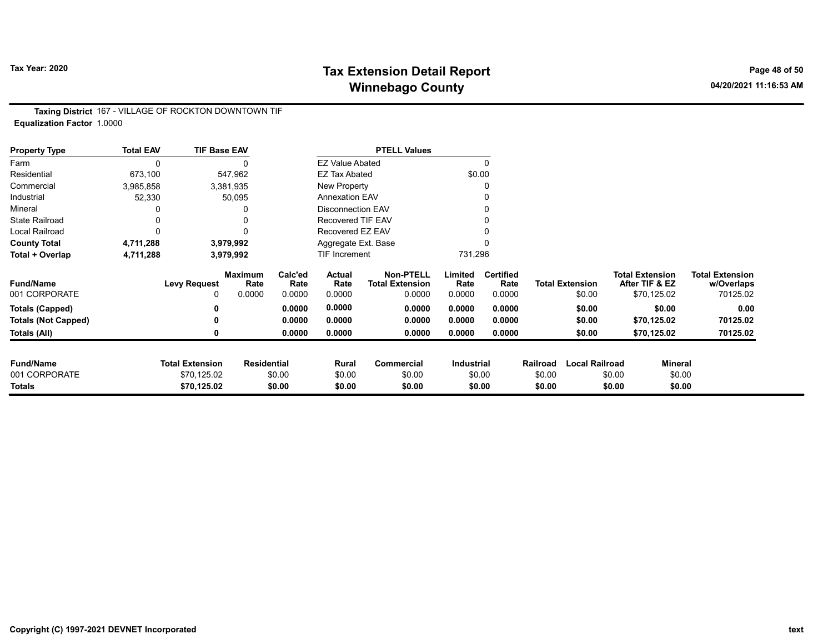# Tax Year: 2020 Page 48 of 50 Winnebago County and the County of the County of the County of the County of the County of the County of the County of the County of the County of the County of the County of the County of the County of the County of the C

Taxing District 167 - VILLAGE OF ROCKTON DOWNTOWN TIF Equalization Factor 1.0000

| <b>Property Type</b>       | <b>Total EAV</b> | <b>TIF Base EAV</b>    |                        |                 |                          | <b>PTELL Values</b>                        |                   |                          |          |                        |                                          |         |                                      |
|----------------------------|------------------|------------------------|------------------------|-----------------|--------------------------|--------------------------------------------|-------------------|--------------------------|----------|------------------------|------------------------------------------|---------|--------------------------------------|
| Farm                       | 0                |                        |                        |                 | <b>EZ Value Abated</b>   |                                            |                   | 0                        |          |                        |                                          |         |                                      |
| Residential                | 673,100          |                        | 547,962                |                 | <b>EZ Tax Abated</b>     |                                            | \$0.00            |                          |          |                        |                                          |         |                                      |
| Commercial                 | 3,985,858        |                        | 3,381,935              |                 | New Property             |                                            |                   | C                        |          |                        |                                          |         |                                      |
| Industrial                 | 52,330           |                        | 50,095                 |                 | <b>Annexation EAV</b>    |                                            |                   |                          |          |                        |                                          |         |                                      |
| Mineral                    |                  |                        |                        |                 | <b>Disconnection EAV</b> |                                            |                   |                          |          |                        |                                          |         |                                      |
| State Railroad             |                  |                        |                        |                 | Recovered TIF EAV        |                                            |                   |                          |          |                        |                                          |         |                                      |
| Local Railroad             | 0                |                        |                        |                 | Recovered EZ EAV         |                                            |                   |                          |          |                        |                                          |         |                                      |
| <b>County Total</b>        | 4,711,288        |                        | 3,979,992              |                 | Aggregate Ext. Base      |                                            |                   |                          |          |                        |                                          |         |                                      |
| Total + Overlap            | 4,711,288        |                        | 3,979,992              |                 | TIF Increment            |                                            | 731,296           |                          |          |                        |                                          |         |                                      |
| <b>Fund/Name</b>           |                  | <b>Levy Request</b>    | <b>Maximum</b><br>Rate | Calc'ed<br>Rate | Actual<br>Rate           | <b>Non-PTELL</b><br><b>Total Extension</b> | Limited<br>Rate   | <b>Certified</b><br>Rate |          | <b>Total Extension</b> | <b>Total Extension</b><br>After TIF & EZ |         | <b>Total Extension</b><br>w/Overlaps |
| 001 CORPORATE              |                  | 0                      | 0.0000                 | 0.0000          | 0.0000                   | 0.0000                                     | 0.0000            | 0.0000                   |          | \$0.00                 | \$70,125.02                              |         | 70125.02                             |
| Totals (Capped)            |                  |                        |                        | 0.0000          | 0.0000                   | 0.0000                                     | 0.0000            | 0.0000                   |          | \$0.00                 | \$0.00                                   |         | 0.00                                 |
| <b>Totals (Not Capped)</b> |                  |                        |                        | 0.0000          | 0.0000                   | 0.0000                                     | 0.0000            | 0.0000                   |          | \$0.00                 | \$70,125.02                              |         | 70125.02                             |
| Totals (All)               |                  |                        |                        | 0.0000          | 0.0000                   | 0.0000                                     | 0.0000            | 0.0000                   |          | \$0.00                 | \$70,125.02                              |         | 70125.02                             |
| <b>Fund/Name</b>           |                  | <b>Total Extension</b> | <b>Residential</b>     |                 | Rural                    | Commercial                                 | <b>Industrial</b> |                          | Railroad | <b>Local Railroad</b>  |                                          | Mineral |                                      |
| 001 CORPORATE              |                  | \$70,125.02            |                        | \$0.00          | \$0.00                   | \$0.00                                     |                   | \$0.00                   | \$0.00   |                        | \$0.00                                   | \$0.00  |                                      |
| Totals                     |                  | \$70,125.02            |                        | \$0.00          | \$0.00                   | \$0.00                                     |                   | \$0.00                   | \$0.00   |                        | \$0.00                                   | \$0.00  |                                      |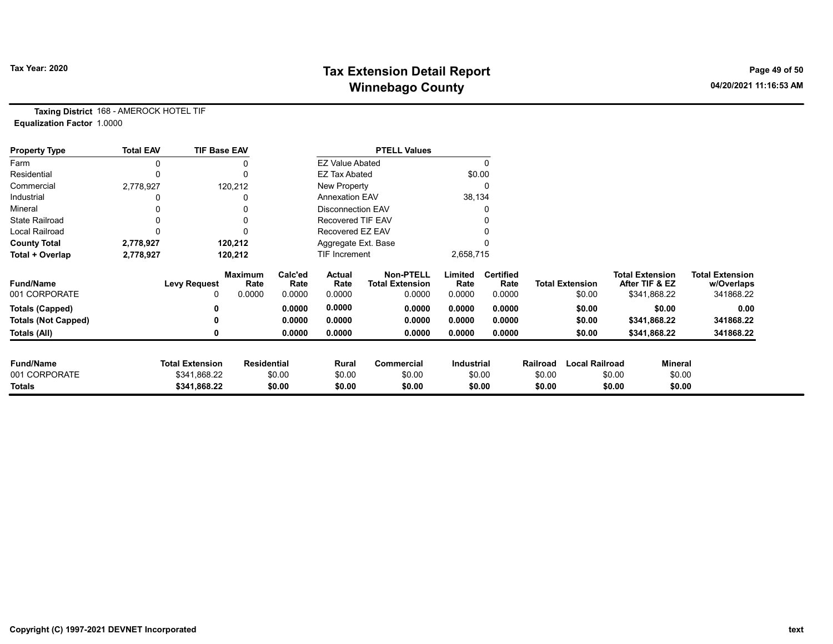# Tax Year: 2020 Page 49 of 50 Winnebago County and the County of the County of the County of the County of the County of the County of the County of the County of the County of the County of the County of the County of the County of the County of the C

Taxing District 168 - AMEROCK HOTEL TIF Equalization Factor 1.0000

| <b>Property Type</b>       | <b>Total EAV</b> | <b>TIF Base EAV</b>                          |                        |                  |                          | <b>PTELL Values</b>                        |                   |                          |          |                        |                                          |         |                                      |
|----------------------------|------------------|----------------------------------------------|------------------------|------------------|--------------------------|--------------------------------------------|-------------------|--------------------------|----------|------------------------|------------------------------------------|---------|--------------------------------------|
| Farm                       |                  |                                              |                        |                  | <b>EZ Value Abated</b>   |                                            |                   |                          |          |                        |                                          |         |                                      |
| Residential                |                  |                                              | 0                      |                  | <b>EZ Tax Abated</b>     |                                            | \$0.00            |                          |          |                        |                                          |         |                                      |
| Commercial                 | 2,778,927        |                                              | 120,212                |                  | New Property             |                                            |                   |                          |          |                        |                                          |         |                                      |
| Industrial                 |                  |                                              |                        |                  | <b>Annexation EAV</b>    |                                            | 38,134            |                          |          |                        |                                          |         |                                      |
| Mineral                    |                  |                                              | 0                      |                  | <b>Disconnection EAV</b> |                                            |                   |                          |          |                        |                                          |         |                                      |
| <b>State Railroad</b>      |                  |                                              | 0                      |                  | Recovered TIF EAV        |                                            |                   |                          |          |                        |                                          |         |                                      |
| <b>Local Railroad</b>      |                  |                                              |                        |                  | Recovered EZ EAV         |                                            |                   |                          |          |                        |                                          |         |                                      |
| <b>County Total</b>        | 2,778,927        |                                              | 120,212                |                  | Aggregate Ext. Base      |                                            |                   |                          |          |                        |                                          |         |                                      |
| Total + Overlap            | 2,778,927        | 120,212                                      |                        | TIF Increment    |                          |                                            | 2,658,715         |                          |          |                        |                                          |         |                                      |
| <b>Fund/Name</b>           |                  | <b>Levy Request</b>                          | <b>Maximum</b><br>Rate | Calc'ed<br>Rate  | Actual<br>Rate           | <b>Non-PTELL</b><br><b>Total Extension</b> | Limited<br>Rate   | <b>Certified</b><br>Rate |          | <b>Total Extension</b> | <b>Total Extension</b><br>After TIF & EZ |         | <b>Total Extension</b><br>w/Overlaps |
| 001 CORPORATE              |                  | 0                                            | 0.0000                 | 0.0000           | 0.0000                   | 0.0000                                     | 0.0000            | 0.0000                   |          | \$0.00                 | \$341,868.22                             |         | 341868.22                            |
| <b>Totals (Capped)</b>     |                  |                                              |                        | 0.0000           | 0.0000                   | 0.0000                                     | 0.0000            | 0.0000                   |          | \$0.00                 |                                          | \$0.00  | 0.00                                 |
| <b>Totals (Not Capped)</b> |                  |                                              |                        | 0.0000           | 0.0000                   | 0.0000                                     | 0.0000            | 0.0000                   |          | \$0.00                 | \$341,868.22                             |         | 341868.22                            |
| Totals (All)               |                  |                                              |                        | 0.0000           | 0.0000                   | 0.0000                                     | 0.0000            | 0.0000                   |          | \$0.00                 | \$341,868.22                             |         | 341868.22                            |
| <b>Fund/Name</b>           |                  | <b>Total Extension</b><br><b>Residential</b> |                        | Rural            |                          | Commercial                                 | <b>Industrial</b> |                          | Railroad | <b>Local Railroad</b>  |                                          | Mineral |                                      |
| 001 CORPORATE              |                  | \$341,868.22                                 |                        |                  | \$0.00                   | \$0.00                                     | \$0.00            |                          | \$0.00   |                        | \$0.00                                   | \$0.00  |                                      |
| <b>Totals</b>              |                  | \$341,868.22                                 |                        | \$0.00<br>\$0.00 | \$0.00                   | \$0.00                                     |                   | \$0.00                   | \$0.00   |                        | \$0.00                                   | \$0.00  |                                      |